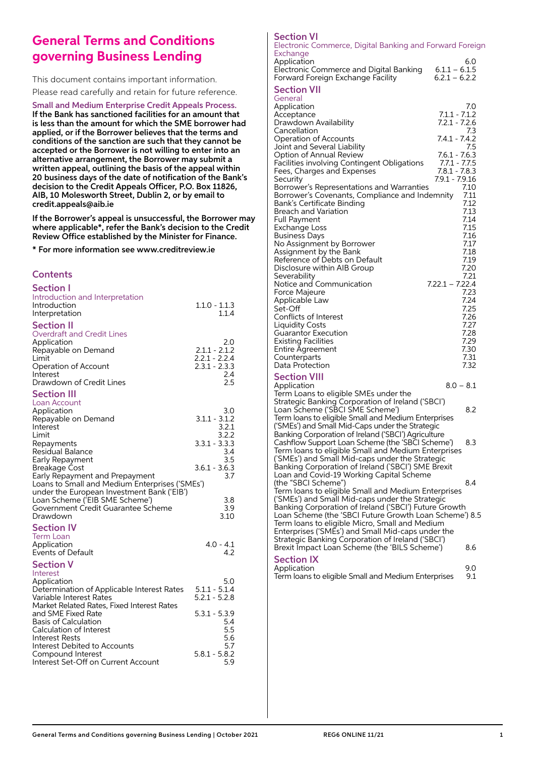## **General Terms and Conditions governing Business Lending**

This document contains important information. Please read carefully and retain for future reference.

## Small and Medium Enterprise Credit Appeals Process.

If the Bank has sanctioned facilities for an amount that is less than the amount for which the SME borrower had applied, or if the Borrower believes that the terms and conditions of the sanction are such that they cannot be accepted or the Borrower is not willing to enter into an alternative arrangement, the Borrower may submit a written appeal, outlining the basis of the appeal within 20 business days of the date of notification of the Bank's decision to the Credit Appeals Officer, P.O. Box 11826, AIB, 10 Molesworth Street, Dublin 2, or by email to credit.appeals@aib.ie

If the Borrower's appeal is unsuccessful, the Borrower may where applicable\*, refer the Bank's decision to the Credit Review Office established by the Minister for Finance.

\* For more information see www.creditreview.ie

## **Contents**

| <b>Section I</b>                                                                                                                                                      |                                                       |                     |
|-----------------------------------------------------------------------------------------------------------------------------------------------------------------------|-------------------------------------------------------|---------------------|
| Introduction and Interpretation<br>Introduction<br>Interpretation                                                                                                     | $1.1.0 - 1.1.3$                                       | 1.1.4               |
| <b>Section II</b><br><b>Overdraft and Credit Lines</b><br>Application<br>Repayable on Demand<br>Limit<br>Operation of Account<br>Interest<br>Drawdown of Credit Lines | $2.1.1 - 2.1.2$<br>$2.2.1 - 2.2.4$<br>$2.3.1 - 2.3.3$ | 2.0<br>2.4<br>2.5   |
| <b>Section III</b><br>Loan Account<br>Application<br>Repayable on Demand<br>Interest                                                                                  | $3.1.1 - 3.1.2$                                       | 3.0<br>3.2.1        |
| Limit<br>Repayments<br>Residual Balance<br>Early Repayment                                                                                                            | $3.3.1 - 3.3.3$                                       | 3.2.2<br>3.4<br>3.5 |
| Breakage Cost<br>Early Repayment and Prepayment<br>Loans to Small and Medium Enterprises ('SMEs')                                                                     | $3.6.1 - 3.6.3$                                       | 3.7                 |
| under the European Investment Bank ('EIB')<br>Loan Scheme ('EIB SME Scheme')<br>Government Credit Guarantee Scheme<br>Drawdown                                        |                                                       | 3.8<br>3.9<br>3.10  |
| <b>Section IV</b><br>Term Loan<br>Application<br><b>Events of Default</b>                                                                                             | $4.0 - 4.1$                                           | 4.2                 |
| <b>Section V</b><br>Interest<br>Application<br>Determination of Applicable Interest Rates<br>Variable Interest Rates                                                  | $5.1.1 - 5.1.4$<br>$5.2.1 - 5.2.8$                    | 5.0                 |
| Market Related Rates, Fixed Interest Rates<br>and SME Fixed Rate<br><b>Basis of Calculation</b><br><b>Calculation of Interest</b><br>Interest Rests                   | $5.3.1 - 5.3.9$                                       | 5.4<br>5.5<br>5.6   |
| Interest Debited to Accounts<br>Compound Interest<br>Interest Set-Off on Current Account                                                                              | $5.8.1 - 5.8.2$                                       | 5.7<br>5.9          |

## Section VI

Electronic Commerce, Digital Banking and Forward Foreign Exchange 6.0<br>Electronic Commerce and Digital Banking 6.1.1 – 6.1.5 Electronic Commerce and Digital Banking 6.1.1 – 6.1.5 Forward Foreign Exchange Facility Section VII General Application 7.0<br>Acceptance 71.1 - 71.2 Acceptance 7.1.1 - 7.1.2<br>Drawdown Availability 7.2.1 - 7.2.6 Drawdown Availability **1.2.1 - 7.2.6**<br>Cancellation 7.3 7.3<br>Continue of Accounts<br>Continue 7.4.1 - 7.4.2 Operation of Accounts Joint and Several Liability 7.5

| Option of Annual Review<br>$7.6.1 - 7.6.3$<br>Facilities involving Contingent Obligations<br>$7.8.1 - 7.8.3$<br>Fees, Charges and Expenses<br>7.9.1 - 7.9.16<br>Security<br>Borrower's Representations and Warranties<br>Borrower's Covenants, Compliance and Indemnity<br>Bank's Certificate Binding<br>Breach and Variation<br>Full Payment<br>Exchange Loss<br>Business Days<br>No Assignment by Borrower<br>Assignment by the Bank<br>Reference of Debts on Default<br>Disclosure within AIB Group<br>Severability<br>Notice and Communication<br>$7.22.1 - 7.22.4$<br>Force Majeure<br>Applicable Law<br>Set-Off<br>Conflicts of Interest<br><b>Liquidity Costs</b><br><b>Guarantor Execution</b><br><b>Existing Facilities</b><br>Entire Agreement | $7.7.1 - 7.7.5$<br>7.10<br>7.11<br>7.12<br>7.13<br>7.14<br>7.15<br>7.16<br>7.17<br>7.18<br>7.19<br>7.20<br>7.21<br>7.23<br>7.24<br>7.25<br>7.26<br>7.27<br>7.28<br>7.29<br>7.30 |
|----------------------------------------------------------------------------------------------------------------------------------------------------------------------------------------------------------------------------------------------------------------------------------------------------------------------------------------------------------------------------------------------------------------------------------------------------------------------------------------------------------------------------------------------------------------------------------------------------------------------------------------------------------------------------------------------------------------------------------------------------------|---------------------------------------------------------------------------------------------------------------------------------------------------------------------------------|
| Counterparts<br>Data Protection                                                                                                                                                                                                                                                                                                                                                                                                                                                                                                                                                                                                                                                                                                                          | 7.31<br>7.32                                                                                                                                                                    |
| Section VIII<br>Application<br>Term Loans to eligible SMEs under the                                                                                                                                                                                                                                                                                                                                                                                                                                                                                                                                                                                                                                                                                     | $8.0 - 8.1$                                                                                                                                                                     |
| Strategic Banking Corporation of Ireland ('SBCI')<br>Loan Scheme ('SBCI SME Scheme')<br>Term loans to eligible Small and Medium Enterprises                                                                                                                                                                                                                                                                                                                                                                                                                                                                                                                                                                                                              | 8.2                                                                                                                                                                             |
| ('SMEs') and Small Mid-Caps under the Strategic<br>Banking Corporation of Ireland ('SBCI') Agriculture<br>Cashflow Support Loan Scheme (the 'SBCI Scheme')<br>Term loans to eligible Small and Medium Enterprises<br>(`SMEs') and Small Mid-caps under the Strategic<br>Banking Corporation of Ireland (`SBCI') SME Brexit                                                                                                                                                                                                                                                                                                                                                                                                                               | 8.3                                                                                                                                                                             |

Loan and Covid-19 Working Capital Scheme

Term loans to eligible Micro, Small and Medium Enterprises ('SMEs') and Small Mid-caps under the Strategic Banking Corporation of Ireland ('SBCI') Brexit Impact Loan Scheme (the 'BILS Scheme') 8.6

Section IX

(the "SBCI Scheme") 8.4 Term loans to eligible Small and Medium Enterprises ('SMEs') and Small Mid-caps under the Strategic Banking Corporation of Ireland ('SBCI') Future Growth Loan Scheme (the 'SBCI Future Growth Loan Scheme') 8.5

9.0<br>Term loans to eligible Small and Medium Enterprises 9.1 Term loans to eligible Small and Medium Enterprises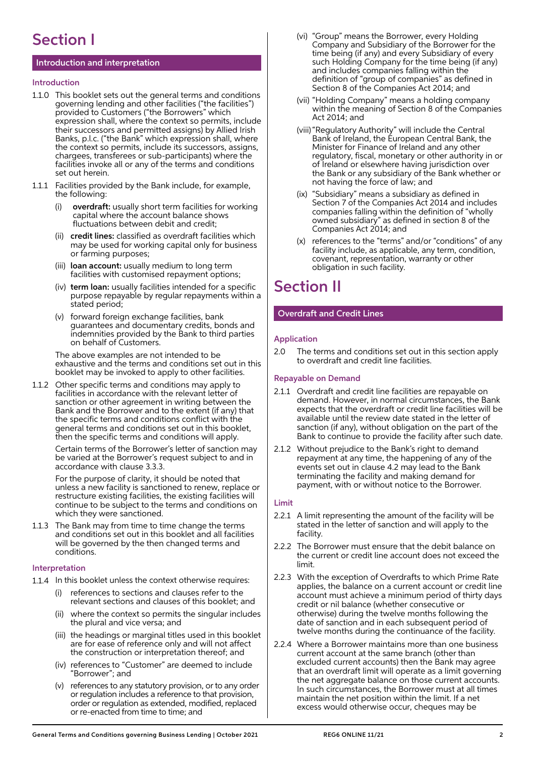# Section I

## Introduction and interpretation

## Introduction

- 1.1.0 This booklet sets out the general terms and conditions governing lending and other facilities ("the facilities") provided to Customers ("the Borrowers" which expression shall, where the context so permits, include their successors and permitted assigns) by Allied Irish Banks, p.l.c. ("the Bank" which expression shall, where the context so permits, include its successors, assigns, chargees, transferees or sub-participants) where the facilities invoke all or any of the terms and conditions set out herein.
- 1.1.1 Facilities provided by the Bank include, for example, the following:
	- overdraft: usually short term facilities for working capital where the account balance shows fluctuations between debit and credit;
	- (ii) credit lines: classified as overdraft facilities which may be used for working capital only for business or farming purposes;
	- (iii) loan account: usually medium to long term facilities with customised repayment options;
	- (iv) term loan: usually facilities intended for a specific purpose repayable by regular repayments within a stated period;
	- (v) forward foreign exchange facilities, bank guarantees and documentary credits, bonds and indemnities provided by the Bank to third parties on behalf of Customers.

 The above examples are not intended to be exhaustive and the terms and conditions set out in this booklet may be invoked to apply to other facilities.

1.1.2 Other specific terms and conditions may apply to facilities in accordance with the relevant letter of sanction or other agreement in writing between the Bank and the Borrower and to the extent (if any) that the specific terms and conditions conflict with the general terms and conditions set out in this booklet, then the specific terms and conditions will apply.

> Certain terms of the Borrower's letter of sanction may be varied at the Borrower's request subject to and in accordance with clause 3.3.3.

 For the purpose of clarity, it should be noted that unless a new facility is sanctioned to renew, replace or restructure existing facilities, the existing facilities will continue to be subject to the terms and conditions on which they were sanctioned.

1.1.3 The Bank may from time to time change the terms and conditions set out in this booklet and all facilities will be governed by the then changed terms and conditions.

## Interpretation

- 1.1.4 In this booklet unless the context otherwise requires:
	- (i) references to sections and clauses refer to the relevant sections and clauses of this booklet; and
	- (ii) where the context so permits the singular includes the plural and vice versa; and
	- (iii) the headings or marginal titles used in this booklet are for ease of reference only and will not affect the construction or interpretation thereof; and
	- (iv) references to "Customer" are deemed to include "Borrower"; and
	- (v) references to any statutory provision, or to any order or regulation includes a reference to that provision, order or regulation as extended, modified, replaced or re-enacted from time to time; and
- (vi) "Group" means the Borrower, every Holding Company and Subsidiary of the Borrower for the time being (if any) and every Subsidiary of every such Holding Company for the time being (if any) and includes companies falling within the definition of "group of companies" as defined in Section 8 of the Companies Act 2014; and
- (vii) "Holding Company" means a holding company within the meaning of Section 8 of the Companies Act 2014; and
- (viii) "Regulatory Authority" will include the Central Bank of Ireland, the European Central Bank, the Minister for Finance of Ireland and any other regulatory, fiscal, monetary or other authority in or of Ireland or elsewhere having jurisdiction over the Bank or any subsidiary of the Bank whether or not having the force of law; and
- (ix) "Subsidiary" means a subsidiary as defined in Section 7 of the Companies Act 2014 and includes companies falling within the definition of "wholly owned subsidiary" as defined in section 8 of the Companies Act 2014; and
	- (x) references to the "terms" and/or "conditions" of any facility include, as applicable, any term, condition, covenant, representation, warranty or other obligation in such facility.

# Section II

## Overdraft and Credit Lines

## Application

2.0 The terms and conditions set out in this section apply to overdraft and credit line facilities.

## Repayable on Demand

- 2.1.1 Overdraft and credit line facilities are repayable on demand. However, in normal circumstances, the Bank expects that the overdraft or credit line facilities will be available until the review date stated in the letter of sanction (if any), without obligation on the part of the Bank to continue to provide the facility after such date.
- 2.1.2 Without prejudice to the Bank's right to demand repayment at any time, the happening of any of the events set out in clause 4.2 may lead to the Bank terminating the facility and making demand for payment, with or without notice to the Borrower.

## Limit

- 2.2.1 A limit representing the amount of the facility will be stated in the letter of sanction and will apply to the facility.
- 2.2.2 The Borrower must ensure that the debit balance on the current or credit line account does not exceed the limit.
- 2.2.3 With the exception of Overdrafts to which Prime Rate applies, the balance on a current account or credit line account must achieve a minimum period of thirty days credit or nil balance (whether consecutive or otherwise) during the twelve months following the date of sanction and in each subsequent period of twelve months during the continuance of the facility.
- 2.2.4 Where a Borrower maintains more than one business current account at the same branch (other than excluded current accounts) then the Bank may agree that an overdraft limit will operate as a limit governing the net aggregate balance on those current accounts. In such circumstances, the Borrower must at all times maintain the net position within the limit. If a net excess would otherwise occur, cheques may be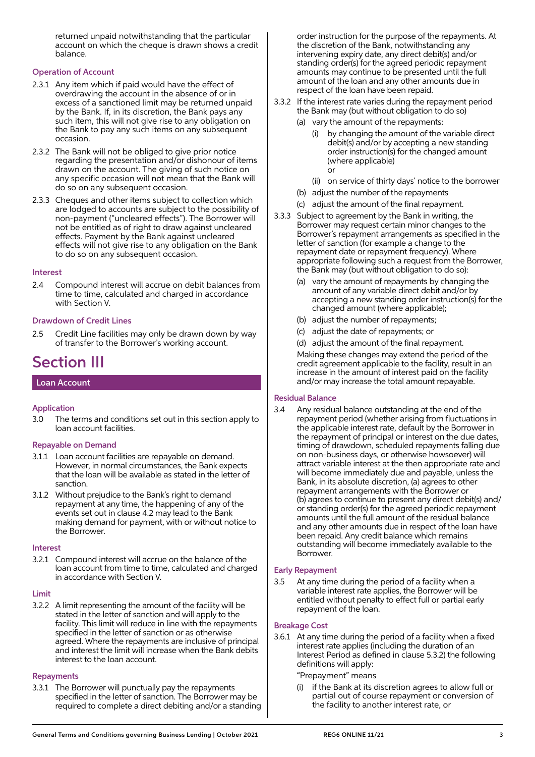returned unpaid notwithstanding that the particular account on which the cheque is drawn shows a credit balance.

## Operation of Account

- 2.3.1 Any item which if paid would have the effect of overdrawing the account in the absence of or in excess of a sanctioned limit may be returned unpaid by the Bank. If, in its discretion, the Bank pays any such item, this will not give rise to any obligation on the Bank to pay any such items on any subsequent occasion.
- 2.3.2 The Bank will not be obliged to give prior notice regarding the presentation and/or dishonour of items drawn on the account. The giving of such notice on any specific occasion will not mean that the Bank will do so on any subsequent occasion.
- 2.3.3 Cheques and other items subject to collection which are lodged to accounts are subject to the possibility of non-payment ("uncleared effects"). The Borrower will not be entitled as of right to draw against uncleared effects. Payment by the Bank against uncleared effects will not give rise to any obligation on the Bank to do so on any subsequent occasion.

#### Interest

2.4 Compound interest will accrue on debit balances from time to time, calculated and charged in accordance with Section V.

## Drawdown of Credit Lines

2.5 Credit Line facilities may only be drawn down by way of transfer to the Borrower's working account.

## Section III

#### Loan Account

## Application

3.0 The terms and conditions set out in this section apply to loan account facilities.

#### Repayable on Demand

- 3.1.1 Loan account facilities are repayable on demand. However, in normal circumstances, the Bank expects that the loan will be available as stated in the letter of sanction.
- 3.1.2 Without prejudice to the Bank's right to demand repayment at any time, the happening of any of the events set out in clause 4.2 may lead to the Bank making demand for payment, with or without notice to the Borrower.

#### Interest

3.2.1 Compound interest will accrue on the balance of the loan account from time to time, calculated and charged in accordance with Section V.

#### Limit

3.2.2 A limit representing the amount of the facility will be stated in the letter of sanction and will apply to the facility. This limit will reduce in line with the repayments specified in the letter of sanction or as otherwise agreed. Where the repayments are inclusive of principal and interest the limit will increase when the Bank debits interest to the loan account.

#### **Repayments**

3.3.1 The Borrower will punctually pay the repayments specified in the letter of sanction. The Borrower may be required to complete a direct debiting and/or a standing

order instruction for the purpose of the repayments. At the discretion of the Bank, notwithstanding any intervening expiry date, any direct debit(s) and/or standing order(s) for the agreed periodic repayment amounts may continue to be presented until the full amount of the loan and any other amounts due in respect of the loan have been repaid.

- 3.3.2 If the interest rate varies during the repayment period the Bank may (but without obligation to do so)
	- (a) vary the amount of the repayments:
		- (i) by changing the amount of the variable direct debit(s) and/or by accepting a new standing order instruction(s) for the changed amount (where applicable) or
		- (ii) on service of thirty days' notice to the borrower
	- (b) adjust the number of the repayments
	- (c) adjust the amount of the final repayment.
- 3.3.3 Subject to agreement by the Bank in writing, the Borrower may request certain minor changes to the Borrower's repayment arrangements as specified in the letter of sanction (for example a change to the repayment date or repayment frequency). Where appropriate following such a request from the Borrower, the Bank may (but without obligation to do so):
	- (a) vary the amount of repayments by changing the amount of any variable direct debit and/or by accepting a new standing order instruction(s) for the changed amount (where applicable);
	- (b) adjust the number of repayments;
	- (c) adjust the date of repayments; or
	- (d) adjust the amount of the final repayment.

 Making these changes may extend the period of the credit agreement applicable to the facility, result in an increase in the amount of interest paid on the facility and/or may increase the total amount repayable.

## Residual Balance

3.4 Any residual balance outstanding at the end of the repayment period (whether arising from fluctuations in the applicable interest rate, default by the Borrower in the repayment of principal or interest on the due dates, timing of drawdown, scheduled repayments falling due on non-business days, or otherwise howsoever) will attract variable interest at the then appropriate rate and will become immediately due and payable, unless the Bank, in its absolute discretion, (a) agrees to other repayment arrangements with the Borrower or (b) agrees to continue to present any direct debit(s) and/ or standing order(s) for the agreed periodic repayment amounts until the full amount of the residual balance and any other amounts due in respect of the loan have been repaid. Any credit balance which remains outstanding will become immediately available to the Borrower.

#### Early Repayment

3.5 At any time during the period of a facility when a variable interest rate applies, the Borrower will be entitled without penalty to effect full or partial early repayment of the loan.

## Breakage Cost

3.6.1 At any time during the period of a facility when a fixed interest rate applies (including the duration of an Interest Period as defined in clause 5.3.2) the following definitions will apply:

#### "Prepayment" means

if the Bank at its discretion agrees to allow full or partial out of course repayment or conversion of the facility to another interest rate, or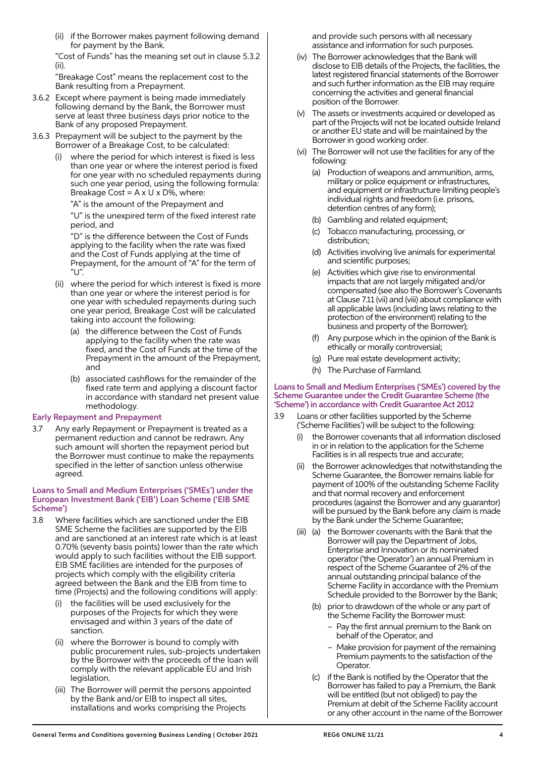(ii) if the Borrower makes payment following demand for payment by the Bank.

 "Cost of Funds" has the meaning set out in clause 5.3.2 (ii).

 "Breakage Cost" means the replacement cost to the Bank resulting from a Prepayment.

- 3.6.2 Except where payment is being made immediately following demand by the Bank, the Borrower must serve at least three business days prior notice to the Bank of any proposed Prepayment.
- 3.6.3 Prepayment will be subject to the payment by the Borrower of a Breakage Cost, to be calculated:
	- where the period for which interest is fixed is less than one year or where the interest period is fixed for one year with no scheduled repayments during such one year period, using the following formula: Breakage Cost =  $A \times U \times D\%$ , where:

 "A" is the amount of the Prepayment and "U" is the unexpired term of the fixed interest rate period, and

 "D" is the difference between the Cost of Funds applying to the facility when the rate was fixed and the Cost of Funds applying at the time of Prepayment, for the amount of "A" for the term of  $"$  $'$ 

- (ii) where the period for which interest is fixed is more than one year or where the interest period is for one year with scheduled repayments during such one year period, Breakage Cost will be calculated taking into account the following:
	- (a) the difference between the Cost of Funds applying to the facility when the rate was fixed, and the Cost of Funds at the time of the Prepayment in the amount of the Prepayment, and
	- (b) associated cashflows for the remainder of the fixed rate term and applying a discount factor in accordance with standard net present value methodology.

## Early Repayment and Prepayment

3.7 Any early Repayment or Prepayment is treated as a permanent reduction and cannot be redrawn. Any such amount will shorten the repayment period but the Borrower must continue to make the repayments specified in the letter of sanction unless otherwise agreed.

#### Loans to Small and Medium Enterprises ('SMEs') under the European Investment Bank ('EIB') Loan Scheme ('EIB SME Scheme')

- 3.8 Where facilities which are sanctioned under the EIB SME Scheme the facilities are supported by the EIB and are sanctioned at an interest rate which is at least 0.70% (seventy basis points) lower than the rate which would apply to such facilities without the EIB support. EIB SME facilities are intended for the purposes of projects which comply with the eligibility criteria agreed between the Bank and the EIB from time to time (Projects) and the following conditions will apply:
	- the facilities will be used exclusively for the purposes of the Projects for which they were envisaged and within 3 years of the date of sanction.
	- (ii) where the Borrower is bound to comply with public procurement rules, sub-projects undertaken by the Borrower with the proceeds of the loan will comply with the relevant applicable EU and Irish legislation.
	- (iii) The Borrower will permit the persons appointed by the Bank and/or EIB to inspect all sites, installations and works comprising the Projects

and provide such persons with all necessary assistance and information for such purposes.

- (iv) The Borrower acknowledges that the Bank will disclose to EIB details of the Projects, the facilities, the latest registered financial statements of the Borrower and such further information as the EIB may require concerning the activities and general financial position of the Borrower.
- (v) The assets or investments acquired or developed as part of the Projects will not be located outside Ireland or another EU state and will be maintained by the Borrower in good working order.
- (vi) The Borrower will not use the facilities for any of the following:
	- (a) Production of weapons and ammunition, arms, military or police equipment or infrastructures, and equipment or infrastructure limiting people's individual rights and freedom (i.e. prisons, detention centres of any form);
	- (b) Gambling and related equipment;
	- (c) Tobacco manufacturing, processing, or distribution;
	- (d) Activities involving live animals for experimental and scientific purposes;
	- (e) Activities which give rise to environmental impacts that are not largely mitigated and/or compensated (see also the Borrower's Covenants at Clause 7.11 (vii) and (viii) about compliance with all applicable laws (including laws relating to the protection of the environment) relating to the business and property of the Borrower);
	- (f) Any purpose which in the opinion of the Bank is ethically or morally controversial;
	- (g) Pure real estate development activity;
	- (h) The Purchase of Farmland.

#### Loans to Small and Medium Enterprises ('SMEs') covered by the Scheme Guarantee under the Credit Guarantee Scheme (the 'Scheme') in accordance with Credit Guarantee Act 2012

- 3.9 Loans or other facilities supported by the Scheme ('Scheme Facilities') will be subject to the following:
	- the Borrower covenants that all information disclosed in or in relation to the application for the Scheme Facilities is in all respects true and accurate;
	- the Borrower acknowledges that notwithstanding the Scheme Guarantee, the Borrower remains liable for payment of 100% of the outstanding Scheme Facility and that normal recovery and enforcement procedures (against the Borrower and any guarantor) will be pursued by the Bank before any claim is made by the Bank under the Scheme Guarantee;
	- (iii) (a) the Borrower covenants with the Bank that the Borrower will pay the Department of Jobs, Enterprise and Innovation or its nominated operator ('the Operator') an annual Premium in respect of the Scheme Guarantee of 2% of the annual outstanding principal balance of the Scheme Facility in accordance with the Premium Schedule provided to the Borrower by the Bank;
		- (b) prior to drawdown of the whole or any part of the Scheme Facility the Borrower must:
			- Pay the first annual premium to the Bank on behalf of the Operator, and
			- Make provision for payment of the remaining Premium payments to the satisfaction of the Operator.
		- (c) if the Bank is notified by the Operator that the Borrower has failed to pay a Premium, the Bank will be entitled (but not obliged) to pay the Premium at debit of the Scheme Facility account or any other account in the name of the Borrower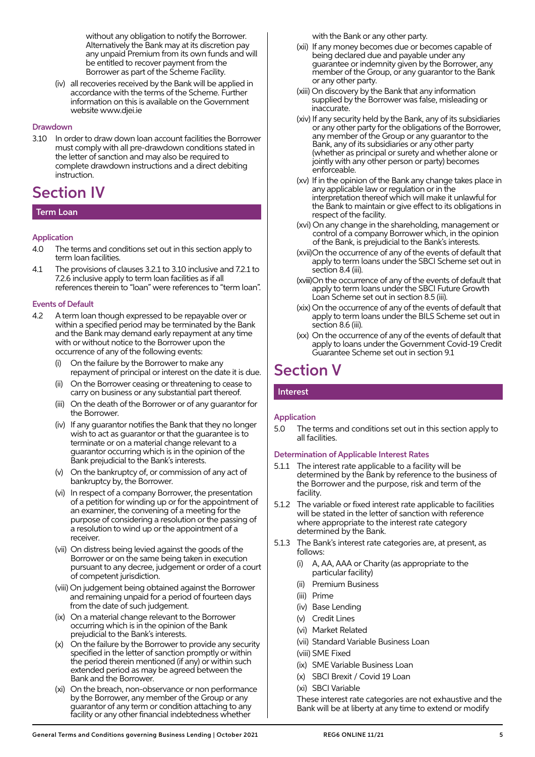without any obligation to notify the Borrower. Alternatively the Bank may at its discretion pay any unpaid Premium from its own funds and will be entitled to recover payment from the Borrower as part of the Scheme Facility.

 (iv) all recoveries received by the Bank will be applied in accordance with the terms of the Scheme. Further information on this is available on the Government website www.djei.ie

#### Drawdown

3.10 In order to draw down loan account facilities the Borrower must comply with all pre-drawdown conditions stated in the letter of sanction and may also be required to complete drawdown instructions and a direct debiting instruction.

## Section IV

## Term Loan

## Application

- 4.0 The terms and conditions set out in this section apply to term loan facilities.
- 4.1 The provisions of clauses 3.2.1 to 3.10 inclusive and 7.2.1 to 7.2.6 inclusive apply to term loan facilities as if all references therein to "loan" were references to "term loan".

## Events of Default

- 4.2 A term loan though expressed to be repayable over or within a specified period may be terminated by the Bank and the Bank may demand early repayment at any time with or without notice to the Borrower upon the occurrence of any of the following events:
	- (i) On the failure by the Borrower to make any repayment of principal or interest on the date it is due.
	- (ii) On the Borrower ceasing or threatening to cease to carry on business or any substantial part thereof.
	- (iii) On the death of the Borrower or of any guarantor for the Borrower.
	- (iv) If any guarantor notifies the Bank that they no longer wish to act as guarantor or that the guarantee is to terminate or on a material change relevant to a guarantor occurring which is in the opinion of the Bank prejudicial to the Bank's interests.
	- (v) On the bankruptcy of, or commission of any act of bankruptcy by, the Borrower.
	- (vi) In respect of a company Borrower, the presentation of a petition for winding up or for the appointment of an examiner, the convening of a meeting for the purpose of considering a resolution or the passing of a resolution to wind up or the appointment of a receiver.
	- (vii) On distress being levied against the goods of the Borrower or on the same being taken in execution pursuant to any decree, judgement or order of a court of competent jurisdiction.
	- (viii) On judgement being obtained against the Borrower and remaining unpaid for a period of fourteen days from the date of such judgement.
	- (ix) On a material change relevant to the Borrower occurring which is in the opinion of the Bank prejudicial to the Bank's interests.
	- (x) On the failure by the Borrower to provide any security specified in the letter of sanction promptly or within the period therein mentioned (if any) or within such extended period as may be agreed between the Bank and the Borrower.
	- (xi) On the breach, non-observance or non performance by the Borrower, any member of the Group or any guarantor of any term or condition attaching to any facility or any other financial indebtedness whether

with the Bank or any other party.

- (xii) If any money becomes due or becomes capable of being declared due and payable under any guarantee or indemnity given by the Borrower, any member of the Group, or any guarantor to the Bank or any other party.
- (xiii) On discovery by the Bank that any information supplied by the Borrower was false, misleading or inaccurate.
	- (xiv) If any security held by the Bank, any of its subsidiaries or any other party for the obligations of the Borrower, any member of the Group or any guarantor to the Bank, any of its subsidiaries or any other party (whether as principal or surety and whether alone or jointly with any other person or party) becomes enforceable.
	- (xv) If in the opinion of the Bank any change takes place in any applicable law or regulation or in the interpretation thereof which will make it unlawful for the Bank to maintain or give effect to its obligations in respect of the facility.
	- (xvi) On any change in the shareholding, management or control of a company Borrower which, in the opinion of the Bank, is prejudicial to the Bank's interests.
	- (xvii) On the occurrence of any of the events of default that apply to term loans under the SBCI Scheme set out in section 8.4 (iii).
	- (xviii) On the occurrence of any of the events of default that apply to term loans under the SBCI Future Growth Loan Scheme set out in section 8.5 (iii).
	- (xix) On the occurrence of any of the events of default that apply to term loans under the BILS Scheme set out in section 8.6 (iii).
	- (xx) On the occurrence of any of the events of default that apply to loans under the Government Covid-19 Credit Guarantee Scheme set out in section 9.1

# Section V

## Interest

## Application

5.0 The terms and conditions set out in this section apply to all facilities.

## Determination of Applicable Interest Rates

- 5.1.1 The interest rate applicable to a facility will be determined by the Bank by reference to the business of the Borrower and the purpose, risk and term of the facility.
- 5.1.2 The variable or fixed interest rate applicable to facilities will be stated in the letter of sanction with reference where appropriate to the interest rate category determined by the Bank.
- 5.1.3 The Bank's interest rate categories are, at present, as follows:
	- (i) A, AA, AAA or Charity (as appropriate to the particular facility)
	- (ii) Premium Business
	- (iii) Prime
	- (iv) Base Lending
	- (v) Credit Lines
	- (vi) Market Related
	- (vii) Standard Variable Business Loan

(viii) SME Fixed

- (ix) SME Variable Business Loan
- (x) SBCI Brexit / Covid 19 Loan
- (xi) SBCI Variable

 These interest rate categories are not exhaustive and the Bank will be at liberty at any time to extend or modify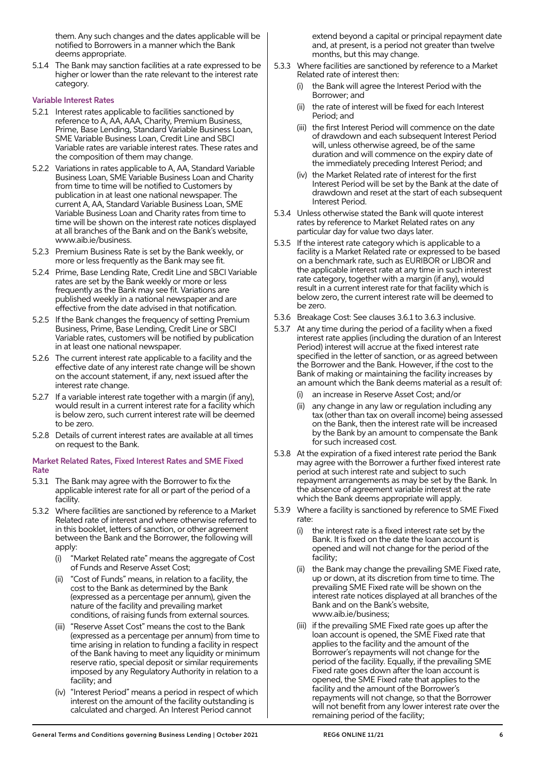them. Any such changes and the dates applicable will be notified to Borrowers in a manner which the Bank deems appropriate.

5.1.4 The Bank may sanction facilities at a rate expressed to be higher or lower than the rate relevant to the interest rate category.

## Variable Interest Rates

- 5.2.1 Interest rates applicable to facilities sanctioned by reference to A, AA, AAA, Charity, Premium Business, Prime, Base Lending, Standard Variable Business Loan, SME Variable Business Loan, Credit Line and SBCI Variable rates are variable interest rates. These rates and the composition of them may change.
- 5.2.2 Variations in rates applicable to A, AA, Standard Variable Business Loan, SME Variable Business Loan and Charity from time to time will be notified to Customers by publication in at least one national newspaper. The current A, AA, Standard Variable Business Loan, SME Variable Business Loan and Charity rates from time to time will be shown on the interest rate notices displayed at all branches of the Bank and on the Bank's website, www.aib.ie/business.
- 5.2.3 Premium Business Rate is set by the Bank weekly, or more or less frequently as the Bank may see fit.
- 5.2.4 Prime, Base Lending Rate, Credit Line and SBCI Variable rates are set by the Bank weekly or more or less frequently as the Bank may see fit. Variations are published weekly in a national newspaper and are effective from the date advised in that notification.
- 5.2.5 If the Bank changes the frequency of setting Premium Business, Prime, Base Lending, Credit Line or SBCI Variable rates, customers will be notified by publication in at least one national newspaper.
- 5.2.6 The current interest rate applicable to a facility and the effective date of any interest rate change will be shown on the account statement, if any, next issued after the interest rate change.
- 5.2.7 If a variable interest rate together with a margin (if any), would result in a current interest rate for a facility which is below zero, such current interest rate will be deemed to be zero.
- 5.2.8 Details of current interest rates are available at all times on request to the Bank.

#### Market Related Rates, Fixed Interest Rates and SME Fixed Rate

- 5.3.1 The Bank may agree with the Borrower to fix the applicable interest rate for all or part of the period of a facility.
- 5.3.2 Where facilities are sanctioned by reference to a Market Related rate of interest and where otherwise referred to in this booklet, letters of sanction, or other agreement between the Bank and the Borrower, the following will apply:
	- (i) "Market Related rate" means the aggregate of Cost of Funds and Reserve Asset Cost;
	- (ii) "Cost of Funds" means, in relation to a facility, the cost to the Bank as determined by the Bank (expressed as a percentage per annum), given the nature of the facility and prevailing market conditions, of raising funds from external sources.
	- (iii) "Reserve Asset Cost" means the cost to the Bank (expressed as a percentage per annum) from time to time arising in relation to funding a facility in respect of the Bank having to meet any liquidity or minimum reserve ratio, special deposit or similar requirements imposed by any Regulatory Authority in relation to a facility; and
	- (iv) "Interest Period" means a period in respect of which interest on the amount of the facility outstanding is calculated and charged. An Interest Period cannot

extend beyond a capital or principal repayment date and, at present, is a period not greater than twelve months, but this may change.

- 5.3.3 Where facilities are sanctioned by reference to a Market Related rate of interest then:
	- (i) the Bank will agree the Interest Period with the Borrower; and
	- (ii) the rate of interest will be fixed for each Interest Period; and
	- (iii) the first Interest Period will commence on the date of drawdown and each subsequent Interest Period will, unless otherwise agreed, be of the same duration and will commence on the expiry date of the immediately preceding Interest Period; and
	- (iv) the Market Related rate of interest for the first Interest Period will be set by the Bank at the date of drawdown and reset at the start of each subsequent Interest Period.
- 5.3.4 Unless otherwise stated the Bank will quote interest rates by reference to Market Related rates on any particular day for value two days later.
- 5.3.5 If the interest rate category which is applicable to a facility is a Market Related rate or expressed to be based on a benchmark rate, such as EURIBOR or LIBOR and the applicable interest rate at any time in such interest rate category, together with a margin (if any), would result in a current interest rate for that facility which is below zero, the current interest rate will be deemed to be zero.
- 5.3.6 Breakage Cost: See clauses 3.6.1 to 3.6.3 inclusive.
- 5.3.7 At any time during the period of a facility when a fixed interest rate applies (including the duration of an Interest Period) interest will accrue at the fixed interest rate specified in the letter of sanction, or as agreed between the Borrower and the Bank. However, if the cost to the Bank of making or maintaining the facility increases by an amount which the Bank deems material as a result of:
	- an increase in Reserve Asset Cost; and/or
	- (ii) any change in any law or regulation including any tax (other than tax on overall income) being assessed on the Bank, then the interest rate will be increased by the Bank by an amount to compensate the Bank for such increased cost.
- 5.3.8 At the expiration of a fixed interest rate period the Bank may agree with the Borrower a further fixed interest rate period at such interest rate and subject to such repayment arrangements as may be set by the Bank. In the absence of agreement variable interest at the rate which the Bank deems appropriate will apply.
- 5.3.9 Where a facility is sanctioned by reference to SME Fixed rate:
	- (i) the interest rate is a fixed interest rate set by the Bank. It is fixed on the date the loan account is opened and will not change for the period of the facility;
	- (ii) the Bank may change the prevailing SME Fixed rate, up or down, at its discretion from time to time. The prevailing SME Fixed rate will be shown on the interest rate notices displayed at all branches of the Bank and on the Bank's website, www.aib.ie/business;
	- (iii) if the prevailing SME Fixed rate goes up after the loan account is opened, the SME Fixed rate that applies to the facility and the amount of the Borrower's repayments will not change for the period of the facility. Equally, if the prevailing SME Fixed rate goes down after the loan account is opened, the SME Fixed rate that applies to the facility and the amount of the Borrower's repayments will not change, so that the Borrower will not benefit from any lower interest rate over the remaining period of the facility;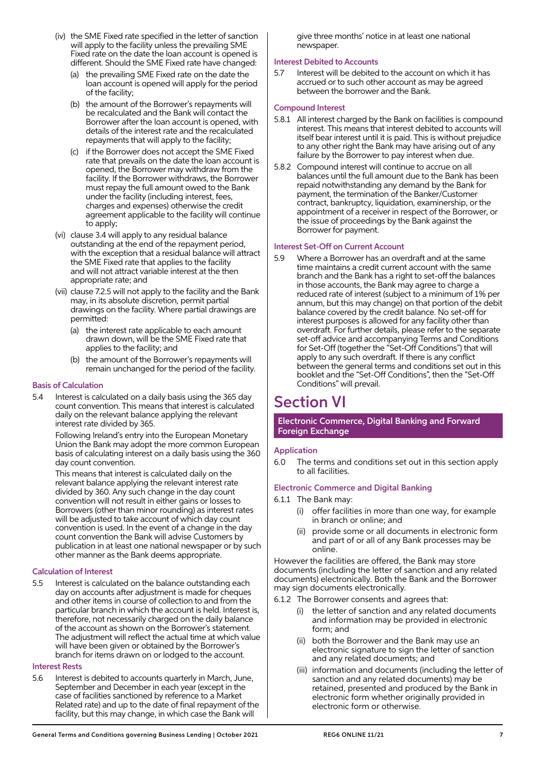- (iv) the SME Fixed rate specified in the letter of sanction will apply to the facility unless the prevailing SME Fixed rate on the date the loan account is opened is different. Should the SME Fixed rate have changed:
	- (a) the prevailing SME Fixed rate on the date the loan account is opened will apply for the period of the facility;
	- (b) the amount of the Borrower's repayments will be recalculated and the Bank will contact the Borrower after the loan account is opened, with details of the interest rate and the recalculated repayments that will apply to the facility;
	- (c) if the Borrower does not accept the SME Fixed rate that prevails on the date the loan account is opened, the Borrower may withdraw from the facility. If the Borrower withdraws, the Borrower must repay the full amount owed to the Bank under the facility (including interest, fees, charges and expenses) otherwise the credit agreement applicable to the facility will continue to apply;
- (vi) clause 3.4 will apply to any residual balance outstanding at the end of the repayment period, with the exception that a residual balance will attract the SME Fixed rate that applies to the facility and will not attract variable interest at the then appropriate rate; and
- (vii) clause 7.2.5 will not apply to the facility and the Bank may, in its absolute discretion, permit partial drawings on the facility. Where partial drawings are permitted:
	- (a) the interest rate applicable to each amount drawn down, will be the SME Fixed rate that applies to the facility; and
	- (b) the amount of the Borrower's repayments will remain unchanged for the period of the facility.

## Basis of Calculation

5.4 Interest is calculated on a daily basis using the 365 day count convention. This means that interest is calculated daily on the relevant balance applying the relevant interest rate divided by 365.

> Following Ireland's entry into the European Monetary Union the Bank may adopt the more common European basis of calculating interest on a daily basis using the 360 day count convention.

> This means that interest is calculated daily on the relevant balance applying the relevant interest rate divided by 360. Any such change in the day count convention will not result in either gains or losses to Borrowers (other than minor rounding) as interest rates will be adjusted to take account of which day count convention is used. In the event of a change in the day count convention the Bank will advise Customers by publication in at least one national newspaper or by such other manner as the Bank deems appropriate.

## Calculation of Interest

5.5 Interest is calculated on the balance outstanding each day on accounts after adjustment is made for cheques and other items in course of collection to and from the particular branch in which the account is held. Interest is, therefore, not necessarily charged on the daily balance of the account as shown on the Borrower's statement. The adjustment will reflect the actual time at which value will have been given or obtained by the Borrower's branch for items drawn on or lodged to the account.

## Interest Rests

5.6 Interest is debited to accounts quarterly in March, June, September and December in each year (except in the case of facilities sanctioned by reference to a Market Related rate) and up to the date of final repayment of the facility, but this may change, in which case the Bank will

give three months' notice in at least one national newspaper.

## Interest Debited to Accounts

5.7 Interest will be debited to the account on which it has accrued or to such other account as may be agreed between the borrower and the Bank.

## Compound Interest

- 5.8.1 All interest charged by the Bank on facilities is compound interest. This means that interest debited to accounts will itself bear interest until it is paid. This is without prejudice to any other right the Bank may have arising out of any failure by the Borrower to pay interest when due.
- 5.8.2 Compound interest will continue to accrue on all balances until the full amount due to the Bank has been repaid notwithstanding any demand by the Bank for payment, the termination of the Banker/Customer contract, bankruptcy, liquidation, examinership, or the appointment of a receiver in respect of the Borrower, or the issue of proceedings by the Bank against the Borrower for payment.

## Interest Set-Off on Current Account

5.9 Where a Borrower has an overdraft and at the same time maintains a credit current account with the same branch and the Bank has a right to set-off the balances in those accounts, the Bank may agree to charge a reduced rate of interest (subject to a minimum of 1% per annum, but this may change) on that portion of the debit balance covered by the credit balance. No set-off for interest purposes is allowed for any facility other than overdraft. For further details, please refer to the separate set-off advice and accompanying Terms and Conditions for Set-Off (together the "Set-Off Conditions") that will apply to any such overdraft. If there is any conflict between the general terms and conditions set out in this booklet and the "Set-Off Conditions", then the "Set-Off Conditions" will prevail.

# Section VI

Electronic Commerce, Digital Banking and Forward Foreign Exchange

## Application

6.0 The terms and conditions set out in this section apply to all facilities.

## Electronic Commerce and Digital Banking

- 6.1.1 The Bank may:
	- (i) offer facilities in more than one way, for example in branch or online; and
	- provide some or all documents in electronic form and part of or all of any Bank processes may be online.

However the facilities are offered, the Bank may store documents (including the letter of sanction and any related documents) electronically. Both the Bank and the Borrower may sign documents electronically.

- 6.1.2 The Borrower consents and agrees that:
	- the letter of sanction and any related documents and information may be provided in electronic form; and
	- (ii) both the Borrower and the Bank may use an electronic signature to sign the letter of sanction and any related documents; and
	- (iii) information and documents (including the letter of sanction and any related documents) may be retained, presented and produced by the Bank in electronic form whether originally provided in electronic form or otherwise.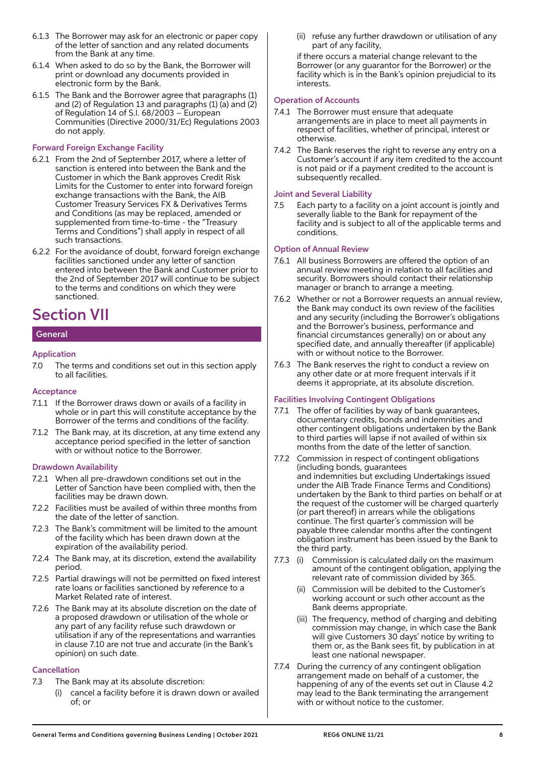- 6.1.3 The Borrower may ask for an electronic or paper copy of the letter of sanction and any related documents from the Bank at any time.
- 6.1.4 When asked to do so by the Bank, the Borrower will print or download any documents provided in electronic form by the Bank.
- 6.1.5 The Bank and the Borrower agree that paragraphs (1) and (2) of Regulation 13 and paragraphs (1) (a) and (2) of Regulation 14 of S.I. 68/2003 – European Communities (Directive 2000/31/Ec) Regulations 2003 do not apply.

## Forward Foreign Exchange Facility

- 6.2.1 From the 2nd of September 2017, where a letter of sanction is entered into between the Bank and the Customer in which the Bank approves Credit Risk Limits for the Customer to enter into forward foreign exchange transactions with the Bank, the AIB Customer Treasury Services FX & Derivatives Terms and Conditions (as may be replaced, amended or supplemented from time-to-time - the "Treasury Terms and Conditions") shall apply in respect of all such transactions.
- 6.2.2 For the avoidance of doubt, forward foreign exchange facilities sanctioned under any letter of sanction entered into between the Bank and Customer prior to the 2nd of September 2017 will continue to be subject to the terms and conditions on which they were sanctioned.

# Section VII

## **General**

## Application

7.0 The terms and conditions set out in this section apply to all facilities.

## Acceptance

- 7.1.1 If the Borrower draws down or avails of a facility in whole or in part this will constitute acceptance by the Borrower of the terms and conditions of the facility.
- 7.1.2 The Bank may, at its discretion, at any time extend any acceptance period specified in the letter of sanction with or without notice to the Borrower.

## Drawdown Availability

- 7.2.1 When all pre-drawdown conditions set out in the Letter of Sanction have been complied with, then the facilities may be drawn down.
- 7.2.2 Facilities must be availed of within three months from the date of the letter of sanction.
- 7.2.3 The Bank's commitment will be limited to the amount of the facility which has been drawn down at the expiration of the availability period.
- 7.2.4 The Bank may, at its discretion, extend the availability period.
- 7.2.5 Partial drawings will not be permitted on fixed interest rate loans or facilities sanctioned by reference to a Market Related rate of interest.
- 7.2.6 The Bank may at its absolute discretion on the date of a proposed drawdown or utilisation of the whole or any part of any facility refuse such drawdown or utilisation if any of the representations and warranties in clause 7.10 are not true and accurate (in the Bank's opinion) on such date.

## Cancellation

- 7.3 The Bank may at its absolute discretion:
	- (i) cancel a facility before it is drawn down or availed of; or

 (ii) refuse any further drawdown or utilisation of any part of any facility,

 if there occurs a material change relevant to the Borrower (or any guarantor for the Borrower) or the facility which is in the Bank's opinion prejudicial to its interests.

## Operation of Accounts

- 7.4.1 The Borrower must ensure that adequate arrangements are in place to meet all payments in respect of facilities, whether of principal, interest or otherwise.
- 7.4.2 The Bank reserves the right to reverse any entry on a Customer's account if any item credited to the account is not paid or if a payment credited to the account is subsequently recalled.

## Joint and Several Liability

7.5 Each party to a facility on a joint account is jointly and severally liable to the Bank for repayment of the facility and is subject to all of the applicable terms and conditions.

## Option of Annual Review

- 7.6.1 All business Borrowers are offered the option of an annual review meeting in relation to all facilities and security. Borrowers should contact their relationship manager or branch to arrange a meeting.
- 7.6.2 Whether or not a Borrower requests an annual review, the Bank may conduct its own review of the facilities and any security (including the Borrower's obligations and the Borrower's business, performance and financial circumstances generally) on or about any specified date, and annually thereafter (if applicable) with or without notice to the Borrower.
- 7.6.3 The Bank reserves the right to conduct a review on any other date or at more frequent intervals if it deems it appropriate, at its absolute discretion.

## Facilities Involving Contingent Obligations

- 7.7.1 The offer of facilities by way of bank guarantees, documentary credits, bonds and indemnities and other contingent obligations undertaken by the Bank to third parties will lapse if not availed of within six months from the date of the letter of sanction.
- 7.7.2 Commission in respect of contingent obligations (including bonds, guarantees and indemnities but excluding Undertakings issued under the AIB Trade Finance Terms and Conditions) undertaken by the Bank to third parties on behalf or at the request of the customer will be charged quarterly (or part thereof) in arrears while the obligations continue. The first quarter's commission will be payable three calendar months after the contingent obligation instrument has been issued by the Bank to the third party.
- 7.7.3 (i) Commission is calculated daily on the maximum amount of the contingent obligation, applying the relevant rate of commission divided by 365.
	- (ii) Commission will be debited to the Customer's working account or such other account as the Bank deems appropriate.
	- (iii) The frequency, method of charging and debiting commission may change, in which case the Bank will give Customers 30 days' notice by writing to them or, as the Bank sees fit, by publication in at least one national newspaper.
- 7.7.4 During the currency of any contingent obligation arrangement made on behalf of a customer, the happening of any of the events set out in Clause 4.2 may lead to the Bank terminating the arrangement with or without notice to the customer.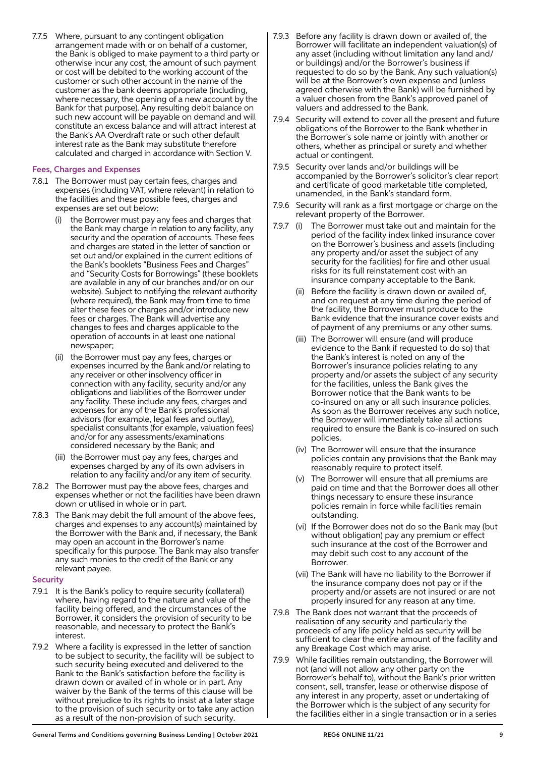7.7.5 Where, pursuant to any contingent obligation arrangement made with or on behalf of a customer, the Bank is obliged to make payment to a third party or otherwise incur any cost, the amount of such payment or cost will be debited to the working account of the customer or such other account in the name of the customer as the bank deems appropriate (including, where necessary, the opening of a new account by the Bank for that purpose). Any resulting debit balance on such new account will be payable on demand and will constitute an excess balance and will attract interest at the Bank's AA Overdraft rate or such other default interest rate as the Bank may substitute therefore calculated and charged in accordance with Section V.

## Fees, Charges and Expenses

- 7.8.1 The Borrower must pay certain fees, charges and expenses (including VAT, where relevant) in relation to the facilities and these possible fees, charges and expenses are set out below:
	- (i) the Borrower must pay any fees and charges that the Bank may charge in relation to any facility, any security and the operation of accounts. These fees and charges are stated in the letter of sanction or set out and/or explained in the current editions of the Bank's booklets "Business Fees and Charges" and "Security Costs for Borrowings" (these booklets are available in any of our branches and/or on our website). Subject to notifying the relevant authority (where required), the Bank may from time to time alter these fees or charges and/or introduce new fees or charges. The Bank will advertise any changes to fees and charges applicable to the operation of accounts in at least one national newspaper;
	- (ii) the Borrower must pay any fees, charges or expenses incurred by the Bank and/or relating to any receiver or other insolvency officer in connection with any facility, security and/or any obligations and liabilities of the Borrower under any facility. These include any fees, charges and expenses for any of the Bank's professional advisors (for example, legal fees and outlay), specialist consultants (for example, valuation fees) and/or for any assessments/examinations considered necessary by the Bank; and
	- (iii) the Borrower must pay any fees, charges and expenses charged by any of its own advisers in relation to any facility and/or any item of security.
- 7.8.2 The Borrower must pay the above fees, charges and expenses whether or not the facilities have been drawn down or utilised in whole or in part.
- 7.8.3 The Bank may debit the full amount of the above fees, charges and expenses to any account(s) maintained by the Borrower with the Bank and, if necessary, the Bank may open an account in the Borrower's name specifically for this purpose. The Bank may also transfer any such monies to the credit of the Bank or any relevant payee.

#### **Security**

- 7.9.1 It is the Bank's policy to require security (collateral) where, having regard to the nature and value of the facility being offered, and the circumstances of the Borrower, it considers the provision of security to be reasonable, and necessary to protect the Bank's interest.
- 7.9.2 Where a facility is expressed in the letter of sanction to be subject to security, the facility will be subject to such security being executed and delivered to the Bank to the Bank's satisfaction before the facility is drawn down or availed of in whole or in part. Any waiver by the Bank of the terms of this clause will be without prejudice to its rights to insist at a later stage to the provision of such security or to take any action as a result of the non-provision of such security.
- 7.9.3 Before any facility is drawn down or availed of, the Borrower will facilitate an independent valuation(s) of any asset (including without limitation any land and/ or buildings) and/or the Borrower's business if requested to do so by the Bank. Any such valuation(s) will be at the Borrower's own expense and (unless agreed otherwise with the Bank) will be furnished by a valuer chosen from the Bank's approved panel of valuers and addressed to the Bank.
- 7.9.4 Security will extend to cover all the present and future obligations of the Borrower to the Bank whether in the Borrower's sole name or jointly with another or others, whether as principal or surety and whether actual or contingent.
- 7.9.5 Security over lands and/or buildings will be accompanied by the Borrower's solicitor's clear report and certificate of good marketable title completed, unamended, in the Bank's standard form.
- 7.9.6 Security will rank as a first mortgage or charge on the relevant property of the Borrower.
- 7.9.7 (i) The Borrower must take out and maintain for the period of the facility index linked insurance cover on the Borrower's business and assets (including any property and/or asset the subject of any security for the facilities) for fire and other usual risks for its full reinstatement cost with an insurance company acceptable to the Bank.
	- (ii) Before the facility is drawn down or availed of, and on request at any time during the period of the facility, the Borrower must produce to the Bank evidence that the insurance cover exists and of payment of any premiums or any other sums.
	- (iii) The Borrower will ensure (and will produce evidence to the Bank if requested to do so) that the Bank's interest is noted on any of the Borrower's insurance policies relating to any property and/or assets the subject of any security for the facilities, unless the Bank gives the Borrower notice that the Bank wants to be co-insured on any or all such insurance policies. As soon as the Borrower receives any such notice, the Borrower will immediately take all actions required to ensure the Bank is co-insured on such policies.
	- (iv) The Borrower will ensure that the insurance policies contain any provisions that the Bank may reasonably require to protect itself.
	- (v) The Borrower will ensure that all premiums are paid on time and that the Borrower does all other things necessary to ensure these insurance policies remain in force while facilities remain outstanding.
	- (vi) If the Borrower does not do so the Bank may (but without obligation) pay any premium or effect such insurance at the cost of the Borrower and may debit such cost to any account of the Borrower.
	- (vii) The Bank will have no liability to the Borrower if the insurance company does not pay or if the property and/or assets are not insured or are not properly insured for any reason at any time.
- 7.9.8 The Bank does not warrant that the proceeds of realisation of any security and particularly the proceeds of any life policy held as security will be sufficient to clear the entire amount of the facility and any Breakage Cost which may arise.
- 7.9.9 While facilities remain outstanding, the Borrower will not (and will not allow any other party on the Borrower's behalf to), without the Bank's prior written consent, sell, transfer, lease or otherwise dispose of any interest in any property, asset or undertaking of the Borrower which is the subject of any security for the facilities either in a single transaction or in a series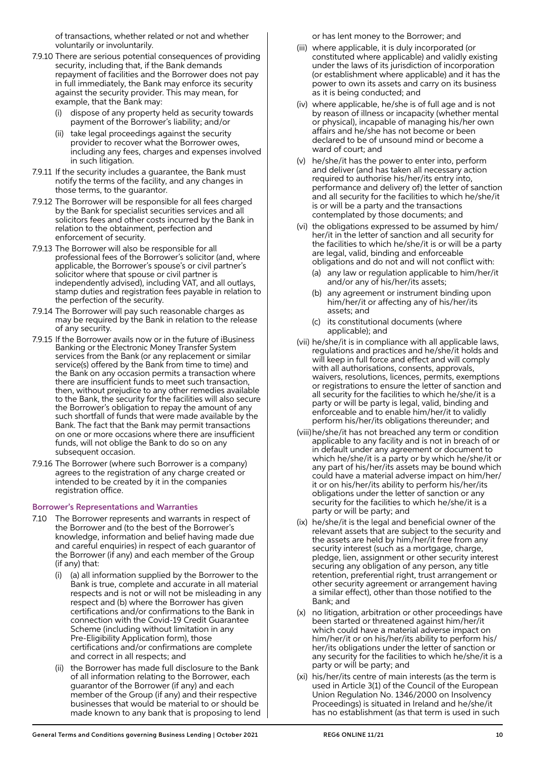of transactions, whether related or not and whether voluntarily or involuntarily.

- 7.9.10 There are serious potential consequences of providing security, including that, if the Bank demands repayment of facilities and the Borrower does not pay in full immediately, the Bank may enforce its security against the security provider. This may mean, for example, that the Bank may:
	- dispose of any property held as security towards payment of the Borrower's liability; and/or
	- (ii) take legal proceedings against the security provider to recover what the Borrower owes, including any fees, charges and expenses involved in such litigation.
- 7.9.11 If the security includes a guarantee, the Bank must notify the terms of the facility, and any changes in those terms, to the guarantor.
- 7.9.12 The Borrower will be responsible for all fees charged by the Bank for specialist securities services and all solicitors fees and other costs incurred by the Bank in relation to the obtainment, perfection and enforcement of security.
- 7.9.13 The Borrower will also be responsible for all professional fees of the Borrower's solicitor (and, where applicable, the Borrower's spouse's or civil partner's solicitor where that spouse or civil partner is independently advised), including VAT, and all outlays, stamp duties and registration fees payable in relation to the perfection of the security.
- 7.9.14 The Borrower will pay such reasonable charges as may be required by the Bank in relation to the release of any security.
- 7.9.15 If the Borrower avails now or in the future of iBusiness Banking or the Electronic Money Transfer System services from the Bank (or any replacement or similar service(s) offered by the Bank from time to time) and the Bank on any occasion permits a transaction where there are insufficient funds to meet such transaction, then, without prejudice to any other remedies available to the Bank, the security for the facilities will also secure the Borrower's obligation to repay the amount of any such shortfall of funds that were made available by the Bank. The fact that the Bank may permit transactions on one or more occasions where there are insufficient funds, will not oblige the Bank to do so on any subsequent occasion.
- 7.9.16 The Borrower (where such Borrower is a company) agrees to the registration of any charge created or intended to be created by it in the companies registration office.

## Borrower's Representations and Warranties

- 7.10 The Borrower represents and warrants in respect of the Borrower and (to the best of the Borrower's knowledge, information and belief having made due and careful enquiries) in respect of each guarantor of the Borrower (if any) and each member of the Group (if any) that:
	- (i) (a) all information supplied by the Borrower to the Bank is true, complete and accurate in all material respects and is not or will not be misleading in any respect and (b) where the Borrower has given certifications and/or confirmations to the Bank in connection with the Covid-19 Credit Guarantee Scheme (including without limitation in any Pre-Eligibility Application form), those certifications and/or confirmations are complete and correct in all respects; and
	- (ii) the Borrower has made full disclosure to the Bank of all information relating to the Borrower, each guarantor of the Borrower (if any) and each member of the Group (if any) and their respective businesses that would be material to or should be made known to any bank that is proposing to lend

or has lent money to the Borrower; and

- (iii) where applicable, it is duly incorporated (or constituted where applicable) and validly existing under the laws of its jurisdiction of incorporation (or establishment where applicable) and it has the power to own its assets and carry on its business as it is being conducted; and
- (iv) where applicable, he/she is of full age and is not by reason of illness or incapacity (whether mental or physical), incapable of managing his/her own affairs and he/she has not become or been declared to be of unsound mind or become a ward of court; and
- (v) he/she/it has the power to enter into, perform and deliver (and has taken all necessary action required to authorise his/her/its entry into, performance and delivery of) the letter of sanction and all security for the facilities to which he/she/it is or will be a party and the transactions contemplated by those documents; and
- (vi) the obligations expressed to be assumed by him/ her/it in the letter of sanction and all security for the facilities to which he/she/it is or will be a party are legal, valid, binding and enforceable obligations and do not and will not conflict with:
	- (a) any law or regulation applicable to him/her/it and/or any of his/her/its assets;
	- (b) any agreement or instrument binding upon him/her/it or affecting any of his/her/its assets; and
	- (c) its constitutional documents (where applicable); and
- (vii) he/she/it is in compliance with all applicable laws, regulations and practices and he/she/it holds and will keep in full force and effect and will comply with all authorisations, consents, approvals, waivers, resolutions, licences, permits, exemptions or registrations to ensure the letter of sanction and all security for the facilities to which he/she/it is a party or will be party is legal, valid, binding and enforceable and to enable him/her/it to validly perform his/her/its obligations thereunder; and
- (viii) he/she/it has not breached any term or condition applicable to any facility and is not in breach of or in default under any agreement or document to which he/she/it is a party or by which he/she/it or any part of his/her/its assets may be bound which could have a material adverse impact on him/her/ it or on his/her/its ability to perform his/her/its obligations under the letter of sanction or any security for the facilities to which he/she/it is a party or will be party; and
- (ix) he/she/it is the legal and beneficial owner of the relevant assets that are subject to the security and the assets are held by him/her/it free from any security interest (such as a mortgage, charge, pledge, lien, assignment or other security interest securing any obligation of any person, any title retention, preferential right, trust arrangement or other security agreement or arrangement having a similar effect), other than those notified to the Bank; and
- (x) no litigation, arbitration or other proceedings have been started or threatened against him/her/it which could have a material adverse impact on him/her/it or on his/her/its ability to perform his/ her/its obligations under the letter of sanction or any security for the facilities to which he/she/it is a party or will be party; and
- (xi) his/her/its centre of main interests (as the term is used in Article 3(1) of the Council of the European Union Regulation No. 1346/2000 on Insolvency Proceedings) is situated in Ireland and he/she/it has no establishment (as that term is used in such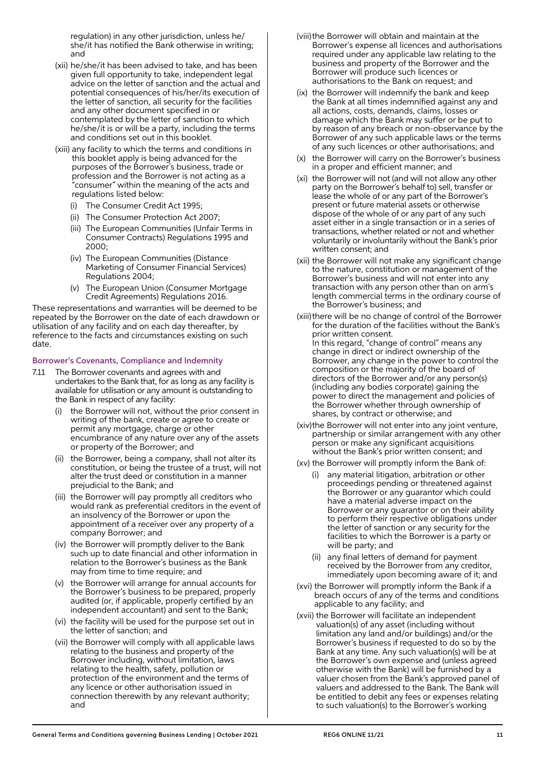regulation) in any other jurisdiction, unless he/ she/it has notified the Bank otherwise in writing; and

- (xii) he/she/it has been advised to take, and has been given full opportunity to take, independent legal advice on the letter of sanction and the actual and potential consequences of his/her/its execution of the letter of sanction, all security for the facilities and any other document specified in or contemplated by the letter of sanction to which he/she/it is or will be a party, including the terms and conditions set out in this booklet.
- (xiii) any facility to which the terms and conditions in this booklet apply is being advanced for the purposes of the Borrower's business, trade or profession and the Borrower is not acting as a "consumer" within the meaning of the acts and regulations listed below:
	- (i) The Consumer Credit Act 1995;
	- (ii) The Consumer Protection Act 2007;
	- (iii) The European Communities (Unfair Terms in Consumer Contracts) Regulations 1995 and 2000;
	- (iv) The European Communities (Distance Marketing of Consumer Financial Services) Regulations 2004;
	- (v) The European Union (Consumer Mortgage Credit Agreements) Regulations 2016.

These representations and warranties will be deemed to be repeated by the Borrower on the date of each drawdown or utilisation of any facility and on each day thereafter, by reference to the facts and circumstances existing on such date.

## Borrower's Covenants, Compliance and Indemnity

- 7.11 The Borrower covenants and agrees with and undertakes to the Bank that, for as long as any facility is available for utilisation or any amount is outstanding to the Bank in respect of any facility:
	- the Borrower will not, without the prior consent in writing of the bank, create or agree to create or permit any mortgage, charge or other encumbrance of any nature over any of the assets or property of the Borrower; and
	- (ii) the Borrower, being a company, shall not alter its constitution, or being the trustee of a trust, will not alter the trust deed or constitution in a manner prejudicial to the Bank; and
	- (iii) the Borrower will pay promptly all creditors who would rank as preferential creditors in the event of an insolvency of the Borrower or upon the appointment of a receiver over any property of a company Borrower; and
	- (iv) the Borrower will promptly deliver to the Bank such up to date financial and other information in relation to the Borrower's business as the Bank may from time to time require; and
	- (v) the Borrower will arrange for annual accounts for the Borrower's business to be prepared, properly audited (or, if applicable, properly certified by an independent accountant) and sent to the Bank;
	- (vi) the facility will be used for the purpose set out in the letter of sanction; and
	- (vii) the Borrower will comply with all applicable laws relating to the business and property of the Borrower including, without limitation, laws relating to the health, safety, pollution or protection of the environment and the terms of any licence or other authorisation issued in connection therewith by any relevant authority; and
- (viii) the Borrower will obtain and maintain at the Borrower's expense all licences and authorisations required under any applicable law relating to the business and property of the Borrower and the Borrower will produce such licences or authorisations to the Bank on request; and
- (ix) the Borrower will indemnify the bank and keep the Bank at all times indemnified against any and all actions, costs, demands, claims, losses or damage which the Bank may suffer or be put to by reason of any breach or non-observance by the Borrower of any such applicable laws or the terms of any such licences or other authorisations; and
- (x) the Borrower will carry on the Borrower's business in a proper and efficient manner; and
- (xi) the Borrower will not (and will not allow any other party on the Borrower's behalf to) sell, transfer or lease the whole of or any part of the Borrower's present or future material assets or otherwise dispose of the whole of or any part of any such asset either in a single transaction or in a series of transactions, whether related or not and whether voluntarily or involuntarily without the Bank's prior written consent; and
- (xii) the Borrower will not make any significant change to the nature, constitution or management of the Borrower's business and will not enter into any transaction with any person other than on arm's length commercial terms in the ordinary course of the Borrower's business; and
- (xiii) there will be no change of control of the Borrower for the duration of the facilities without the Bank's prior written consent. In this regard, "change of control" means any change in direct or indirect ownership of the Borrower, any change in the power to control the composition or the majority of the board of directors of the Borrower and/or any person(s) (including any bodies corporate) gaining the power to direct the management and policies of the Borrower whether through ownership of shares, by contract or otherwise; and
- (xiv) the Borrower will not enter into any joint venture, partnership or similar arrangement with any other person or make any significant acquisitions without the Bank's prior written consent; and
- (xv) the Borrower will promptly inform the Bank of:
	- (i) any material litigation, arbitration or other proceedings pending or threatened against the Borrower or any guarantor which could have a material adverse impact on the Borrower or any guarantor or on their ability to perform their respective obligations under the letter of sanction or any security for the facilities to which the Borrower is a party or will be party; and
	- (ii) any final letters of demand for payment received by the Borrower from any creditor, immediately upon becoming aware of it; and
- (xvi) the Borrower will promptly inform the Bank if a breach occurs of any of the terms and conditions applicable to any facility; and
- (xvii) the Borrower will facilitate an independent valuation(s) of any asset (including without limitation any land and/or buildings) and/or the Borrower's business if requested to do so by the Bank at any time. Any such valuation(s) will be at the Borrower's own expense and (unless agreed otherwise with the Bank) will be furnished by a valuer chosen from the Bank's approved panel of valuers and addressed to the Bank. The Bank will be entitled to debit any fees or expenses relating to such valuation(s) to the Borrower's working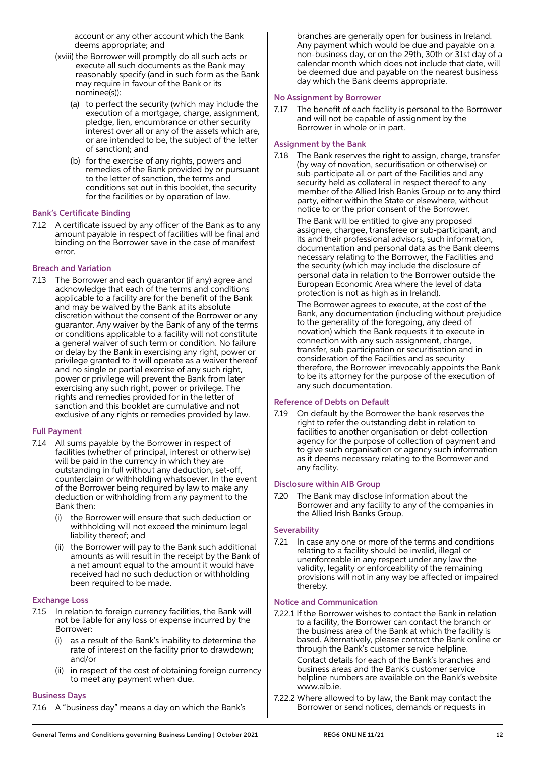account or any other account which the Bank deems appropriate; and

- (xviii) the Borrower will promptly do all such acts or execute all such documents as the Bank may reasonably specify (and in such form as the Bank may require in favour of the Bank or its nominee(s)):
	- (a) to perfect the security (which may include the execution of a mortgage, charge, assignment, pledge, lien, encumbrance or other security interest over all or any of the assets which are, or are intended to be, the subject of the letter of sanction); and
	- (b) for the exercise of any rights, powers and remedies of the Bank provided by or pursuant to the letter of sanction, the terms and conditions set out in this booklet, the security for the facilities or by operation of law.

## Bank's Certificate Binding

7.12 A certificate issued by any officer of the Bank as to any amount payable in respect of facilities will be final and binding on the Borrower save in the case of manifest error.

## Breach and Variation

7.13 The Borrower and each guarantor (if any) agree and acknowledge that each of the terms and conditions applicable to a facility are for the benefit of the Bank and may be waived by the Bank at its absolute discretion without the consent of the Borrower or any guarantor. Any waiver by the Bank of any of the terms or conditions applicable to a facility will not constitute a general waiver of such term or condition. No failure or delay by the Bank in exercising any right, power or privilege granted to it will operate as a waiver thereof and no single or partial exercise of any such right, power or privilege will prevent the Bank from later exercising any such right, power or privilege. The rights and remedies provided for in the letter of sanction and this booklet are cumulative and not exclusive of any rights or remedies provided by law.

## Full Payment

- 7.14 All sums payable by the Borrower in respect of facilities (whether of principal, interest or otherwise) will be paid in the currency in which they are outstanding in full without any deduction, set-off, counterclaim or withholding whatsoever. In the event of the Borrower being required by law to make any deduction or withholding from any payment to the Bank then:
	- the Borrower will ensure that such deduction or withholding will not exceed the minimum legal liability thereof; and
	- (ii) the Borrower will pay to the Bank such additional amounts as will result in the receipt by the Bank of a net amount equal to the amount it would have received had no such deduction or withholding been required to be made.

## Exchange Loss

- 7.15 In relation to foreign currency facilities, the Bank will not be liable for any loss or expense incurred by the Borrower:
	- as a result of the Bank's inability to determine the rate of interest on the facility prior to drawdown; and/or
	- (ii) in respect of the cost of obtaining foreign currency to meet any payment when due.

#### Business Days

7.16 A "business day" means a day on which the Bank's

branches are generally open for business in Ireland. Any payment which would be due and payable on a non-business day, or on the 29th, 30th or 31st day of a calendar month which does not include that date, will be deemed due and payable on the nearest business day which the Bank deems appropriate.

## No Assignment by Borrower

7.17 The benefit of each facility is personal to the Borrower and will not be capable of assignment by the Borrower in whole or in part.

#### Assignment by the Bank

7.18 The Bank reserves the right to assign, charge, transfer (by way of novation, securitisation or otherwise) or sub-participate all or part of the Facilities and any security held as collateral in respect thereof to any member of the Allied Irish Banks Group or to any third party, either within the State or elsewhere, without notice to or the prior consent of the Borrower.

> The Bank will be entitled to give any proposed assignee, chargee, transferee or sub-participant, and its and their professional advisors, such information, documentation and personal data as the Bank deems necessary relating to the Borrower, the Facilities and the security (which may include the disclosure of personal data in relation to the Borrower outside the European Economic Area where the level of data protection is not as high as in Ireland).

 The Borrower agrees to execute, at the cost of the Bank, any documentation (including without prejudice to the generality of the foregoing, any deed of novation) which the Bank requests it to execute in connection with any such assignment, charge, transfer, sub-participation or securitisation and in consideration of the Facilities and as security therefore, the Borrower irrevocably appoints the Bank to be its attorney for the purpose of the execution of any such documentation.

## Reference of Debts on Default

7.19 On default by the Borrower the bank reserves the right to refer the outstanding debt in relation to facilities to another organisation or debt-collection agency for the purpose of collection of payment and to give such organisation or agency such information as it deems necessary relating to the Borrower and any facility.

## Disclosure within AIB Group

7.20 The Bank may disclose information about the Borrower and any facility to any of the companies in the Allied Irish Banks Group.

#### **Severability**

7.21 In case any one or more of the terms and conditions relating to a facility should be invalid, illegal or unenforceable in any respect under any law the validity, legality or enforceability of the remaining provisions will not in any way be affected or impaired thereby.

#### Notice and Communication

7.22.1 If the Borrower wishes to contact the Bank in relation to a facility, the Borrower can contact the branch or the business area of the Bank at which the facility is based. Alternatively, please contact the Bank online or through the Bank's customer service helpline.

 Contact details for each of the Bank's branches and business areas and the Bank's customer service helpline numbers are available on the Bank's website www.aib.ie.

7.22.2 Where allowed to by law, the Bank may contact the Borrower or send notices, demands or requests in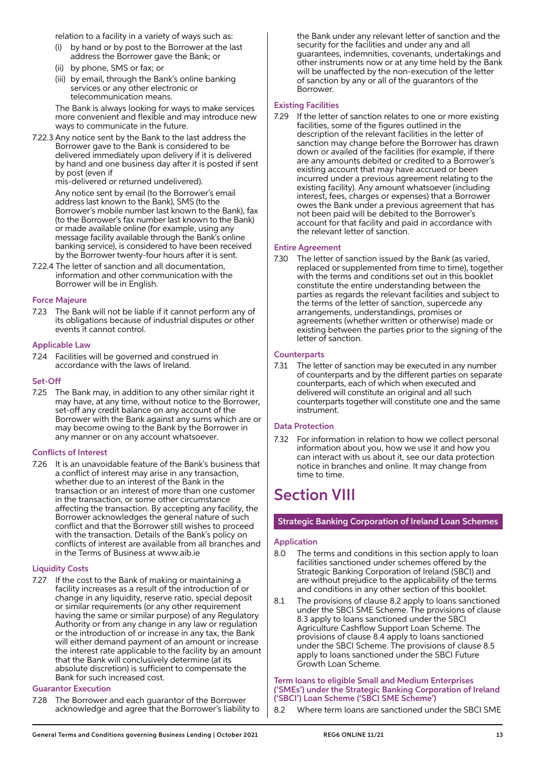relation to a facility in a variety of ways such as:

- by hand or by post to the Borrower at the last address the Borrower gave the Bank; or
- (ii) by phone, SMS or fax; or
- (iii) by email, through the Bank's online banking services or any other electronic or telecommunication means.

 The Bank is always looking for ways to make services more convenient and flexible and may introduce new ways to communicate in the future.

7.22.3 Any notice sent by the Bank to the last address the Borrower gave to the Bank is considered to be delivered immediately upon delivery if it is delivered by hand and one business day after it is posted if sent by post (even if

mis-delivered or returned undelivered).

 Any notice sent by email (to the Borrower's email address last known to the Bank), SMS (to the Borrower's mobile number last known to the Bank), fax (to the Borrower's fax number last known to the Bank) or made available online (for example, using any message facility available through the Bank's online banking service), is considered to have been received by the Borrower twenty-four hours after it is sent.

7.22.4 The letter of sanction and all documentation, information and other communication with the Borrower will be in English.

## Force Majeure

7.23 The Bank will not be liable if it cannot perform any of its obligations because of industrial disputes or other events it cannot control.

## Applicable Law

7.24 Facilities will be governed and construed in accordance with the laws of Ireland.

## Set-Off

7.25 The Bank may, in addition to any other similar right it may have, at any time, without notice to the Borrower, set-off any credit balance on any account of the Borrower with the Bank against any sums which are or may become owing to the Bank by the Borrower in any manner or on any account whatsoever.

## Conflicts of Interest

7.26 It is an unavoidable feature of the Bank's business that a conflict of interest may arise in any transaction, whether due to an interest of the Bank in the transaction or an interest of more than one customer in the transaction, or some other circumstance affecting the transaction. By accepting any facility, the Borrower acknowledges the general nature of such conflict and that the Borrower still wishes to proceed with the transaction. Details of the Bank's policy on conflicts of interest are available from all branches and in the Terms of Business at www.aib.ie

## Liquidity Costs

7.27 If the cost to the Bank of making or maintaining a facility increases as a result of the introduction of or change in any liquidity, reserve ratio, special deposit or similar requirements (or any other requirement having the same or similar purpose) of any Regulatory Authority or from any change in any law or regulation or the introduction of or increase in any tax, the Bank will either demand payment of an amount or increase the interest rate applicable to the facility by an amount that the Bank will conclusively determine (at its absolute discretion) is sufficient to compensate the Bank for such increased cost.

## Guarantor Execution

7.28 The Borrower and each guarantor of the Borrower acknowledge and agree that the Borrower's liability to the Bank under any relevant letter of sanction and the security for the facilities and under any and all guarantees, indemnities, covenants, undertakings and other instruments now or at any time held by the Bank will be unaffected by the non-execution of the letter of sanction by any or all of the guarantors of the Borrower.

## Existing Facilities

7.29 If the letter of sanction relates to one or more existing facilities, some of the figures outlined in the description of the relevant facilities in the letter of sanction may change before the Borrower has drawn down or availed of the facilities (for example, if there are any amounts debited or credited to a Borrower's existing account that may have accrued or been incurred under a previous agreement relating to the existing facility). Any amount whatsoever (including interest, fees, charges or expenses) that a Borrower owes the Bank under a previous agreement that has not been paid will be debited to the Borrower's account for that facility and paid in accordance with the relevant letter of sanction.

## Entire Agreement

7.30 The letter of sanction issued by the Bank (as varied, replaced or supplemented from time to time), together with the terms and conditions set out in this booklet constitute the entire understanding between the parties as regards the relevant facilities and subject to the terms of the letter of sanction, supercede any arrangements, understandings, promises or agreements (whether written or otherwise) made or existing between the parties prior to the signing of the letter of sanction.

## **Counterparts**

7.31 The letter of sanction may be executed in any number of counterparts and by the different parties on separate counterparts, each of which when executed and delivered will constitute an original and all such counterparts together will constitute one and the same instrument.

## Data Protection

7.32 For information in relation to how we collect personal information about you, how we use it and how you can interact with us about it, see our data protection notice in branches and online. It may change from time to time.

## Section VIII

## Strategic Banking Corporation of Ireland Loan Schemes

## Application

- 8.0 The terms and conditions in this section apply to loan facilities sanctioned under schemes offered by the Strategic Banking Corporation of Ireland (SBCI) and are without prejudice to the applicability of the terms and conditions in any other section of this booklet.
- 8.1 The provisions of clause 8.2 apply to loans sanctioned under the SBCI SME Scheme. The provisions of clause 8.3 apply to loans sanctioned under the SBCI Agriculture Cashflow Support Loan Scheme. The provisions of clause 8.4 apply to loans sanctioned under the SBCI Scheme. The provisions of clause 8.5 apply to loans sanctioned under the SBCI Future Growth Loan Scheme.

## Term loans to eligible Small and Medium Enterprises ('SMEs') under the Strategic Banking Corporation of Ireland ('SBCI') Loan Scheme ('SBCI SME Scheme')

8.2 Where term loans are sanctioned under the SBCI SME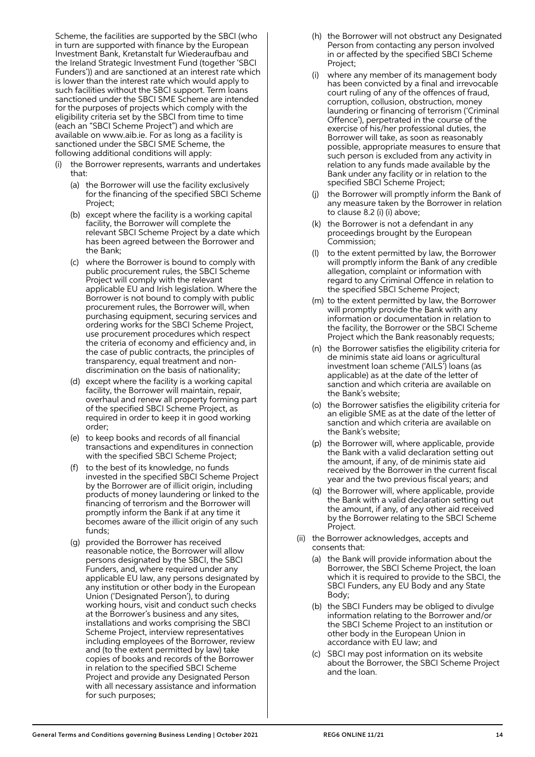Scheme, the facilities are supported by the SBCI (who in turn are supported with finance by the European Investment Bank, Kretanstalt fur Wiederaufbau and the Ireland Strategic Investment Fund (together 'SBCI Funders')) and are sanctioned at an interest rate which is lower than the interest rate which would apply to such facilities without the SBCI support. Term loans sanctioned under the SBCI SME Scheme are intended for the purposes of projects which comply with the eligibility criteria set by the SBCI from time to time (each an "SBCI Scheme Project") and which are available on www.aib.ie. For as long as a facility is sanctioned under the SBCI SME Scheme, the following additional conditions will apply:

- the Borrower represents, warrants and undertakes that:
	- (a) the Borrower will use the facility exclusively for the financing of the specified SBCI Scheme Project;
	- (b) except where the facility is a working capital facility, the Borrower will complete the relevant SBCI Scheme Project by a date which has been agreed between the Borrower and the Bank;
	- (c) where the Borrower is bound to comply with public procurement rules, the SBCI Scheme Project will comply with the relevant applicable EU and Irish legislation. Where the Borrower is not bound to comply with public procurement rules, the Borrower will, when purchasing equipment, securing services and ordering works for the SBCI Scheme Project, use procurement procedures which respect the criteria of economy and efficiency and, in the case of public contracts, the principles of transparency, equal treatment and nondiscrimination on the basis of nationality;
	- (d) except where the facility is a working capital facility, the Borrower will maintain, repair, overhaul and renew all property forming part of the specified SBCI Scheme Project, as required in order to keep it in good working order;
	- (e) to keep books and records of all financial transactions and expenditures in connection with the specified SBCI Scheme Project;
	- (f) to the best of its knowledge, no funds invested in the specified SBCI Scheme Project by the Borrower are of illicit origin, including products of money laundering or linked to the financing of terrorism and the Borrower will promptly inform the Bank if at any time it becomes aware of the illicit origin of any such funds;
	- (g) provided the Borrower has received reasonable notice, the Borrower will allow persons designated by the SBCI, the SBCI Funders, and, where required under any applicable EU law, any persons designated by any institution or other body in the European Union ('Designated Person'), to during working hours, visit and conduct such checks at the Borrower's business and any sites, installations and works comprising the SBCI Scheme Project, interview representatives including employees of the Borrower, review and (to the extent permitted by law) take copies of books and records of the Borrower in relation to the specified SBCI Scheme Project and provide any Designated Person with all necessary assistance and information for such purposes;
- (h) the Borrower will not obstruct any Designated Person from contacting any person involved in or affected by the specified SBCI Scheme Project;
- where any member of its management body has been convicted by a final and irrevocable court ruling of any of the offences of fraud, corruption, collusion, obstruction, money laundering or financing of terrorism ('Criminal Offence'), perpetrated in the course of the exercise of his/her professional duties, the Borrower will take, as soon as reasonably possible, appropriate measures to ensure that such person is excluded from any activity in relation to any funds made available by the Bank under any facility or in relation to the specified SBCI Scheme Project;
- (j) the Borrower will promptly inform the Bank of any measure taken by the Borrower in relation to clause 8.2 (i) (i) above;
- (k) the Borrower is not a defendant in any proceedings brought by the European Commission;
- to the extent permitted by law, the Borrower will promptly inform the Bank of any credible allegation, complaint or information with regard to any Criminal Offence in relation to the specified SBCI Scheme Project;
- (m) to the extent permitted by law, the Borrower will promptly provide the Bank with any information or documentation in relation to the facility, the Borrower or the SBCI Scheme Project which the Bank reasonably requests;
- (n) the Borrower satisfies the eligibility criteria for de minimis state aid loans or agricultural investment loan scheme ('AILS') loans (as applicable) as at the date of the letter of sanction and which criteria are available on the Bank's website;
- (o) the Borrower satisfies the eligibility criteria for an eligible SME as at the date of the letter of sanction and which criteria are available on the Bank's website;
- (p) the Borrower will, where applicable, provide the Bank with a valid declaration setting out the amount, if any, of de minimis state aid received by the Borrower in the current fiscal year and the two previous fiscal years; and
- (q) the Borrower will, where applicable, provide the Bank with a valid declaration setting out the amount, if any, of any other aid received by the Borrower relating to the SBCI Scheme Project.
- (ii) the Borrower acknowledges, accepts and consents that:
	- (a) the Bank will provide information about the Borrower, the SBCI Scheme Project, the loan which it is required to provide to the SBCI, the SBCI Funders, any EU Body and any State Body;
	- (b) the SBCI Funders may be obliged to divulge information relating to the Borrower and/or the SBCI Scheme Project to an institution or other body in the European Union in accordance with EU law; and
	- (c) SBCI may post information on its website about the Borrower, the SBCI Scheme Project and the loan.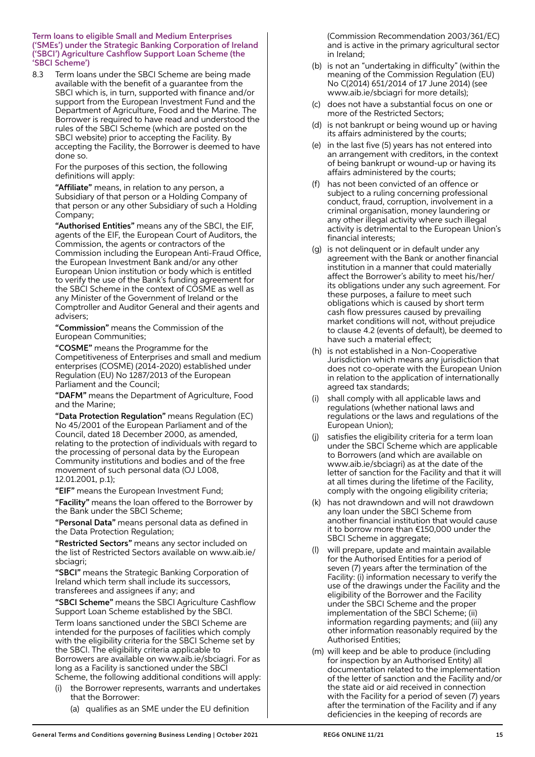Term loans to eligible Small and Medium Enterprises ('SMEs') under the Strategic Banking Corporation of Ireland ('SBCI') Agriculture Cashflow Support Loan Scheme (the 'SBCI Scheme')

8.3 Term loans under the SBCI Scheme are being made available with the benefit of a guarantee from the SBCI which is, in turn, supported with finance and/or support from the European Investment Fund and the Department of Agriculture, Food and the Marine. The Borrower is required to have read and understood the rules of the SBCI Scheme (which are posted on the SBCI website) prior to accepting the Facility. By accepting the Facility, the Borrower is deemed to have done so.

> For the purposes of this section, the following definitions will apply:

"Affiliate" means, in relation to any person, a Subsidiary of that person or a Holding Company of that person or any other Subsidiary of such a Holding Company;

"Authorised Entities" means any of the SBCI, the EIF, agents of the EIF, the European Court of Auditors, the Commission, the agents or contractors of the Commission including the European Anti-Fraud Office, the European Investment Bank and/or any other European Union institution or body which is entitled to verify the use of the Bank's funding agreement for the SBCI Scheme in the context of COSME as well as any Minister of the Government of Ireland or the Comptroller and Auditor General and their agents and advisers;

 "Commission" means the Commission of the European Communities;

 "COSME" means the Programme for the Competitiveness of Enterprises and small and medium enterprises (COSME) (2014-2020) established under Regulation (EU) No 1287/2013 of the European Parliament and the Council;

 "DAFM" means the Department of Agriculture, Food and the Marine;

 "Data Protection Regulation" means Regulation (EC) No 45/2001 of the European Parliament and of the Council, dated 18 December 2000, as amended, relating to the protection of individuals with regard to the processing of personal data by the European Community institutions and bodies and of the free movement of such personal data (OJ L008, 12.01.2001, p.1);

"EIF" means the European Investment Fund;

 "Facility" means the loan offered to the Borrower by the Bank under the SBCI Scheme;

 "Personal Data" means personal data as defined in the Data Protection Regulation;

 "Restricted Sectors" means any sector included on the list of Restricted Sectors available on www.aib.ie/ sbciagri;

 "SBCI" means the Strategic Banking Corporation of Ireland which term shall include its successors, transferees and assignees if any; and

 "SBCI Scheme" means the SBCI Agriculture Cashflow Support Loan Scheme established by the SBCI.

 Term loans sanctioned under the SBCI Scheme are intended for the purposes of facilities which comply with the eligibility criteria for the SBCI Scheme set by the SBCI. The eligibility criteria applicable to Borrowers are available on www.aib.ie/sbciagri. For as long as a Facility is sanctioned under the SBCI Scheme, the following additional conditions will apply:

- the Borrower represents, warrants and undertakes that the Borrower:
	- (a) qualifies as an SME under the EU definition

(Commission Recommendation 2003/361/EC) and is active in the primary agricultural sector in Ireland;

- (b) is not an "undertaking in difficulty" (within the meaning of the Commission Regulation (EU) No C(2014) 651/2014 of 17 June 2014) (see www.aib.ie/sbciagri for more details);
- (c) does not have a substantial focus on one or more of the Restricted Sectors;
- (d) is not bankrupt or being wound up or having its affairs administered by the courts;
- (e) in the last five (5) years has not entered into an arrangement with creditors, in the context of being bankrupt or wound-up or having its affairs administered by the courts;
- (f) has not been convicted of an offence or subject to a ruling concerning professional conduct, fraud, corruption, involvement in a criminal organisation, money laundering or any other illegal activity where such illegal activity is detrimental to the European Union's financial interests;
- (g) is not delinquent or in default under any agreement with the Bank or another financial institution in a manner that could materially affect the Borrower's ability to meet his/her/ its obligations under any such agreement. For these purposes, a failure to meet such obligations which is caused by short term cash flow pressures caused by prevailing market conditions will not, without prejudice to clause 4.2 (events of default), be deemed to have such a material effect;
- (h) is not established in a Non-Cooperative Jurisdiction which means any jurisdiction that does not co-operate with the European Union in relation to the application of internationally agreed tax standards;
- shall comply with all applicable laws and regulations (whether national laws and regulations or the laws and regulations of the European Union);
- satisfies the eligibility criteria for a term loan under the SBCI Scheme which are applicable to Borrowers (and which are available on www.aib.ie/sbciagri) as at the date of the letter of sanction for the Facility and that it will at all times during the lifetime of the Facility. comply with the ongoing eligibility criteria;
- (k) has not drawndown and will not drawdown any loan under the SBCI Scheme from another financial institution that would cause it to borrow more than €150,000 under the SBCI Scheme in aggregate;
- (l) will prepare, update and maintain available for the Authorised Entities for a period of seven (7) years after the termination of the Facility: (i) information necessary to verify the use of the drawings under the Facility and the eligibility of the Borrower and the Facility under the SBCI Scheme and the proper implementation of the SBCI Scheme; (ii) information regarding payments; and (iii) any other information reasonably required by the Authorised Entities;
- (m) will keep and be able to produce (including for inspection by an Authorised Entity) all documentation related to the implementation of the letter of sanction and the Facility and/or the state aid or aid received in connection with the Facility for a period of seven (7) years after the termination of the Facility and if any deficiencies in the keeping of records are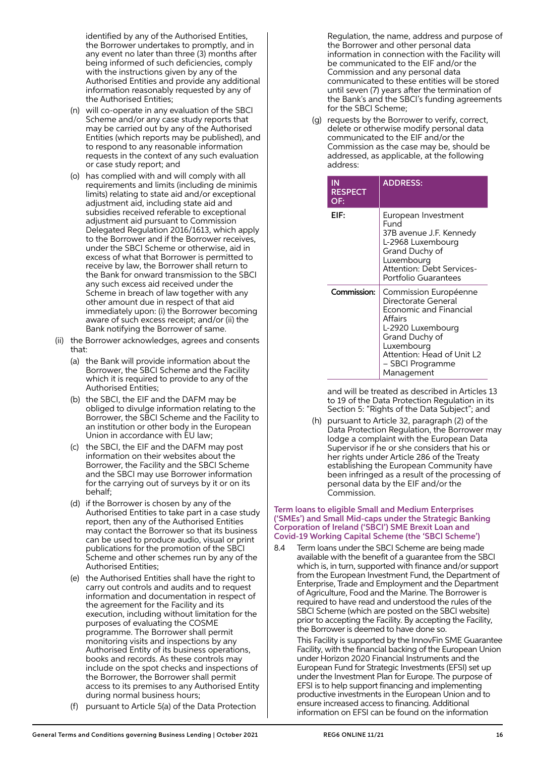identified by any of the Authorised Entities, the Borrower undertakes to promptly, and in any event no later than three (3) months after being informed of such deficiencies, comply with the instructions given by any of the Authorised Entities and provide any additional information reasonably requested by any of the Authorised Entities;

- (n) will co-operate in any evaluation of the SBCI Scheme and/or any case study reports that may be carried out by any of the Authorised Entities (which reports may be published), and to respond to any reasonable information requests in the context of any such evaluation or case study report; and
- (o) has complied with and will comply with all requirements and limits (including de minimis limits) relating to state aid and/or exceptional adjustment aid, including state aid and subsidies received referable to exceptional adjustment aid pursuant to Commission Delegated Regulation 2016/1613, which apply to the Borrower and if the Borrower receives, under the SBCI Scheme or otherwise, aid in excess of what that Borrower is permitted to receive by law, the Borrower shall return to the Bank for onward transmission to the SBCI any such excess aid received under the Scheme in breach of law together with any other amount due in respect of that aid immediately upon: (i) the Borrower becoming aware of such excess receipt; and/or (ii) the Bank notifying the Borrower of same.
- (ii) the Borrower acknowledges, agrees and consents that:
	- (a) the Bank will provide information about the Borrower, the SBCI Scheme and the Facility which it is required to provide to any of the Authorised Entities;
	- (b) the SBCI, the EIF and the DAFM may be obliged to divulge information relating to the Borrower, the SBCI Scheme and the Facility to an institution or other body in the European Union in accordance with EU law;
	- (c) the SBCI, the EIF and the DAFM may post information on their websites about the Borrower, the Facility and the SBCI Scheme and the SBCI may use Borrower information for the carrying out of surveys by it or on its behalf;
	- (d) if the Borrower is chosen by any of the Authorised Entities to take part in a case study report, then any of the Authorised Entities may contact the Borrower so that its business can be used to produce audio, visual or print publications for the promotion of the SBCI Scheme and other schemes run by any of the Authorised Entities;
	- (e) the Authorised Entities shall have the right to carry out controls and audits and to request information and documentation in respect of the agreement for the Facility and its execution, including without limitation for the purposes of evaluating the COSME programme. The Borrower shall permit monitoring visits and inspections by any Authorised Entity of its business operations, books and records. As these controls may include on the spot checks and inspections of the Borrower, the Borrower shall permit access to its premises to any Authorised Entity during normal business hours;
	- (f) pursuant to Article 5(a) of the Data Protection

Regulation, the name, address and purpose of the Borrower and other personal data information in connection with the Facility will be communicated to the EIF and/or the Commission and any personal data communicated to these entities will be stored until seven (7) years after the termination of the Bank's and the SBCI's funding agreements for the SBCI Scheme;

 (g) requests by the Borrower to verify, correct, delete or otherwise modify personal data communicated to the EIF and/or the Commission as the case may be, should be addressed, as applicable, at the following address:

| ΙN<br><b>RESPECT</b><br>OF: | <b>ADDRESS:</b>                                                                                                                                                                                                      |
|-----------------------------|----------------------------------------------------------------------------------------------------------------------------------------------------------------------------------------------------------------------|
| EIF:                        | European Investment<br>Fund<br>37B avenue J.F. Kennedy<br>L-2968 Luxembourg<br>Grand Duchy of<br>Luxembourg<br>Attention: Debt Services-<br>Portfolio Guarantees                                                     |
| Commission:                 | Commission Européenne<br>Directorate General<br><b>Economic and Financial</b><br><b>Affairs</b><br>L-2920 Luxembourg<br>Grand Duchy of<br>Luxembourg<br>Attention: Head of Unit L2<br>- SBCI Programme<br>Management |

 and will be treated as described in Articles 13 to 19 of the Data Protection Regulation in its Section 5: "Rights of the Data Subject"; and

 (h) pursuant to Article 32, paragraph (2) of the Data Protection Regulation, the Borrower may lodge a complaint with the European Data Supervisor if he or she considers that his or her rights under Article 286 of the Treaty establishing the European Community have been infringed as a result of the processing of personal data by the EIF and/or the Commission.

#### Term loans to eligible Small and Medium Enterprises ('SMEs') and Small Mid-caps under the Strategic Banking Corporation of Ireland ('SBCI') SME Brexit Loan and Covid-19 Working Capital Scheme (the 'SBCI Scheme')

8.4 Term loans under the SBCI Scheme are being made available with the benefit of a guarantee from the SBCI which is, in turn, supported with finance and/or support from the European Investment Fund, the Department of Enterprise, Trade and Employment and the Department of Agriculture, Food and the Marine. The Borrower is required to have read and understood the rules of the SBCI Scheme (which are posted on the SBCI website) prior to accepting the Facility. By accepting the Facility, the Borrower is deemed to have done so.

 This Facility is supported by the InnovFin SME Guarantee Facility, with the financial backing of the European Union under Horizon 2020 Financial Instruments and the European Fund for Strategic Investments (EFSI) set up under the Investment Plan for Europe. The purpose of EFSI is to help support financing and implementing productive investments in the European Union and to ensure increased access to financing. Additional information on EFSI can be found on the information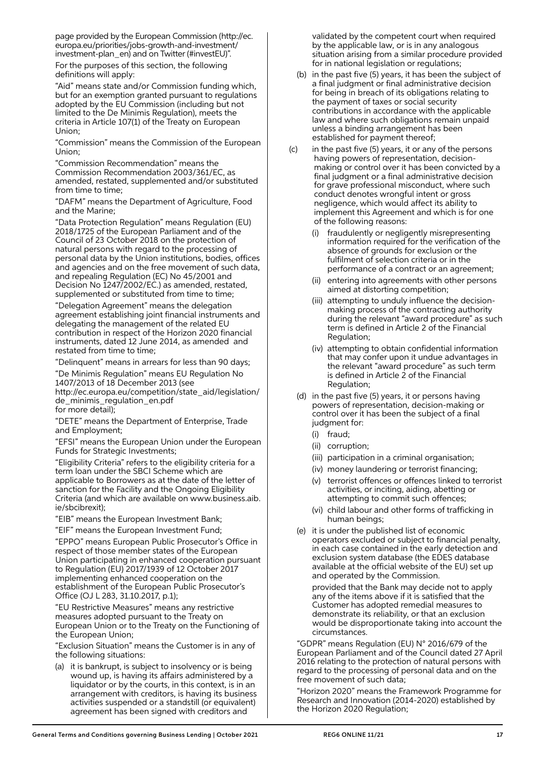page provided by the European Commission (http://ec. europa.eu/priorities/jobs-growth-and-investment/ investment-plan\_en) and on Twitter (#investEU)".

 For the purposes of this section, the following definitions will apply:

 "Aid" means state and/or Commission funding which, but for an exemption granted pursuant to regulations adopted by the EU Commission (including but not limited to the De Minimis Regulation), meets the criteria in Article 107(1) of the Treaty on European Union;

 "Commission" means the Commission of the European Union;

 "Commission Recommendation" means the Commission Recommendation 2003/361/EC, as amended, restated, supplemented and/or substituted from time to time;

 "DAFM" means the Department of Agriculture, Food and the Marine;

 "Data Protection Regulation" means Regulation (EU) 2018/1725 of the European Parliament and of the Council of 23 October 2018 on the protection of natural persons with regard to the processing of personal data by the Union institutions, bodies, offices and agencies and on the free movement of such data, and repealing Regulation (EC) No 45/2001 and Decision No 1247/2002/EC.) as amended, restated, supplemented or substituted from time to time;

 "Delegation Agreement" means the delegation agreement establishing joint financial instruments and delegating the management of the related EU contribution in respect of the Horizon 2020 financial instruments, dated 12 June 2014, as amended and restated from time to time;

"Delinquent" means in arrears for less than 90 days;

 "De Minimis Regulation" means EU Regulation No 1407/2013 of 18 December 2013 (see http://ec.europa.eu/competition/state\_aid/legislation/ de minimis regulation en.pdf for more detail);

 "DETE" means the Department of Enterprise, Trade and Employment;

 "EFSI" means the European Union under the European Funds for Strategic Investments;

 "Eligibility Criteria" refers to the eligibility criteria for a term loan under the SBCI Scheme which are applicable to Borrowers as at the date of the letter of sanction for the Facility and the Ongoing Eligibility Criteria (and which are available on www.business.aib. ie/sbcibrexit);

"EIB" means the European Investment Bank;

"EIF" means the European Investment Fund;

 "EPPO" means European Public Prosecutor's Office in respect of those member states of the European Union participating in enhanced cooperation pursuant to Regulation (EU) 2017/1939 of 12 October 2017 implementing enhanced cooperation on the establishment of the European Public Prosecutor's Office (OJ L 283, 31.10.2017, p.1);

 "EU Restrictive Measures" means any restrictive measures adopted pursuant to the Treaty on European Union or to the Treaty on the Functioning of the European Union;

 "Exclusion Situation" means the Customer is in any of the following situations:

 (a) it is bankrupt, is subject to insolvency or is being wound up, is having its affairs administered by a liquidator or by the courts, in this context, is in an arrangement with creditors, is having its business activities suspended or a standstill (or equivalent) agreement has been signed with creditors and

validated by the competent court when required by the applicable law, or is in any analogous situation arising from a similar procedure provided for in national legislation or regulations;

- (b) in the past five (5) years, it has been the subject of a final judgment or final administrative decision for being in breach of its obligations relating to the payment of taxes or social security contributions in accordance with the applicable law and where such obligations remain unpaid unless a binding arrangement has been established for payment thereof;
- $(c)$  in the past five (5) years, it or any of the persons having powers of representation, decisionmaking or control over it has been convicted by a final judgment or a final administrative decision for grave professional misconduct, where such conduct denotes wrongful intent or gross negligence, which would affect its ability to implement this Agreement and which is for one of the following reasons:
	- fraudulently or negligently misrepresenting information required for the verification of the absence of grounds for exclusion or the fulfilment of selection criteria or in the performance of a contract or an agreement;
	- (ii) entering into agreements with other persons aimed at distorting competition;
	- (iii) attempting to unduly influence the decisionmaking process of the contracting authority during the relevant "award procedure" as such term is defined in Article 2 of the Financial Regulation;
	- (iv) attempting to obtain confidential information that may confer upon it undue advantages in the relevant "award procedure" as such term is defined in Article 2 of the Financial Regulation;
	- (d) in the past five (5) years, it or persons having powers of representation, decision-making or control over it has been the subject of a final judgment for:
		- (i) fraud;
		- (ii) corruption;
		- (iii) participation in a criminal organisation;
		- (iv) money laundering or terrorist financing;
		- (v) terrorist offences or offences linked to terrorist activities, or inciting, aiding, abetting or attempting to commit such offences;
		- (vi) child labour and other forms of trafficking in human beings;
	- (e) it is under the published list of economic operators excluded or subject to financial penalty, in each case contained in the early detection and exclusion system database (the EDES database available at the official website of the EU) set up and operated by the Commission.

 provided that the Bank may decide not to apply any of the items above if it is satisfied that the Customer has adopted remedial measures to demonstrate its reliability, or that an exclusion would be disproportionate taking into account the circumstances.

 "GDPR" means Regulation (EU) N° 2016/679 of the European Parliament and of the Council dated 27 April 2016 relating to the protection of natural persons with regard to the processing of personal data and on the free movement of such data;

 "Horizon 2020" means the Framework Programme for Research and Innovation (2014-2020) established by the Horizon 2020 Regulation;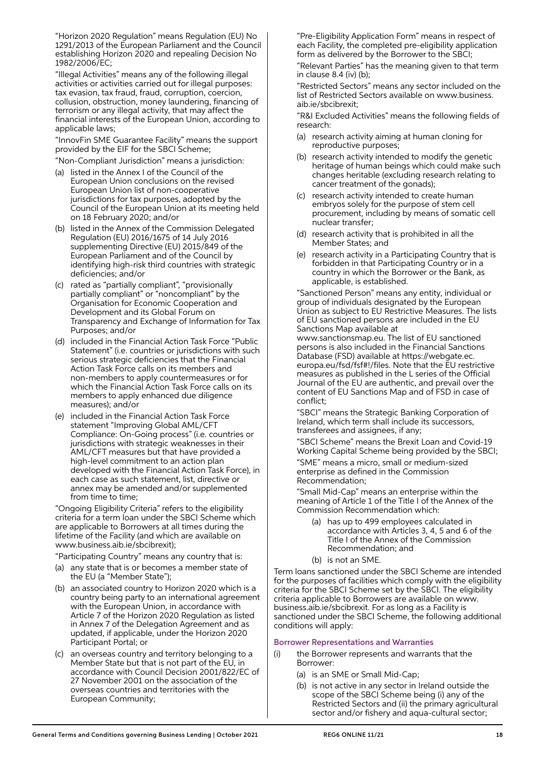"Horizon 2020 Regulation" means Regulation (EU) No 1291/2013 of the European Parliament and the Council establishing Horizon 2020 and repealing Decision No 1982/2006/EC;

 "Illegal Activities" means any of the following illegal activities or activities carried out for illegal purposes: tax evasion, tax fraud, fraud, corruption, coercion, collusion, obstruction, money laundering, financing of terrorism or any illegal activity, that may affect the financial interests of the European Union, according to applicable laws;

 "InnovFin SME Guarantee Facility" means the support provided by the EIF for the SBCI Scheme;

"Non-Compliant Jurisdiction" means a jurisdiction:

- (a) listed in the Annex I of the Council of the European Union conclusions on the revised European Union list of non-cooperative jurisdictions for tax purposes, adopted by the Council of the European Union at its meeting held on 18 February 2020; and/or
- (b) listed in the Annex of the Commission Delegated Regulation (EU) 2016/1675 of 14 July 2016 supplementing Directive (EU) 2015/849 of the European Parliament and of the Council by identifying high-risk third countries with strategic deficiencies; and/or
- (c) rated as "partially compliant", "provisionally partially compliant" or "noncompliant" by the Organisation for Economic Cooperation and Development and its Global Forum on Transparency and Exchange of Information for Tax Purposes; and/or
- (d) included in the Financial Action Task Force "Public Statement" (i.e. countries or jurisdictions with such serious strategic deficiencies that the Financial Action Task Force calls on its members and non-members to apply countermeasures or for which the Financial Action Task Force calls on its members to apply enhanced due diligence measures); and/or
- (e) included in the Financial Action Task Force statement "Improving Global AML/CFT Compliance: On-Going process" (i.e. countries or jurisdictions with strategic weaknesses in their AML/CFT measures but that have provided a high-level commitment to an action plan developed with the Financial Action Task Force), in each case as such statement, list, directive or annex may be amended and/or supplemented from time to time;

 "Ongoing Eligibility Criteria" refers to the eligibility criteria for a term loan under the SBCI Scheme which are applicable to Borrowers at all times during the lifetime of the Facility (and which are available on www.business.aib.ie/sbcibrexit);

"Participating Country" means any country that is:

- (a) any state that is or becomes a member state of the EU (a "Member State");
- (b) an associated country to Horizon 2020 which is a country being party to an international agreement with the European Union, in accordance with Article 7 of the Horizon 2020 Regulation as listed in Annex 7 of the Delegation Agreement and as updated, if applicable, under the Horizon 2020 Participant Portal; or
- (c) an overseas country and territory belonging to a Member State but that is not part of the EU, in accordance with Council Decision 2001/822/EC of 27 November 2001 on the association of the overseas countries and territories with the European Community;

 "Pre-Eligibility Application Form" means in respect of each Facility, the completed pre-eligibility application form as delivered by the Borrower to the SBCI;

 "Relevant Parties" has the meaning given to that term in clause 8.4 (iv) (b);

 "Restricted Sectors" means any sector included on the list of Restricted Sectors available on www.business. aib.ie/sbcibrexit;

 "R&I Excluded Activities" means the following fields of research:

- (a) research activity aiming at human cloning for reproductive purposes;
- (b) research activity intended to modify the genetic heritage of human beings which could make such changes heritable (excluding research relating to cancer treatment of the gonads);
- (c) research activity intended to create human embryos solely for the purpose of stem cell procurement, including by means of somatic cell nuclear transfer;
- (d) research activity that is prohibited in all the Member States; and
- (e) research activity in a Participating Country that is forbidden in that Participating Country or in a country in which the Borrower or the Bank, as applicable, is established.

 "Sanctioned Person" means any entity, individual or group of individuals designated by the European Union as subject to EU Restrictive Measures. The lists of EU sanctioned persons are included in the EU Sanctions Map available at

www.sanctionsmap.eu. The list of EU sanctioned persons is also included in the Financial Sanctions Database (FSD) available at https://webgate.ec. europa.eu/fsd/fsf#!/files. Note that the EU restrictive measures as published in the L series of the Official Journal of the EU are authentic, and prevail over the content of EU Sanctions Map and of FSD in case of conflict;

 "SBCI" means the Strategic Banking Corporation of Ireland, which term shall include its successors, transferees and assignees, if any;

 "SBCI Scheme" means the Brexit Loan and Covid-19 Working Capital Scheme being provided by the SBCI;

 "SME" means a micro, small or medium-sized enterprise as defined in the Commission Recommendation;

 "Small Mid-Cap" means an enterprise within the meaning of Article 1 of the Title I of the Annex of the Commission Recommendation which:

- (a) has up to 499 employees calculated in accordance with Articles 3, 4, 5 and 6 of the Title I of the Annex of the Commission Recommendation; and
- (b) is not an SME.

Term loans sanctioned under the SBCI Scheme are intended for the purposes of facilities which comply with the eligibility criteria for the SBCI Scheme set by the SBCI. The eligibility criteria applicable to Borrowers are available on www. business.aib.ie/sbcibrexit. For as long as a Facility is sanctioned under the SBCI Scheme, the following additional conditions will apply:

## Borrower Representations and Warranties

- (i) the Borrower represents and warrants that the Borrower:
	- (a) is an SME or Small Mid-Cap;
	- (b) is not active in any sector in Ireland outside the scope of the SBCI Scheme being (i) any of the Restricted Sectors and (ii) the primary agricultural sector and/or fishery and aqua-cultural sector;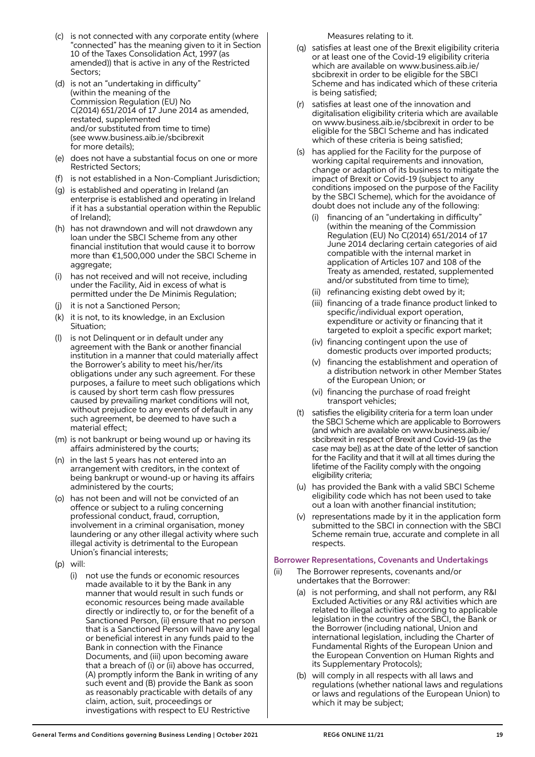- (c) is not connected with any corporate entity (where "connected" has the meaning given to it in Section 10 of the Taxes Consolidation Act, 1997 (as amended)) that is active in any of the Restricted Sectors;
- (d) is not an "undertaking in difficulty" (within the meaning of the Commission Regulation (EU) No C(2014) 651/2014 of 17 June 2014 as amended, restated, supplemented and/or substituted from time to time) (see www.business.aib.ie/sbcibrexit for more details);
- (e) does not have a substantial focus on one or more Restricted Sectors;
- (f) is not established in a Non-Compliant Jurisdiction;
- (g) is established and operating in Ireland (an enterprise is established and operating in Ireland if it has a substantial operation within the Republic of Ireland);
- (h) has not drawndown and will not drawdown any loan under the SBCI Scheme from any other financial institution that would cause it to borrow more than €1,500,000 under the SBCI Scheme in aggregate;
- (i) has not received and will not receive, including under the Facility, Aid in excess of what is permitted under the De Minimis Regulation;
- (j) it is not a Sanctioned Person;
- (k) it is not, to its knowledge, in an Exclusion Situation;
- (l) is not Delinquent or in default under any agreement with the Bank or another financial institution in a manner that could materially affect the Borrower's ability to meet his/her/its obligations under any such agreement. For these purposes, a failure to meet such obligations which is caused by short term cash flow pressures caused by prevailing market conditions will not, without prejudice to any events of default in any such agreement, be deemed to have such a material effect;
- (m) is not bankrupt or being wound up or having its affairs administered by the courts;
- (n) in the last 5 years has not entered into an arrangement with creditors, in the context of being bankrupt or wound-up or having its affairs administered by the courts;
- (o) has not been and will not be convicted of an offence or subject to a ruling concerning professional conduct, fraud, corruption, involvement in a criminal organisation, money laundering or any other illegal activity where such illegal activity is detrimental to the European Union's financial interests;
- (p) will:
	- (i) not use the funds or economic resources made available to it by the Bank in any manner that would result in such funds or economic resources being made available directly or indirectly to, or for the benefit of a Sanctioned Person, (ii) ensure that no person that is a Sanctioned Person will have any legal or beneficial interest in any funds paid to the Bank in connection with the Finance Documents, and (iii) upon becoming aware that a breach of (i) or (ii) above has occurred, (A) promptly inform the Bank in writing of any such event and (B) provide the Bank as soon as reasonably practicable with details of any claim, action, suit, proceedings or investigations with respect to EU Restrictive

Measures relating to it.

- (q) satisfies at least one of the Brexit eligibility criteria or at least one of the Covid-19 eligibility criteria which are available on www.business.aib.ie/ sbcibrexit in order to be eligible for the SBCI Scheme and has indicated which of these criteria is being satisfied;
- (r) satisfies at least one of the innovation and digitalisation eligibility criteria which are available on www.business.aib.ie/sbcibrexit in order to be eligible for the SBCI Scheme and has indicated which of these criteria is being satisfied;
- (s) has applied for the Facility for the purpose of working capital requirements and innovation, change or adaption of its business to mitigate the impact of Brexit or Covid-19 (subject to any conditions imposed on the purpose of the Facility by the SBCI Scheme), which for the avoidance of doubt does not include any of the following:
	- financing of an "undertaking in difficulty' (within the meaning of the Commission Regulation (EU) No C(2014) 651/2014 of 17 June 2014 declaring certain categories of aid compatible with the internal market in application of Articles 107 and 108 of the Treaty as amended, restated, supplemented and/or substituted from time to time);
	- (ii) refinancing existing debt owed by it;
	- (iii) financing of a trade finance product linked to specific/individual export operation, expenditure or activity or financing that it targeted to exploit a specific export market;
	- (iv) financing contingent upon the use of domestic products over imported products;
	- (v) financing the establishment and operation of a distribution network in other Member States of the European Union; or
	- (vi) financing the purchase of road freight transport vehicles;
- (t) satisfies the eligibility criteria for a term loan under the SBCI Scheme which are applicable to Borrowers (and which are available on www.business.aib.ie/ sbcibrexit in respect of Brexit and Covid-19 (as the case may be)) as at the date of the letter of sanction for the Facility and that it will at all times during the lifetime of the Facility comply with the ongoing eligibility criteria;
- (u) has provided the Bank with a valid SBCI Scheme eligibility code which has not been used to take out a loan with another financial institution;
- (v) representations made by it in the application form submitted to the SBCI in connection with the SBCI Scheme remain true, accurate and complete in all respects.

## Borrower Representations, Covenants and Undertakings

- (ii) The Borrower represents, covenants and/or undertakes that the Borrower:
	- (a) is not performing, and shall not perform, any R&I Excluded Activities or any R&I activities which are related to illegal activities according to applicable legislation in the country of the SBCI, the Bank or the Borrower (including national, Union and international legislation, including the Charter of Fundamental Rights of the European Union and the European Convention on Human Rights and its Supplementary Protocols);
	- (b) will comply in all respects with all laws and regulations (whether national laws and regulations or laws and regulations of the European Union) to which it may be subject;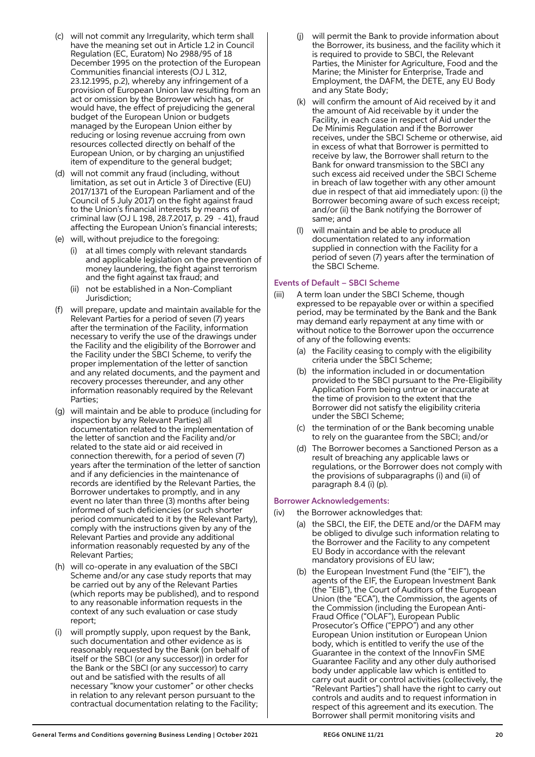- (c) will not commit any Irregularity, which term shall have the meaning set out in Article 1.2 in Council Regulation (EC, Euratom) No 2988/95 of 18 December 1995 on the protection of the European Communities financial interests (OJ L 312, 23.12.1995, p.2), whereby any infringement of a provision of European Union law resulting from an act or omission by the Borrower which has, or would have, the effect of prejudicing the general budget of the European Union or budgets managed by the European Union either by reducing or losing revenue accruing from own resources collected directly on behalf of the European Union, or by charging an unjustified item of expenditure to the general budget;
- (d) will not commit any fraud (including, without limitation, as set out in Article 3 of Directive (EU) 2017/1371 of the European Parliament and of the Council of 5 July 2017) on the fight against fraud to the Union's financial interests by means of criminal law (OJ L 198, 28.7.2017, p. 29 - 41), fraud affecting the European Union's financial interests;
- (e) will, without prejudice to the foregoing:
	- (i) at all times comply with relevant standards and applicable legislation on the prevention of money laundering, the fight against terrorism and the fight against tax fraud; and
	- (ii) not be established in a Non-Compliant Jurisdiction;
- (f) will prepare, update and maintain available for the Relevant Parties for a period of seven (7) years after the termination of the Facility, information necessary to verify the use of the drawings under the Facility and the eligibility of the Borrower and the Facility under the SBCI Scheme, to verify the proper implementation of the letter of sanction and any related documents, and the payment and recovery processes thereunder, and any other information reasonably required by the Relevant Parties;
- (g) will maintain and be able to produce (including for inspection by any Relevant Parties) all documentation related to the implementation of the letter of sanction and the Facility and/or related to the state aid or aid received in connection therewith, for a period of seven (7) years after the termination of the letter of sanction and if any deficiencies in the maintenance of records are identified by the Relevant Parties, the Borrower undertakes to promptly, and in any event no later than three (3) months after being informed of such deficiencies (or such shorter period communicated to it by the Relevant Party), comply with the instructions given by any of the Relevant Parties and provide any additional information reasonably requested by any of the Relevant Parties;
- (h) will co-operate in any evaluation of the SBCI Scheme and/or any case study reports that may be carried out by any of the Relevant Parties (which reports may be published), and to respond to any reasonable information requests in the context of any such evaluation or case study report;
- (i) will promptly supply, upon request by the Bank, such documentation and other evidence as is reasonably requested by the Bank (on behalf of itself or the SBCI (or any successor)) in order for the Bank or the SBCI (or any successor) to carry out and be satisfied with the results of all necessary "know your customer" or other checks in relation to any relevant person pursuant to the contractual documentation relating to the Facility;
- (j) will permit the Bank to provide information about the Borrower, its business, and the facility which it is required to provide to SBCI, the Relevant Parties, the Minister for Agriculture, Food and the Marine; the Minister for Enterprise, Trade and Employment, the DAFM, the DETE, any EU Body and any State Body;
- (k) will confirm the amount of Aid received by it and the amount of Aid receivable by it under the Facility, in each case in respect of Aid under the De Minimis Regulation and if the Borrower receives, under the SBCI Scheme or otherwise, aid in excess of what that Borrower is permitted to receive by law, the Borrower shall return to the Bank for onward transmission to the SBCI any such excess aid received under the SBCI Scheme in breach of law together with any other amount due in respect of that aid immediately upon: (i) the Borrower becoming aware of such excess receipt; and/or (ii) the Bank notifying the Borrower of same; and
- (l) will maintain and be able to produce all documentation related to any information supplied in connection with the Facility for a period of seven (7) years after the termination of the SBCI Scheme.

#### Events of Default – SBCI Scheme

- (iii) A term loan under the SBCI Scheme, though expressed to be repayable over or within a specified period, may be terminated by the Bank and the Bank may demand early repayment at any time with or without notice to the Borrower upon the occurrence of any of the following events:
	- (a) the Facility ceasing to comply with the eligibility criteria under the SBCI Scheme;
	- (b) the information included in or documentation provided to the SBCI pursuant to the Pre-Eligibility Application Form being untrue or inaccurate at the time of provision to the extent that the Borrower did not satisfy the eligibility criteria under the SBCI Scheme;
	- (c) the termination of or the Bank becoming unable to rely on the guarantee from the SBCI; and/or
	- (d) The Borrower becomes a Sanctioned Person as a result of breaching any applicable laws or regulations, or the Borrower does not comply with the provisions of subparagraphs (i) and (ii) of paragraph 8.4 (i) (p).

## Borrower Acknowledgements:

- (iv) the Borrower acknowledges that:
	- (a) the SBCI, the EIF, the DETE and/or the DAFM may be obliged to divulge such information relating to the Borrower and the Facility to any competent EU Body in accordance with the relevant mandatory provisions of EU law;
	- (b) the European Investment Fund (the "EIF"), the agents of the EIF, the European Investment Bank (the "EIB"), the Court of Auditors of the European Union (the "ECA"), the Commission, the agents of the Commission (including the European Anti-Fraud Office ("OLAF"), European Public Prosecutor's Office ("EPPO") and any other European Union institution or European Union body, which is entitled to verify the use of the Guarantee in the context of the InnovFin SME Guarantee Facility and any other duly authorised body under applicable law which is entitled to carry out audit or control activities (collectively, the "Relevant Parties") shall have the right to carry out controls and audits and to request information in respect of this agreement and its execution. The Borrower shall permit monitoring visits and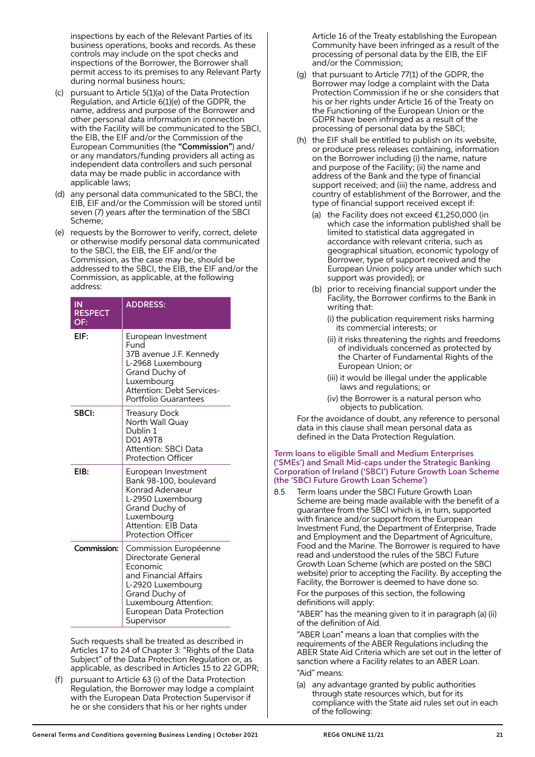inspections by each of the Relevant Parties of its business operations, books and records. As these controls may include on the spot checks and inspections of the Borrower, the Borrower shall permit access to its premises to any Relevant Party during normal business hours;

- (c) pursuant to Article 5(1)(a) of the Data Protection Regulation, and Article 6(1)(e) of the GDPR, the name, address and purpose of the Borrower and other personal data information in connection with the Facility will be communicated to the SBCI, the EIB, the EIF and/or the Commission of the European Communities (the "Commission") and/ or any mandators/funding providers all acting as independent data controllers and such personal data may be made public in accordance with applicable laws;
- (d) any personal data communicated to the SBCI, the EIB, EIF and/or the Commission will be stored until seven (7) years after the termination of the SBCI Scheme;
- (e) requests by the Borrower to verify, correct, delete or otherwise modify personal data communicated to the SBCI, the EIB, the EIF and/or the Commission, as the case may be, should be addressed to the SBCI, the EIB, the EIF and/or the Commission, as applicable, at the following address:

| IN<br><b>RESPECT</b><br>OF: | <b>ADDRESS:</b>                                                                                                                                                                             |
|-----------------------------|---------------------------------------------------------------------------------------------------------------------------------------------------------------------------------------------|
| EIF:                        | European Investment<br>Fund<br>37B avenue J.F. Kennedy<br>L-2968 Luxembourg<br>Grand Duchy of<br>Luxembourg<br>Attention: Debt Services-<br>Portfolio Guarantees                            |
| SBCI:                       | <b>Treasury Dock</b><br>North Wall Quay<br>Dublin 1<br>D01 A9T8<br>Attention: SBCI Data<br><b>Protection Officer</b>                                                                        |
| EIB:                        | European Investment<br>Bank 98-100, boulevard<br>Konrad Adenaeur<br>L-2950 Luxembourg<br>Grand Duchy of<br>Luxembourg<br>Attention: EIB Data<br><b>Protection Officer</b>                   |
| Commission:                 | Commission Européenne<br>Directorate General<br>Economic<br>and Financial Affairs<br>L-2920 Luxembourg<br>Grand Duchy of<br>Luxembourg Attention:<br>European Data Protection<br>Supervisor |

 Such requests shall be treated as described in Articles 17 to 24 of Chapter 3: "Rights of the Data Subject" of the Data Protection Regulation or, as applicable, as described in Articles 15 to 22 GDPR;

pursuant to Article 63 (i) of the Data Protection Regulation, the Borrower may lodge a complaint with the European Data Protection Supervisor if he or she considers that his or her rights under

Article 16 of the Treaty establishing the European Community have been infringed as a result of the processing of personal data by the EIB, the EIF and/or the Commission;

- (g) that pursuant to Article 77(1) of the GDPR, the Borrower may lodge a complaint with the Data Protection Commission if he or she considers that his or her rights under Article 16 of the Treaty on the Functioning of the European Union or the GDPR have been infringed as a result of the processing of personal data by the SBCI;
- (h) the EIF shall be entitled to publish on its website, or produce press releases containing, information on the Borrower including (i) the name, nature and purpose of the Facility; (ii) the name and address of the Bank and the type of financial support received; and (iii) the name, address and country of establishment of the Borrower, and the type of financial support received except if:
	- (a) the Facility does not exceed  $£1,250,000$  (in which case the information published shall be limited to statistical data aggregated in accordance with relevant criteria, such as geographical situation, economic typology of Borrower, type of support received and the European Union policy area under which such support was provided); or
	- (b) prior to receiving financial support under the Facility, the Borrower confirms to the Bank in writing that:
		- (i) the publication requirement risks harming its commercial interests; or
		- (ii) it risks threatening the rights and freedoms of individuals concerned as protected by the Charter of Fundamental Rights of the European Union; or
		- (iii) it would be illegal under the applicable laws and regulations; or
		- (iv) the Borrower is a natural person who objects to publication.

 For the avoidance of doubt, any reference to personal data in this clause shall mean personal data as defined in the Data Protection Regulation.

#### Term loans to eligible Small and Medium Enterprises ('SMEs') and Small Mid-caps under the Strategic Banking Corporation of Ireland ('SBCI') Future Growth Loan Scheme (the 'SBCI Future Growth Loan Scheme')

8.5 Term loans under the SBCI Future Growth Loan Scheme are being made available with the benefit of a guarantee from the SBCI which is, in turn, supported with finance and/or support from the European Investment Fund, the Department of Enterprise, Trade and Employment and the Department of Agriculture, Food and the Marine. The Borrower is required to have read and understood the rules of the SBCI Future Growth Loan Scheme (which are posted on the SBCI website) prior to accepting the Facility. By accepting the Facility, the Borrower is deemed to have done so.

 For the purposes of this section, the following definitions will apply:

 "ABER" has the meaning given to it in paragraph (a) (ii) of the definition of Aid.

 "ABER Loan" means a loan that complies with the requirements of the ABER Regulations including the ABER State Aid Criteria which are set out in the letter of sanction where a Facility relates to an ABER Loan.

"Aid" means:

 (a) any advantage granted by public authorities through state resources which, but for its compliance with the State aid rules set out in each of the following: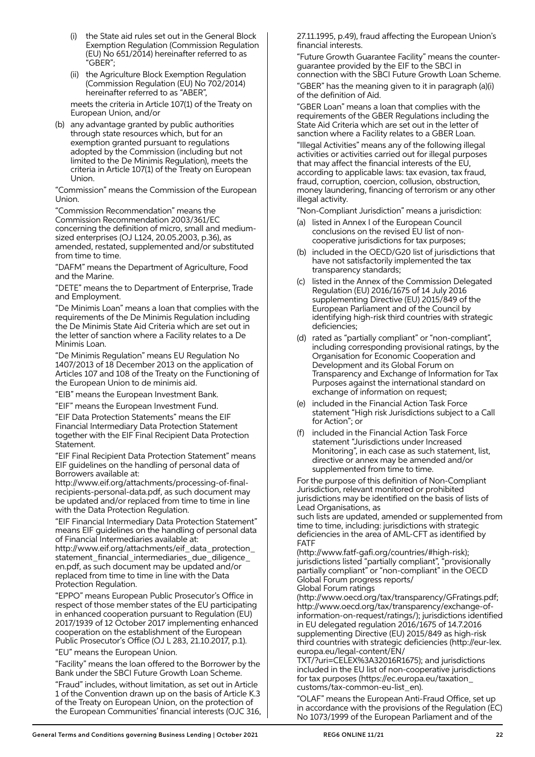- (i) the State aid rules set out in the General Block Exemption Regulation (Commission Regulation (EU) No 651/2014) hereinafter referred to as "GBER";
- (ii) the Agriculture Block Exemption Regulation (Commission Regulation (EU) No 702/2014) hereinafter referred to as "ABER",

 meets the criteria in Article 107(1) of the Treaty on European Union, and/or

 (b) any advantage granted by public authorities through state resources which, but for an exemption granted pursuant to regulations adopted by the Commission (including but not limited to the De Minimis Regulation), meets the criteria in Article 107(1) of the Treaty on European Union.

 "Commission" means the Commission of the European Union.

 "Commission Recommendation" means the Commission Recommendation 2003/361/EC concerning the definition of micro, small and mediumsized enterprises (OJ L124, 20.05.2003, p.36), as amended, restated, supplemented and/or substituted from time to time.

 "DAFM" means the Department of Agriculture, Food and the Marine.

 "DETE" means the to Department of Enterprise, Trade and Employment.

 "De Minimis Loan" means a loan that complies with the requirements of the De Minimis Regulation including the De Minimis State Aid Criteria which are set out in the letter of sanction where a Facility relates to a De Minimis Loan.

 "De Minimis Regulation" means EU Regulation No 1407/2013 of 18 December 2013 on the application of Articles 107 and 108 of the Treaty on the Functioning of the European Union to de minimis aid.

"EIB" means the European Investment Bank.

"EIF" means the European Investment Fund.

 "EIF Data Protection Statements" means the EIF Financial Intermediary Data Protection Statement together with the EIF Final Recipient Data Protection Statement.

 "EIF Final Recipient Data Protection Statement" means EIF guidelines on the handling of personal data of Borrowers available at:

http://www.eif.org/attachments/processing-of-finalrecipients-personal-data.pdf, as such document may be updated and/or replaced from time to time in line with the Data Protection Regulation.

 "EIF Financial Intermediary Data Protection Statement" means EIF guidelines on the handling of personal data of Financial Intermediaries available at:

http://www.eif.org/attachments/eif\_data\_protection\_ statement financial intermediaries due diligence en.pdf, as such document may be updated and/or replaced from time to time in line with the Data Protection Regulation.

 "EPPO" means European Public Prosecutor's Office in respect of those member states of the EU participating in enhanced cooperation pursuant to Regulation (EU) 2017/1939 of 12 October 2017 implementing enhanced cooperation on the establishment of the European Public Prosecutor's Office (OJ L 283, 21.10.2017, p.1).

"EU" means the European Union.

 "Facility" means the loan offered to the Borrower by the Bank under the SBCI Future Growth Loan Scheme.

 "Fraud" includes, without limitation, as set out in Article 1 of the Convention drawn up on the basis of Article K.3 of the Treaty on European Union, on the protection of the European Communities' financial interests (OJC 316, 27.11.1995, p.49), fraud affecting the European Union's financial interests.

 "Future Growth Guarantee Facility" means the counterguarantee provided by the EIF to the SBCI in connection with the SBCI Future Growth Loan Scheme.

 "GBER" has the meaning given to it in paragraph (a)(i) of the definition of Aid.

 "GBER Loan" means a loan that complies with the requirements of the GBER Regulations including the State Aid Criteria which are set out in the letter of sanction where a Facility relates to a GBER Loan.

 "Illegal Activities" means any of the following illegal activities or activities carried out for illegal purposes that may affect the financial interests of the EU, according to applicable laws: tax evasion, tax fraud, fraud, corruption, coercion, collusion, obstruction, money laundering, financing of terrorism or any other illegal activity.

"Non-Compliant Jurisdiction" means a jurisdiction:

- (a) listed in Annex I of the European Council conclusions on the revised EU list of noncooperative jurisdictions for tax purposes;
- (b) included in the OECD/G20 list of jurisdictions that have not satisfactorily implemented the tax transparency standards;
- (c) listed in the Annex of the Commission Delegated Regulation (EU) 2016/1675 of 14 July 2016 supplementing Directive (EU) 2015/849 of the European Parliament and of the Council by identifying high-risk third countries with strategic deficiencies;
- (d) rated as "partially compliant" or "non-compliant", including corresponding provisional ratings, by the Organisation for Economic Cooperation and Development and its Global Forum on Transparency and Exchange of Information for Tax Purposes against the international standard on exchange of information on request;
- (e) included in the Financial Action Task Force statement "High risk Jurisdictions subject to a Call for Action"; or
- (f) included in the Financial Action Task Force statement "Jurisdictions under Increased Monitoring", in each case as such statement, list, directive or annex may be amended and/or supplemented from time to time.

 For the purpose of this definition of Non-Compliant Jurisdiction, relevant monitored or prohibited jurisdictions may be identified on the basis of lists of Lead Organisations, as

such lists are updated, amended or supplemented from time to time, including: jurisdictions with strategic deficiencies in the area of AML-CFT as identified by FATF

(http://www.fatf-gafi.org/countries/#high-risk); jurisdictions listed "partially compliant", "provisionally partially compliant" or "non-compliant" in the OECD Global Forum progress reports/ Global Forum ratings

(http://www.oecd.org/tax/transparency/GFratings.pdf; http://www.oecd.org/tax/transparency/exchange-ofinformation-on-request/ratings/); jurisdictions identified in EU delegated regulation 2016/1675 of 14.7.2016 supplementing Directive (EU) 2015/849 as high-risk third countries with strategic deficiencies (http://eur-lex. europa.eu/legal-content/EN/

TXT/?uri=CELEX%3A32016R1675); and jurisdictions included in the EU list of non-cooperative jurisdictions for tax purposes (https://ec.europa.eu/taxation\_ customs/tax-common-eu-list\_en).

 "OLAF" means the European Anti-Fraud Office, set up in accordance with the provisions of the Regulation (EC) No 1073/1999 of the European Parliament and of the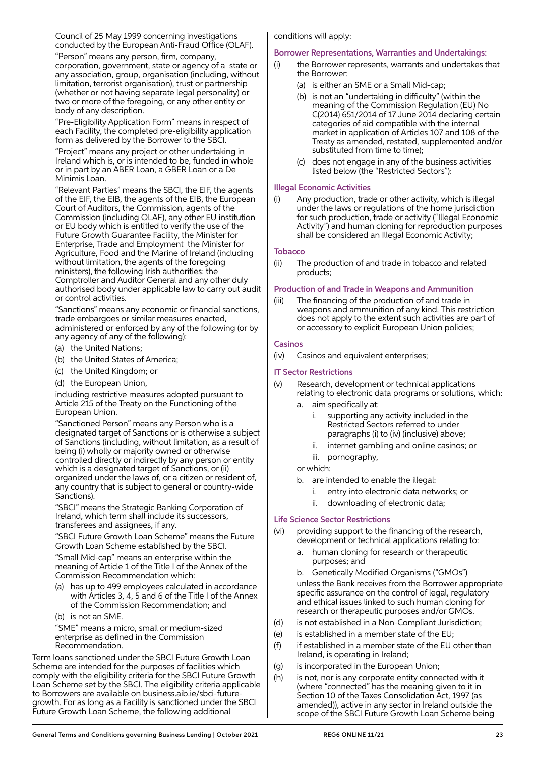Council of 25 May 1999 concerning investigations conducted by the European Anti-Fraud Office (OLAF).

 "Person" means any person, firm, company, corporation, government, state or agency of a state or any association, group, organisation (including, without limitation, terrorist organisation), trust or partnership (whether or not having separate legal personality) or two or more of the foregoing, or any other entity or body of any description.

 "Pre-Eligibility Application Form" means in respect of each Facility, the completed pre-eligibility application form as delivered by the Borrower to the SBCI.

 "Project" means any project or other undertaking in Ireland which is, or is intended to be, funded in whole or in part by an ABER Loan, a GBER Loan or a De Minimis Loan.

 "Relevant Parties" means the SBCI, the EIF, the agents of the EIF, the EIB, the agents of the EIB, the European Court of Auditors, the Commission, agents of the Commission (including OLAF), any other EU institution or EU body which is entitled to verify the use of the Future Growth Guarantee Facility, the Minister for Enterprise, Trade and Employment the Minister for Agriculture, Food and the Marine of Ireland (including without limitation, the agents of the foregoing ministers), the following Irish authorities: the Comptroller and Auditor General and any other duly authorised body under applicable law to carry out audit or control activities.

 "Sanctions" means any economic or financial sanctions, trade embargoes or similar measures enacted, administered or enforced by any of the following (or by any agency of any of the following):

- (a) the United Nations;
- (b) the United States of America;
- (c) the United Kingdom; or
- (d) the European Union,

 including restrictive measures adopted pursuant to Article 215 of the Treaty on the Functioning of the European Union.

 "Sanctioned Person" means any Person who is a designated target of Sanctions or is otherwise a subject of Sanctions (including, without limitation, as a result of being (i) wholly or majority owned or otherwise controlled directly or indirectly by any person or entity which is a designated target of Sanctions, or (ii) organized under the laws of, or a citizen or resident of, any country that is subject to general or country-wide Sanctions).

 "SBCI" means the Strategic Banking Corporation of Ireland, which term shall include its successors, transferees and assignees, if any.

 "SBCI Future Growth Loan Scheme" means the Future Growth Loan Scheme established by the SBCI.

 "Small Mid-cap" means an enterprise within the meaning of Article 1 of the Title I of the Annex of the Commission Recommendation which:

- (a) has up to 499 employees calculated in accordance with Articles 3, 4, 5 and 6 of the Title I of the Annex of the Commission Recommendation; and
- (b) is not an SME.

 "SME" means a micro, small or medium-sized enterprise as defined in the Commission Recommendation.

Term loans sanctioned under the SBCI Future Growth Loan Scheme are intended for the purposes of facilities which comply with the eligibility criteria for the SBCI Future Growth Loan Scheme set by the SBCI. The eligibility criteria applicable to Borrowers are available on business.aib.ie/sbci-futuregrowth. For as long as a Facility is sanctioned under the SBCI Future Growth Loan Scheme, the following additional

conditions will apply:

## Borrower Representations, Warranties and Undertakings:

- (i) the Borrower represents, warrants and undertakes that the Borrower:
	- (a) is either an SME or a Small Mid-cap;
	- (b) is not an "undertaking in difficulty" (within the meaning of the Commission Regulation (EU) No C(2014) 651/2014 of 17 June 2014 declaring certain categories of aid compatible with the internal market in application of Articles 107 and 108 of the Treaty as amended, restated, supplemented and/or substituted from time to time);
	- (c) does not engage in any of the business activities listed below (the "Restricted Sectors"):

#### Illegal Economic Activities

(i) Any production, trade or other activity, which is illegal under the laws or regulations of the home jurisdiction for such production, trade or activity ("Illegal Economic Activity") and human cloning for reproduction purposes shall be considered an Illegal Economic Activity;

#### **Tobacco**

(ii) The production of and trade in tobacco and related products;

#### Production of and Trade in Weapons and Ammunition

(iii) The financing of the production of and trade in weapons and ammunition of any kind. This restriction does not apply to the extent such activities are part of or accessory to explicit European Union policies;

#### Casinos

(iv) Casinos and equivalent enterprises;

## IT Sector Restrictions

- (v) Research, development or technical applications relating to electronic data programs or solutions, which:
	- a. aim specifically at:
		- i. supporting any activity included in the Restricted Sectors referred to under paragraphs (i) to (iv) (inclusive) above;
		- ii. internet gambling and online casinos; or
		- iii. pornography,

or which:

- b. are intended to enable the illegal:
	- i. entry into electronic data networks; or
	- ii. downloading of electronic data;

## Life Science Sector Restrictions

- (vi) providing support to the financing of the research, development or technical applications relating to:
	- human cloning for research or therapeutic purposes; and
	- b. Genetically Modified Organisms ("GMOs") unless the Bank receives from the Borrower appropriate specific assurance on the control of legal, regulatory and ethical issues linked to such human cloning for research or therapeutic purposes and/or GMOs.
- (d) is not established in a Non-Compliant Jurisdiction;
- (e) is established in a member state of the EU;
- (f) if established in a member state of the EU other than Ireland, is operating in Ireland;
- (g) is incorporated in the European Union;
- (h) is not, nor is any corporate entity connected with it (where "connected" has the meaning given to it in Section 10 of the Taxes Consolidation Act, 1997 (as amended)), active in any sector in Ireland outside the scope of the SBCI Future Growth Loan Scheme being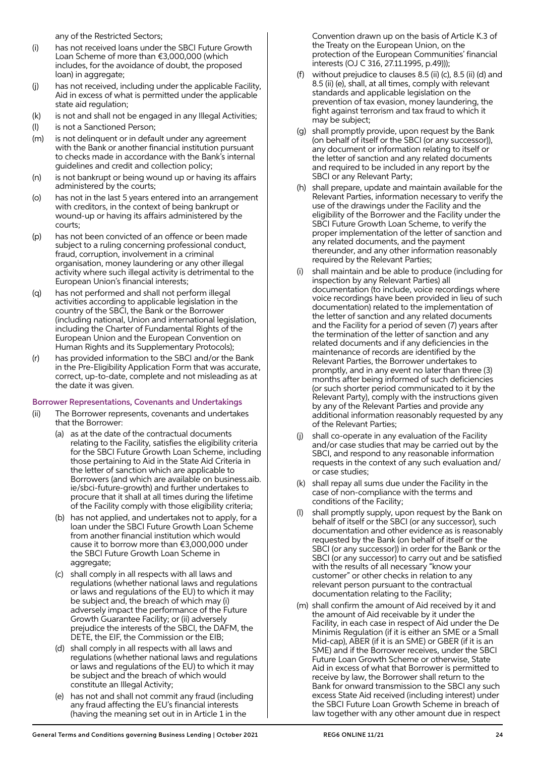any of the Restricted Sectors;

- (i) has not received loans under the SBCI Future Growth Loan Scheme of more than €3,000,000 (which includes, for the avoidance of doubt, the proposed loan) in aggregate;
- (j) has not received, including under the applicable Facility, Aid in excess of what is permitted under the applicable state aid regulation;
- (k) is not and shall not be engaged in any Illegal Activities;
- (l) is not a Sanctioned Person;
- (m) is not delinquent or in default under any agreement with the Bank or another financial institution pursuant to checks made in accordance with the Bank's internal guidelines and credit and collection policy;
- (n) is not bankrupt or being wound up or having its affairs administered by the courts;
- (o) has not in the last 5 years entered into an arrangement with creditors, in the context of being bankrupt or wound-up or having its affairs administered by the courts;
- (p) has not been convicted of an offence or been made subject to a ruling concerning professional conduct, fraud, corruption, involvement in a criminal organisation, money laundering or any other illegal activity where such illegal activity is detrimental to the European Union's financial interests;
- (q) has not performed and shall not perform illegal activities according to applicable legislation in the country of the SBCI, the Bank or the Borrower (including national, Union and international legislation, including the Charter of Fundamental Rights of the European Union and the European Convention on Human Rights and its Supplementary Protocols);
- (r) has provided information to the SBCI and/or the Bank in the Pre-Eligibility Application Form that was accurate, correct, up-to-date, complete and not misleading as at the date it was given.

## Borrower Representations, Covenants and Undertakings

- (ii) The Borrower represents, covenants and undertakes that the Borrower:
	- (a) as at the date of the contractual documents relating to the Facility, satisfies the eligibility criteria for the SBCI Future Growth Loan Scheme, including those pertaining to Aid in the State Aid Criteria in the letter of sanction which are applicable to Borrowers (and which are available on business.aib. ie/sbci-future-growth) and further undertakes to procure that it shall at all times during the lifetime of the Facility comply with those eligibility criteria;
	- (b) has not applied, and undertakes not to apply, for a loan under the SBCI Future Growth Loan Scheme from another financial institution which would cause it to borrow more than €3,000,000 under the SBCI Future Growth Loan Scheme in aggregate;
	- (c) shall comply in all respects with all laws and regulations (whether national laws and regulations or laws and regulations of the EU) to which it may be subject and, the breach of which may (i) adversely impact the performance of the Future Growth Guarantee Facility; or (ii) adversely prejudice the interests of the SBCI, the DAFM, the DETE, the EIF, the Commission or the EIB;
	- (d) shall comply in all respects with all laws and regulations (whether national laws and regulations or laws and regulations of the EU) to which it may be subject and the breach of which would constitute an Illegal Activity;
	- (e) has not and shall not commit any fraud (including any fraud affecting the EU's financial interests (having the meaning set out in in Article 1 in the

Convention drawn up on the basis of Article K.3 of the Treaty on the European Union, on the protection of the European Communities' financial interests (OJ C 316, 27.11.1995, p.49)));

- (f) without prejudice to clauses  $8.5$  (ii) (c),  $8.5$  (ii) (d) and 8.5 (ii) (e), shall, at all times, comply with relevant standards and applicable legislation on the prevention of tax evasion, money laundering, the fight against terrorism and tax fraud to which it may be subject;
- (g) shall promptly provide, upon request by the Bank (on behalf of itself or the SBCI (or any successor)), any document or information relating to itself or the letter of sanction and any related documents and required to be included in any report by the SBCI or any Relevant Party;
- (h) shall prepare, update and maintain available for the Relevant Parties, information necessary to verify the use of the drawings under the Facility and the eligibility of the Borrower and the Facility under the SBCI Future Growth Loan Scheme, to verify the proper implementation of the letter of sanction and any related documents, and the payment thereunder, and any other information reasonably required by the Relevant Parties;
- (i) shall maintain and be able to produce (including for inspection by any Relevant Parties) all documentation (to include, voice recordings where voice recordings have been provided in lieu of such documentation) related to the implementation of the letter of sanction and any related documents and the Facility for a period of seven (7) years after the termination of the letter of sanction and any related documents and if any deficiencies in the maintenance of records are identified by the Relevant Parties, the Borrower undertakes to promptly, and in any event no later than three (3) months after being informed of such deficiencies (or such shorter period communicated to it by the Relevant Party), comply with the instructions given by any of the Relevant Parties and provide any additional information reasonably requested by any of the Relevant Parties;
- shall co-operate in any evaluation of the Facility and/or case studies that may be carried out by the SBCI, and respond to any reasonable information requests in the context of any such evaluation and/ or case studies;
- (k) shall repay all sums due under the Facility in the case of non-compliance with the terms and conditions of the Facility;
- shall promptly supply, upon request by the Bank on behalf of itself or the SBCI (or any successor), such documentation and other evidence as is reasonably requested by the Bank (on behalf of itself or the SBCI (or any successor)) in order for the Bank or the SBCI (or any successor) to carry out and be satisfied with the results of all necessary "know your customer" or other checks in relation to any relevant person pursuant to the contractual documentation relating to the Facility;
- (m) shall confirm the amount of Aid received by it and the amount of Aid receivable by it under the Facility, in each case in respect of Aid under the De Minimis Regulation (if it is either an SME or a Small Mid-cap), ABER (if it is an SME) or GBER (if it is an SME) and if the Borrower receives, under the SBCI Future Loan Growth Scheme or otherwise, State Aid in excess of what that Borrower is permitted to receive by law, the Borrower shall return to the Bank for onward transmission to the SBCI any such excess State Aid received (including interest) under the SBCI Future Loan Growth Scheme in breach of law together with any other amount due in respect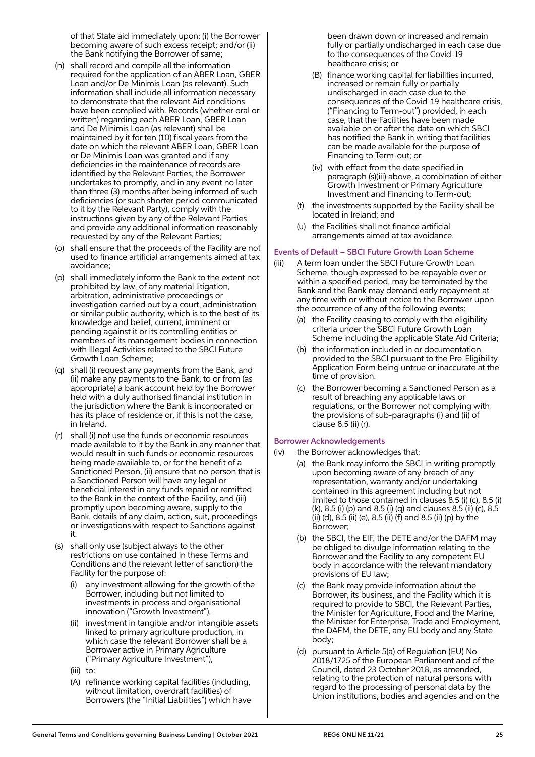of that State aid immediately upon: (i) the Borrower becoming aware of such excess receipt; and/or (ii) the Bank notifying the Borrower of same;

- (n) shall record and compile all the information required for the application of an ABER Loan, GBER Loan and/or De Minimis Loan (as relevant). Such information shall include all information necessary to demonstrate that the relevant Aid conditions have been complied with. Records (whether oral or written) regarding each ABER Loan, GBER Loan and De Minimis Loan (as relevant) shall be maintained by it for ten (10) fiscal years from the date on which the relevant ABER Loan, GBER Loan or De Minimis Loan was granted and if any deficiencies in the maintenance of records are identified by the Relevant Parties, the Borrower undertakes to promptly, and in any event no later than three (3) months after being informed of such deficiencies (or such shorter period communicated to it by the Relevant Party), comply with the instructions given by any of the Relevant Parties and provide any additional information reasonably requested by any of the Relevant Parties;
- (o) shall ensure that the proceeds of the Facility are not used to finance artificial arrangements aimed at tax avoidance;
- (p) shall immediately inform the Bank to the extent not prohibited by law, of any material litigation, arbitration, administrative proceedings or investigation carried out by a court, administration or similar public authority, which is to the best of its knowledge and belief, current, imminent or pending against it or its controlling entities or members of its management bodies in connection with Illegal Activities related to the SBCI Future Growth Loan Scheme;
- (q) shall (i) request any payments from the Bank, and (ii) make any payments to the Bank, to or from (as appropriate) a bank account held by the Borrower held with a duly authorised financial institution in the jurisdiction where the Bank is incorporated or has its place of residence or, if this is not the case, in Ireland.
- (r) shall (i) not use the funds or economic resources made available to it by the Bank in any manner that would result in such funds or economic resources being made available to, or for the benefit of a Sanctioned Person, (ii) ensure that no person that is a Sanctioned Person will have any legal or beneficial interest in any funds repaid or remitted to the Bank in the context of the Facility, and (iii) promptly upon becoming aware, supply to the Bank, details of any claim, action, suit, proceedings or investigations with respect to Sanctions against it.
- (s) shall only use (subject always to the other restrictions on use contained in these Terms and Conditions and the relevant letter of sanction) the Facility for the purpose of:
	- (i) any investment allowing for the growth of the Borrower, including but not limited to investments in process and organisational innovation ("Growth Investment"),
	- (ii) investment in tangible and/or intangible assets linked to primary agriculture production, in which case the relevant Borrower shall be a Borrower active in Primary Agriculture ("Primary Agriculture Investment"),
	- (iii) to:
	- (A) refinance working capital facilities (including, without limitation, overdraft facilities) of Borrowers (the "Initial Liabilities") which have

been drawn down or increased and remain fully or partially undischarged in each case due to the consequences of the Covid-19 healthcare crisis; or

- (B) finance working capital for liabilities incurred, increased or remain fully or partially undischarged in each case due to the consequences of the Covid-19 healthcare crisis, ("Financing to Term-out") provided, in each case, that the Facilities have been made available on or after the date on which SBCI has notified the Bank in writing that facilities can be made available for the purpose of Financing to Term-out; or
- (iv) with effect from the date specified in paragraph (s)(iii) above, a combination of either Growth Investment or Primary Agriculture Investment and Financing to Term-out;
- (t) the investments supported by the Facility shall be located in Ireland; and
- (u) the Facilities shall not finance artificial arrangements aimed at tax avoidance.

## Events of Default – SBCI Future Growth Loan Scheme

- (iii) A term loan under the SBCI Future Growth Loan Scheme, though expressed to be repayable over or within a specified period, may be terminated by the Bank and the Bank may demand early repayment at any time with or without notice to the Borrower upon the occurrence of any of the following events:
	- (a) the Facility ceasing to comply with the eligibility criteria under the SBCI Future Growth Loan Scheme including the applicable State Aid Criteria;
	- (b) the information included in or documentation provided to the SBCI pursuant to the Pre-Eligibility Application Form being untrue or inaccurate at the time of provision.
	- (c) the Borrower becoming a Sanctioned Person as a result of breaching any applicable laws or regulations, or the Borrower not complying with the provisions of sub-paragraphs (i) and (ii) of clause 8.5 (ii) (r).

## Borrower Acknowledgements

- (iv) the Borrower acknowledges that:
	- (a) the Bank may inform the SBCI in writing promptly upon becoming aware of any breach of any representation, warranty and/or undertaking contained in this agreement including but not limited to those contained in clauses 8.5 (i) (c), 8.5 (i) (k), 8.5 (i) (p) and 8.5 (i) (q) and clauses 8.5 (ii) (c), 8.5 (ii) (d), 8.5 (ii) (e), 8.5 (ii) (f) and 8.5 (ii) (p) by the Borrower;
	- (b) the SBCI, the EIF, the DETE and/or the DAFM may be obliged to divulge information relating to the Borrower and the Facility to any competent EU body in accordance with the relevant mandatory provisions of EU law;
	- (c) the Bank may provide information about the Borrower, its business, and the Facility which it is required to provide to SBCI, the Relevant Parties, the Minister for Agriculture, Food and the Marine, the Minister for Enterprise, Trade and Employment, the DAFM, the DETE, any EU body and any State body;
	- (d) pursuant to Article 5(a) of Regulation (EU) No 2018/1725 of the European Parliament and of the Council, dated 23 October 2018, as amended, relating to the protection of natural persons with regard to the processing of personal data by the Union institutions, bodies and agencies and on the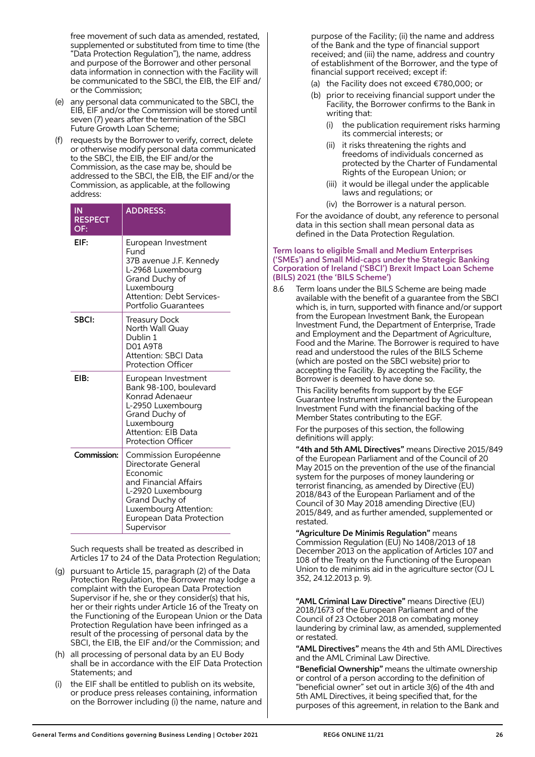free movement of such data as amended, restated, supplemented or substituted from time to time (the "Data Protection Regulation"), the name, address and purpose of the Borrower and other personal data information in connection with the Facility will be communicated to the SBCI, the EIB, the EIF and/ or the Commission;

- (e) any personal data communicated to the SBCI, the EIB, EIF and/or the Commission will be stored until seven (7) years after the termination of the SBCI Future Growth Loan Scheme;
- (f) requests by the Borrower to verify, correct, delete or otherwise modify personal data communicated to the SBCI, the EIB, the EIF and/or the Commission, as the case may be, should be addressed to the SBCI, the EIB, the EIF and/or the Commission, as applicable, at the following address:

| ΙN<br><b>RESPECT</b><br>OF: | <b>ADDRESS:</b>                                                                                                                                                                             |
|-----------------------------|---------------------------------------------------------------------------------------------------------------------------------------------------------------------------------------------|
| EIF:                        | European Investment<br>Fund<br>37B avenue J.F. Kennedy<br>L-2968 Luxembourg<br>Grand Duchy of<br>Luxembourg<br><b>Attention: Debt Services-</b><br>Portfolio Guarantees                     |
| SBCI:                       | Treasury Dock<br>North Wall Quay<br>Dublin 1<br>D01 A9T8<br>Attention: SBCI Data<br><b>Protection Officer</b>                                                                               |
| EIB:                        | European Investment<br>Bank 98-100, boulevard<br>Konrad Adenaeur<br>L-2950 Luxembourg<br>Grand Duchy of<br>Luxembourg<br>Attention: EIB Data<br><b>Protection Officer</b>                   |
| Commission:                 | Commission Européenne<br>Directorate General<br>Economic<br>and Financial Affairs<br>L-2920 Luxembourg<br>Grand Duchy of<br>Luxembourg Attention:<br>European Data Protection<br>Supervisor |

 Such requests shall be treated as described in Articles 17 to 24 of the Data Protection Regulation;

- (g) pursuant to Article 15, paragraph (2) of the Data Protection Regulation, the Borrower may lodge a complaint with the European Data Protection Supervisor if he, she or they consider(s) that his, her or their rights under Article 16 of the Treaty on the Functioning of the European Union or the Data Protection Regulation have been infringed as a result of the processing of personal data by the SBCI, the EIB, the EIF and/or the Commission; and
- (h) all processing of personal data by an EU Body shall be in accordance with the EIF Data Protection Statements; and
- the EIF shall be entitled to publish on its website, or produce press releases containing, information on the Borrower including (i) the name, nature and

purpose of the Facility; (ii) the name and address of the Bank and the type of financial support received; and (iii) the name, address and country of establishment of the Borrower, and the type of financial support received; except if:

- (a) the Facility does not exceed €780,000; or
- (b) prior to receiving financial support under the Facility, the Borrower confirms to the Bank in writing that:
	- (i) the publication requirement risks harming its commercial interests; or
	- (ii) it risks threatening the rights and freedoms of individuals concerned as protected by the Charter of Fundamental Rights of the European Union; or
	- (iii) it would be illegal under the applicable laws and regulations; or
	- (iv) the Borrower is a natural person.

 For the avoidance of doubt, any reference to personal data in this section shall mean personal data as defined in the Data Protection Regulation.

#### Term loans to eligible Small and Medium Enterprises ('SMEs') and Small Mid-caps under the Strategic Banking Corporation of Ireland ('SBCI') Brexit Impact Loan Scheme (BILS) 2021 (the 'BILS Scheme')

8.6 Term loans under the BILS Scheme are being made available with the benefit of a guarantee from the SBCI which is, in turn, supported with finance and/or support from the European Investment Bank, the European Investment Fund, the Department of Enterprise, Trade and Employment and the Department of Agriculture, Food and the Marine. The Borrower is required to have read and understood the rules of the BILS Scheme (which are posted on the SBCI website) prior to accepting the Facility. By accepting the Facility, the Borrower is deemed to have done so.

 This Facility benefits from support by the EGF Guarantee Instrument implemented by the European Investment Fund with the financial backing of the Member States contributing to the EGF.

 For the purposes of this section, the following definitions will apply:

 "4th and 5th AML Directives" means Directive 2015/849 of the European Parliament and of the Council of 20 May 2015 on the prevention of the use of the financial system for the purposes of money laundering or terrorist financing, as amended by Directive (EU) 2018/843 of the European Parliament and of the Council of 30 May 2018 amending Directive (EU) 2015/849, and as further amended, supplemented or restated.

 "Agriculture De Minimis Regulation" means Commission Regulation (EU) No 1408/2013 of 18 December 2013 on the application of Articles 107 and 108 of the Treaty on the Functioning of the European Union to de minimis aid in the agriculture sector (OJ L 352, 24.12.2013 p. 9).

 "AML Criminal Law Directive" means Directive (EU) 2018/1673 of the European Parliament and of the Council of 23 October 2018 on combating money laundering by criminal law, as amended, supplemented or restated.

 "AML Directives" means the 4th and 5th AML Directives and the AML Criminal Law Directive.

 "Beneficial Ownership" means the ultimate ownership or control of a person according to the definition of "beneficial owner" set out in article 3(6) of the 4th and 5th AML Directives, it being specified that, for the purposes of this agreement, in relation to the Bank and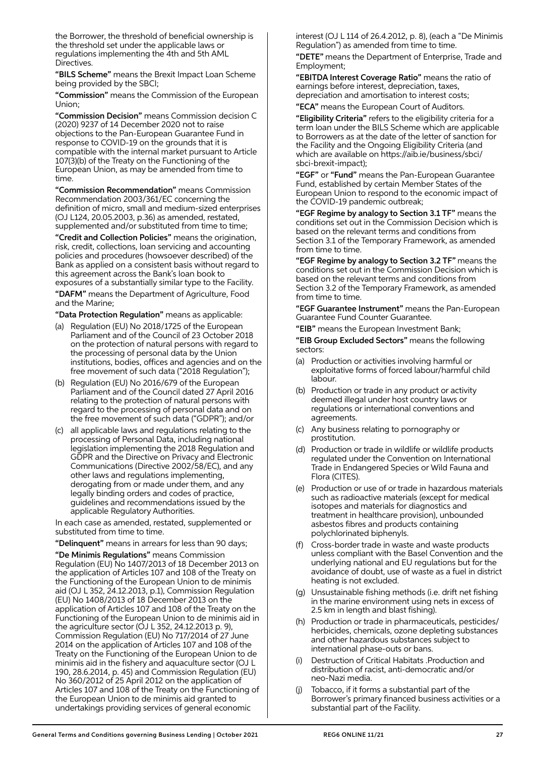the Borrower, the threshold of beneficial ownership is the threshold set under the applicable laws or regulations implementing the 4th and 5th AML Directives.

"BILS Scheme" means the Brexit Impact Loan Scheme being provided by the SBCI;

 "Commission" means the Commission of the European Union;

 "Commission Decision" means Commission decision C (2020) 9237 of 14 December 2020 not to raise objections to the Pan-European Guarantee Fund in response to COVID-19 on the grounds that it is compatible with the internal market pursuant to Article 107(3)(b) of the Treaty on the Functioning of the European Union, as may be amended from time to time.

 "Commission Recommendation" means Commission Recommendation 2003/361/EC concerning the definition of micro, small and medium-sized enterprises (OJ L124, 20.05.2003, p.36) as amended, restated, supplemented and/or substituted from time to time;

 "Credit and Collection Policies" means the origination, risk, credit, collections, loan servicing and accounting policies and procedures (howsoever described) of the Bank as applied on a consistent basis without regard to this agreement across the Bank's loan book to exposures of a substantially similar type to the Facility.

 "DAFM" means the Department of Agriculture, Food and the Marine;

"Data Protection Regulation" means as applicable:

- (a) Regulation (EU) No 2018/1725 of the European Parliament and of the Council of 23 October 2018 on the protection of natural persons with regard to the processing of personal data by the Union institutions, bodies, offices and agencies and on the free movement of such data ("2018 Regulation");
- (b) Regulation (EU) No 2016/679 of the European Parliament and of the Council dated 27 April 2016 relating to the protection of natural persons with regard to the processing of personal data and on the free movement of such data ("GDPR"); and/or
- (c) all applicable laws and regulations relating to the processing of Personal Data, including national legislation implementing the 2018 Regulation and GDPR and the Directive on Privacy and Electronic Communications (Directive 2002/58/EC), and any other laws and regulations implementing, derogating from or made under them, and any legally binding orders and codes of practice, guidelines and recommendations issued by the applicable Regulatory Authorities.

 In each case as amended, restated, supplemented or substituted from time to time.

"Delinquent" means in arrears for less than 90 days;

 "De Minimis Regulations" means Commission Regulation (EU) No 1407/2013 of 18 December 2013 on the application of Articles 107 and 108 of the Treaty on the Functioning of the European Union to de minimis aid (OJ L 352, 24.12.2013, p.1), Commission Regulation (EU) No 1408/2013 of 18 December 2013 on the application of Articles 107 and 108 of the Treaty on the Functioning of the European Union to de minimis aid in the agriculture sector (OJ L 352, 24.12.2013 p. 9), Commission Regulation (EU) No 717/2014 of 27 June 2014 on the application of Articles 107 and 108 of the Treaty on the Functioning of the European Union to de minimis aid in the fishery and aquaculture sector (OJ L 190, 28.6.2014, p. 45) and Commission Regulation (EU) No 360/2012 of 25 April 2012 on the application of Articles 107 and 108 of the Treaty on the Functioning of the European Union to de minimis aid granted to undertakings providing services of general economic

interest (OJ L 114 of 26.4.2012, p. 8), (each a "De Minimis Regulation") as amended from time to time.

 "DETE" means the Department of Enterprise, Trade and Employment;

 "EBITDA Interest Coverage Ratio" means the ratio of earnings before interest, depreciation, taxes, depreciation and amortisation to interest costs;

"ECA" means the European Court of Auditors.

 "Eligibility Criteria" refers to the eligibility criteria for a term loan under the BILS Scheme which are applicable to Borrowers as at the date of the letter of sanction for the Facility and the Ongoing Eligibility Criteria (and which are available on https://aib.ie/business/sbci/ sbci-brexit-impact);

"EGF" or "Fund" means the Pan-European Guarantee Fund, established by certain Member States of the European Union to respond to the economic impact of the COVID-19 pandemic outbreak;

 "EGF Regime by analogy to Section 3.1 TF" means the conditions set out in the Commission Decision which is based on the relevant terms and conditions from Section 3.1 of the Temporary Framework, as amended from time to time.

 "EGF Regime by analogy to Section 3.2 TF" means the conditions set out in the Commission Decision which is based on the relevant terms and conditions from Section 3.2 of the Temporary Framework, as amended from time to time.

 "EGF Guarantee Instrument" means the Pan-European Guarantee Fund Counter Guarantee.

"EIB" means the European Investment Bank;

 "EIB Group Excluded Sectors" means the following sectors:

- (a) Production or activities involving harmful or exploitative forms of forced labour/harmful child labour.
- (b) Production or trade in any product or activity deemed illegal under host country laws or regulations or international conventions and agreements.
- (c) Any business relating to pornography or prostitution.
- (d) Production or trade in wildlife or wildlife products regulated under the Convention on International Trade in Endangered Species or Wild Fauna and Flora (CITES).
- (e) Production or use of or trade in hazardous materials such as radioactive materials (except for medical isotopes and materials for diagnostics and treatment in healthcare provision), unbounded asbestos fibres and products containing polychlorinated biphenyls.
- Cross-border trade in waste and waste products unless compliant with the Basel Convention and the underlying national and EU regulations but for the avoidance of doubt, use of waste as a fuel in district heating is not excluded.
- (g) Unsustainable fishing methods (i.e. drift net fishing in the marine environment using nets in excess of 2.5 km in length and blast fishing).
- (h) Production or trade in pharmaceuticals, pesticides/ herbicides, chemicals, ozone depleting substances and other hazardous substances subject to international phase-outs or bans.
- Destruction of Critical Habitats .Production and distribution of racist, anti-democratic and/or neo-Nazi media.
- (j) Tobacco, if it forms a substantial part of the Borrower's primary financed business activities or a substantial part of the Facility.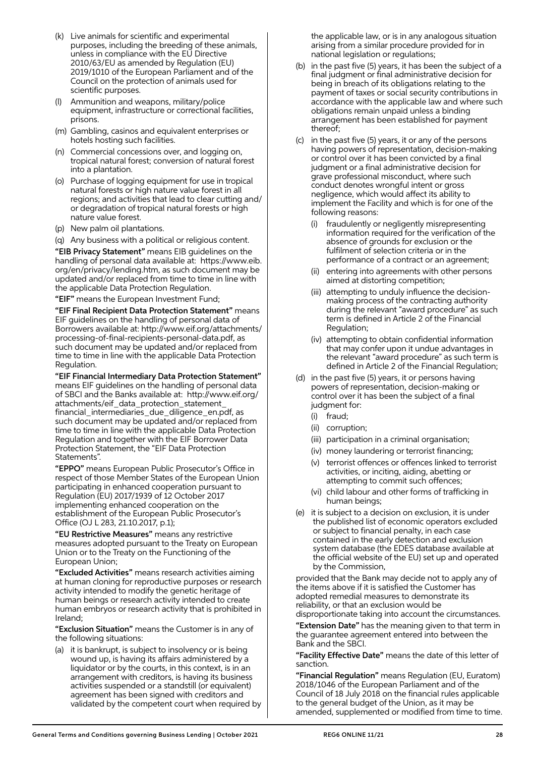- (k) Live animals for scientific and experimental purposes, including the breeding of these animals, unless in compliance with the EU Directive 2010/63/EU as amended by Regulation (EU) 2019/1010 of the European Parliament and of the Council on the protection of animals used for scientific purposes.
- Ammunition and weapons, military/police equipment, infrastructure or correctional facilities, prisons.
- (m) Gambling, casinos and equivalent enterprises or hotels hosting such facilities.
- (n) Commercial concessions over, and logging on, tropical natural forest; conversion of natural forest into a plantation.
- (o) Purchase of logging equipment for use in tropical natural forests or high nature value forest in all regions; and activities that lead to clear cutting and/ or degradation of tropical natural forests or high nature value forest.
- (p) New palm oil plantations.
- (q) Any business with a political or religious content.

 "EIB Privacy Statement" means EIB guidelines on the handling of personal data available at: https://www.eib. org/en/privacy/lending.htm, as such document may be updated and/or replaced from time to time in line with the applicable Data Protection Regulation.

"EIF" means the European Investment Fund;

 "EIF Final Recipient Data Protection Statement" means EIF guidelines on the handling of personal data of Borrowers available at: http://www.eif.org/attachments/ processing-of-final-recipients-personal-data.pdf, as such document may be updated and/or replaced from time to time in line with the applicable Data Protection Regulation.

 "EIF Financial Intermediary Data Protection Statement" means EIF guidelines on the handling of personal data of SBCI and the Banks available at: http://www.eif.org/ attachments/eif\_data\_protection\_statement\_ financial\_intermediaries\_due\_diligence\_en.pdf, as such document may be updated and/or replaced from time to time in line with the applicable Data Protection Regulation and together with the EIF Borrower Data Protection Statement, the "EIF Data Protection Statements".

 "EPPO" means European Public Prosecutor's Office in respect of those Member States of the European Union participating in enhanced cooperation pursuant to Regulation (EU) 2017/1939 of 12 October 2017 implementing enhanced cooperation on the establishment of the European Public Prosecutor's Office (OJ L 283, 21.10.2017, p.1);

 "EU Restrictive Measures" means any restrictive measures adopted pursuant to the Treaty on European Union or to the Treaty on the Functioning of the European Union;

 "Excluded Activities" means research activities aiming at human cloning for reproductive purposes or research activity intended to modify the genetic heritage of human beings or research activity intended to create human embryos or research activity that is prohibited in Ireland;

 "Exclusion Situation" means the Customer is in any of the following situations:

 (a) it is bankrupt, is subject to insolvency or is being wound up, is having its affairs administered by a liquidator or by the courts, in this context, is in an arrangement with creditors, is having its business activities suspended or a standstill (or equivalent) agreement has been signed with creditors and validated by the competent court when required by the applicable law, or is in any analogous situation arising from a similar procedure provided for in national legislation or regulations;

- (b) in the past five (5) years, it has been the subject of a final judgment or final administrative decision for being in breach of its obligations relating to the payment of taxes or social security contributions in accordance with the applicable law and where such obligations remain unpaid unless a binding arrangement has been established for payment thereof;
- (c) in the past five (5) years, it or any of the persons having powers of representation, decision-making or control over it has been convicted by a final judgment or a final administrative decision for grave professional misconduct, where such conduct denotes wrongful intent or gross negligence, which would affect its ability to implement the Facility and which is for one of the following reasons:
	- (i) fraudulently or negligently misrepresenting information required for the verification of the absence of grounds for exclusion or the fulfilment of selection criteria or in the performance of a contract or an agreement;
	- (ii) entering into agreements with other persons aimed at distorting competition;
	- (iii) attempting to unduly influence the decisionmaking process of the contracting authority during the relevant "award procedure" as such term is defined in Article 2 of the Financial Regulation;
	- (iv) attempting to obtain confidential information that may confer upon it undue advantages in the relevant "award procedure" as such term is defined in Article 2 of the Financial Regulation;
- (d) in the past five (5) years, it or persons having powers of representation, decision-making or control over it has been the subject of a final judgment for:
	- (i) fraud;
	- (ii) corruption;
	- (iii) participation in a criminal organisation;
	- (iv) money laundering or terrorist financing;
	- (v) terrorist offences or offences linked to terrorist activities, or inciting, aiding, abetting or attempting to commit such offences;
	- (vi) child labour and other forms of trafficking in human beings;
- (e) it is subject to a decision on exclusion, it is under the published list of economic operators excluded or subject to financial penalty, in each case contained in the early detection and exclusion system database (the EDES database available at the official website of the EU) set up and operated by the Commission,

 provided that the Bank may decide not to apply any of the items above if it is satisfied the Customer has adopted remedial measures to demonstrate its reliability, or that an exclusion would be disproportionate taking into account the circumstances.

**"Extension Date"** has the meaning given to that term in the guarantee agreement entered into between the Bank and the SBCI.

 "Facility Effective Date" means the date of this letter of sanction.

 "Financial Regulation" means Regulation (EU, Euratom) 2018/1046 of the European Parliament and of the Council of 18 July 2018 on the financial rules applicable to the general budget of the Union, as it may be amended, supplemented or modified from time to time.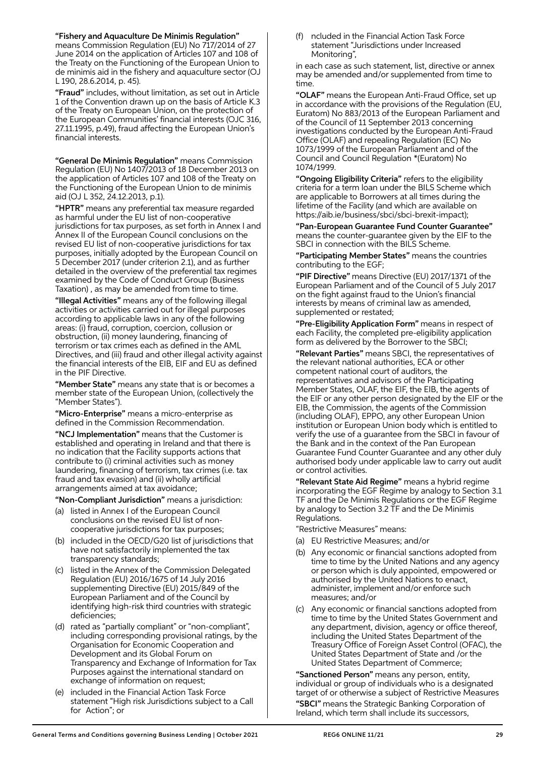"Fishery and Aquaculture De Minimis Regulation"

means Commission Regulation (EU) No 717/2014 of 27 June 2014 on the application of Articles 107 and 108 of the Treaty on the Functioning of the European Union to de minimis aid in the fishery and aquaculture sector (OJ L 190, 28.6.2014, p. 45).

 "Fraud" includes, without limitation, as set out in Article 1 of the Convention drawn up on the basis of Article K.3 of the Treaty on European Union, on the protection of the European Communities' financial interests (OJC 316, 27.11.1995, p.49), fraud affecting the European Union's financial interests.

 "General De Minimis Regulation" means Commission Regulation (EU) No 1407/2013 of 18 December 2013 on the application of Articles 107 and 108 of the Treaty on the Functioning of the European Union to de minimis aid (OJ L 352, 24.12.2013, p.1).

"HPTR" means any preferential tax measure regarded as harmful under the EU list of non-cooperative jurisdictions for tax purposes, as set forth in Annex I and Annex II of the European Council conclusions on the revised EU list of non-cooperative jurisdictions for tax purposes, initially adopted by the European Council on 5 December 2017 (under criterion 2.1), and as further detailed in the overview of the preferential tax regimes examined by the Code of Conduct Group (Business Taxation) , as may be amended from time to time.

 "Illegal Activities" means any of the following illegal activities or activities carried out for illegal purposes according to applicable laws in any of the following areas: (i) fraud, corruption, coercion, collusion or obstruction, (ii) money laundering, financing of terrorism or tax crimes each as defined in the AML Directives, and (iii) fraud and other illegal activity against the financial interests of the EIB, EIF and EU as defined in the PIF Directive.

"Member State" means any state that is or becomes a member state of the European Union, (collectively the "Member States").

"Micro-Enterprise" means a micro-enterprise as defined in the Commission Recommendation.

 "NCJ Implementation" means that the Customer is established and operating in Ireland and that there is no indication that the Facility supports actions that contribute to (i) criminal activities such as money laundering, financing of terrorism, tax crimes (i.e. tax fraud and tax evasion) and (ii) wholly artificial arrangements aimed at tax avoidance;

"Non-Compliant Jurisdiction" means a jurisdiction:

- (a) listed in Annex I of the European Council conclusions on the revised EU list of noncooperative jurisdictions for tax purposes;
- (b) included in the OECD/G20 list of jurisdictions that have not satisfactorily implemented the tax transparency standards;
- listed in the Annex of the Commission Delegated Regulation (EU) 2016/1675 of 14 July 2016 supplementing Directive (EU) 2015/849 of the European Parliament and of the Council by identifying high-risk third countries with strategic deficiencies;
- (d) rated as "partially compliant" or "non-compliant", including corresponding provisional ratings, by the Organisation for Economic Cooperation and Development and its Global Forum on Transparency and Exchange of Information for Tax Purposes against the international standard on exchange of information on request;
- (e) included in the Financial Action Task Force statement "High risk Jurisdictions subject to a Call for Action"; or

 (f) ncluded in the Financial Action Task Force statement "Jurisdictions under Increased Monitoring",

 in each case as such statement, list, directive or annex may be amended and/or supplemented from time to time.

 "OLAF" means the European Anti-Fraud Office, set up in accordance with the provisions of the Regulation (EU, Euratom) No 883/2013 of the European Parliament and of the Council of 11 September 2013 concerning investigations conducted by the European Anti-Fraud Office (OLAF) and repealing Regulation (EC) No 1073/1999 of the European Parliament and of the Council and Council Regulation \*(Euratom) No 1074/1999.

 "Ongoing Eligibility Criteria" refers to the eligibility criteria for a term loan under the BILS Scheme which are applicable to Borrowers at all times during the lifetime of the Facility (and which are available on https://aib.ie/business/sbci/sbci-brexit-impact);

 "Pan-European Guarantee Fund Counter Guarantee" means the counter-guarantee given by the EIF to the SBCI in connection with the BILS Scheme.

 "Participating Member States" means the countries contributing to the EGF;

 "PIF Directive" means Directive (EU) 2017/1371 of the European Parliament and of the Council of 5 July 2017 on the fight against fraud to the Union's financial interests by means of criminal law as amended, supplemented or restated;

 "Pre-Eligibility Application Form" means in respect of each Facility, the completed pre-eligibility application form as delivered by the Borrower to the SBCI;

 "Relevant Parties" means SBCI, the representatives of the relevant national authorities, ECA or other competent national court of auditors, the representatives and advisors of the Participating Member States, OLAF, the EIF, the EIB, the agents of the EIF or any other person designated by the EIF or the EIB, the Commission, the agents of the Commission (including OLAF), EPPO, any other European Union institution or European Union body which is entitled to verify the use of a guarantee from the SBCI in favour of the Bank and in the context of the Pan European Guarantee Fund Counter Guarantee and any other duly authorised body under applicable law to carry out audit or control activities.

 "Relevant State Aid Regime" means a hybrid regime incorporating the EGF Regime by analogy to Section 3.1 TF and the De Minimis Regulations or the EGF Regime by analogy to Section 3.2 TF and the De Minimis Regulations.

"Restrictive Measures" means:

- (a) EU Restrictive Measures; and/or
- (b) Any economic or financial sanctions adopted from time to time by the United Nations and any agency or person which is duly appointed, empowered or authorised by the United Nations to enact, administer, implement and/or enforce such measures; and/or
- (c) Any economic or financial sanctions adopted from time to time by the United States Government and any department, division, agency or office thereof, including the United States Department of the Treasury Office of Foreign Asset Control (OFAC), the United States Department of State and /or the United States Department of Commerce;

 "Sanctioned Person" means any person, entity, individual or group of individuals who is a designated target of or otherwise a subject of Restrictive Measures "SBCI" means the Strategic Banking Corporation of Ireland, which term shall include its successors,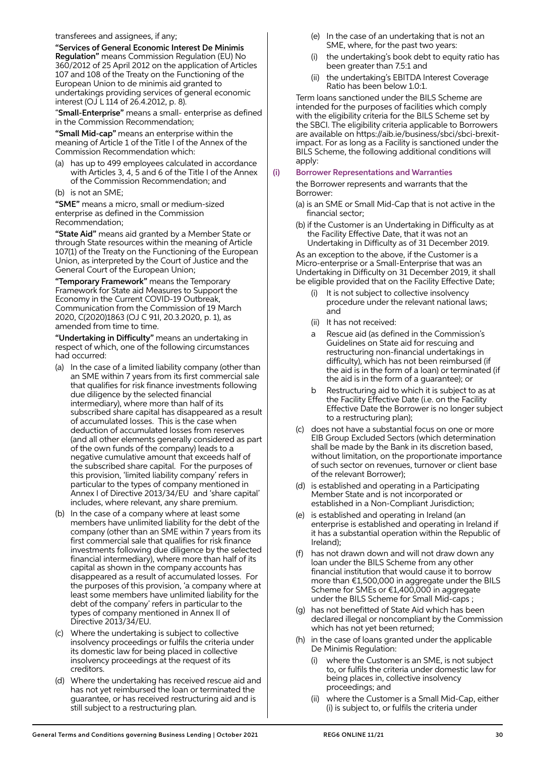transferees and assignees, if any;

 "Services of General Economic Interest De Minimis Regulation" means Commission Regulation (EU) No 360/2012 of 25 April 2012 on the application of Articles 107 and 108 of the Treaty on the Functioning of the European Union to de minimis aid granted to undertakings providing services of general economic interest (OJ L 114 of 26.4.2012, p. 8).

 "Small-Enterprise" means a small- enterprise as defined in the Commission Recommendation;

 "Small Mid-cap" means an enterprise within the meaning of Article 1 of the Title I of the Annex of the Commission Recommendation which:

- (a) has up to 499 employees calculated in accordance with Articles 3, 4, 5 and 6 of the Title I of the Annex of the Commission Recommendation; and
- (b) is not an SME;

 "SME" means a micro, small or medium-sized enterprise as defined in the Commission Recommendation;

"State Aid" means aid granted by a Member State or through State resources within the meaning of Article 107(1) of the Treaty on the Functioning of the European Union, as interpreted by the Court of Justice and the General Court of the European Union;

"Temporary Framework" means the Temporary Framework for State aid Measures to Support the Economy in the Current COVID-19 Outbreak, Communication from the Commission of 19 March 2020, C(2020)1863 (OJ C 91I, 20.3.2020, p. 1), as amended from time to time.

 "Undertaking in Difficulty" means an undertaking in respect of which, one of the following circumstances had occurred:

- (a) In the case of a limited liability company (other than an SME within 7 years from its first commercial sale that qualifies for risk finance investments following due diligence by the selected financial intermediary), where more than half of its subscribed share capital has disappeared as a result of accumulated losses. This is the case when deduction of accumulated losses from reserves (and all other elements generally considered as part of the own funds of the company) leads to a negative cumulative amount that exceeds half of the subscribed share capital. For the purposes of this provision, 'limited liability company' refers in particular to the types of company mentioned in Annex I of Directive 2013/34/EU and 'share capital' includes, where relevant, any share premium.
- (b) In the case of a company where at least some members have unlimited liability for the debt of the company (other than an SME within 7 years from its first commercial sale that qualifies for risk finance investments following due diligence by the selected financial intermediary), where more than half of its capital as shown in the company accounts has disappeared as a result of accumulated losses. For the purposes of this provision, 'a company where at least some members have unlimited liability for the debt of the company' refers in particular to the types of company mentioned in Annex II of Directive 2013/34/EU.
- (c) Where the undertaking is subject to collective insolvency proceedings or fulfils the criteria under its domestic law for being placed in collective insolvency proceedings at the request of its creditors.
- (d) Where the undertaking has received rescue aid and has not yet reimbursed the loan or terminated the guarantee, or has received restructuring aid and is still subject to a restructuring plan.
- (e) In the case of an undertaking that is not an SME, where, for the past two years:
- the undertaking's book debt to equity ratio has been greater than 7.5:1 and
- (ii) the undertaking's EBITDA Interest Coverage Ratio has been below 1.0:1.

 Term loans sanctioned under the BILS Scheme are intended for the purposes of facilities which comply with the eligibility criteria for the BILS Scheme set by the SBCI. The eligibility criteria applicable to Borrowers are available on https://aib.ie/business/sbci/sbci-brexitimpact. For as long as a Facility is sanctioned under the BILS Scheme, the following additional conditions will apply:

#### (i) Borrower Representations and Warranties

 the Borrower represents and warrants that the Borrower:

- (a) is an SME or Small Mid-Cap that is not active in the financial sector;
- (b) if the Customer is an Undertaking in Difficulty as at the Facility Effective Date, that it was not an Undertaking in Difficulty as of 31 December 2019.

 As an exception to the above, if the Customer is a Micro-enterprise or a Small-Enterprise that was an Undertaking in Difficulty on 31 December 2019, it shall be eligible provided that on the Facility Effective Date;

- (i) It is not subject to collective insolvency procedure under the relevant national laws; and
- (ii) It has not received:
- a Rescue aid (as defined in the Commission's Guidelines on State aid for rescuing and restructuring non-financial undertakings in difficulty), which has not been reimbursed (if the aid is in the form of a loan) or terminated (if the aid is in the form of a guarantee); or
- Restructuring aid to which it is subject to as at the Facility Effective Date (i.e. on the Facility Effective Date the Borrower is no longer subject to a restructuring plan);
- (c) does not have a substantial focus on one or more EIB Group Excluded Sectors (which determination shall be made by the Bank in its discretion based, without limitation, on the proportionate importance of such sector on revenues, turnover or client base of the relevant Borrower);
- (d) is established and operating in a Participating Member State and is not incorporated or established in a Non-Compliant Jurisdiction;
- (e) is established and operating in Ireland (an enterprise is established and operating in Ireland if it has a substantial operation within the Republic of Ireland);
- (f) has not drawn down and will not draw down any loan under the BILS Scheme from any other financial institution that would cause it to borrow more than €1,500,000 in aggregate under the BILS Scheme for SMEs or €1,400,000 in aggregate under the BILS Scheme for Small Mid-caps ;
- (g) has not benefitted of State Aid which has been declared illegal or noncompliant by the Commission which has not yet been returned:
- (h) in the case of loans granted under the applicable De Minimis Regulation:
	- where the Customer is an SME, is not subject to, or fulfils the criteria under domestic law for being places in, collective insolvency proceedings; and
	- (ii) where the Customer is a Small Mid-Cap, either (i) is subject to, or fulfils the criteria under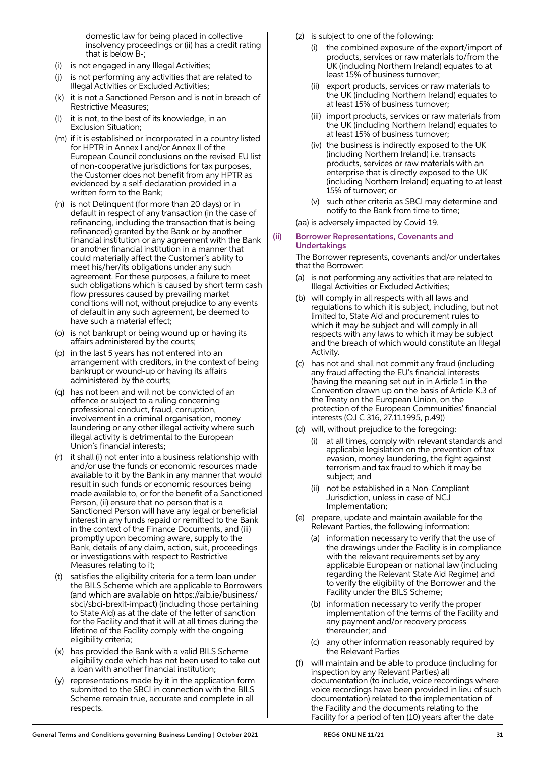domestic law for being placed in collective insolvency proceedings or (ii) has a credit rating that is below B-;

- (i) is not engaged in any Illegal Activities;
- (j) is not performing any activities that are related to Illegal Activities or Excluded Activities;
- (k) it is not a Sanctioned Person and is not in breach of Restrictive Measures;
- it is not, to the best of its knowledge, in an Exclusion Situation;
- (m) if it is established or incorporated in a country listed for HPTR in Annex I and/or Annex II of the European Council conclusions on the revised EU list of non-cooperative jurisdictions for tax purposes, the Customer does not benefit from any HPTR as evidenced by a self-declaration provided in a written form to the Bank;
- (n) is not Delinquent (for more than 20 days) or in default in respect of any transaction (in the case of refinancing, including the transaction that is being refinanced) granted by the Bank or by another financial institution or any agreement with the Bank or another financial institution in a manner that could materially affect the Customer's ability to meet his/her/its obligations under any such agreement. For these purposes, a failure to meet such obligations which is caused by short term cash flow pressures caused by prevailing market conditions will not, without prejudice to any events of default in any such agreement, be deemed to have such a material effect;
- (o) is not bankrupt or being wound up or having its affairs administered by the courts;
- (p) in the last 5 years has not entered into an arrangement with creditors, in the context of being bankrupt or wound-up or having its affairs administered by the courts;
- (q) has not been and will not be convicted of an offence or subject to a ruling concerning professional conduct, fraud, corruption, involvement in a criminal organisation, money laundering or any other illegal activity where such illegal activity is detrimental to the European Union's financial interests;
- (r) it shall (i) not enter into a business relationship with and/or use the funds or economic resources made available to it by the Bank in any manner that would result in such funds or economic resources being made available to, or for the benefit of a Sanctioned Person, (ii) ensure that no person that is a Sanctioned Person will have any legal or beneficial interest in any funds repaid or remitted to the Bank in the context of the Finance Documents, and (iii) promptly upon becoming aware, supply to the Bank, details of any claim, action, suit, proceedings or investigations with respect to Restrictive Measures relating to it;
- (t) satisfies the eligibility criteria for a term loan under the BILS Scheme which are applicable to Borrowers (and which are available on https://aib.ie/business/ sbci/sbci-brexit-impact) (including those pertaining to State Aid) as at the date of the letter of sanction for the Facility and that it will at all times during the lifetime of the Facility comply with the ongoing eligibility criteria;
- (x) has provided the Bank with a valid BILS Scheme eligibility code which has not been used to take out a loan with another financial institution;
- (y) representations made by it in the application form submitted to the SBCI in connection with the BILS Scheme remain true, accurate and complete in all respects.
- (z) is subject to one of the following:
	- (i) the combined exposure of the export/import of products, services or raw materials to/from the UK (including Northern Ireland) equates to at least 15% of business turnover;
	- (ii) export products, services or raw materials to the UK (including Northern Ireland) equates to at least 15% of business turnover;
	- (iii) import products, services or raw materials from the UK (including Northern Ireland) equates to at least 15% of business turnover;
	- (iv) the business is indirectly exposed to the UK (including Northern Ireland) i.e. transacts products, services or raw materials with an enterprise that is directly exposed to the UK (including Northern Ireland) equating to at least 15% of turnover; or
	- (v) such other criteria as SBCI may determine and notify to the Bank from time to time;

(aa) is adversely impacted by Covid-19.

#### (ii) Borrower Representations, Covenants and Undertakings

 The Borrower represents, covenants and/or undertakes that the Borrower:

- is not performing any activities that are related to Illegal Activities or Excluded Activities;
- (b) will comply in all respects with all laws and regulations to which it is subject, including, but not limited to, State Aid and procurement rules to which it may be subject and will comply in all respects with any laws to which it may be subject and the breach of which would constitute an Illegal Activity.
- (c) has not and shall not commit any fraud (including any fraud affecting the EU's financial interests (having the meaning set out in in Article 1 in the Convention drawn up on the basis of Article K.3 of the Treaty on the European Union, on the protection of the European Communities' financial interests (OJ C 316, 27.11.1995, p.49))
- (d) will, without prejudice to the foregoing:
	- at all times, comply with relevant standards and applicable legislation on the prevention of tax evasion, money laundering, the fight against terrorism and tax fraud to which it may be subject; and
	- (ii) not be established in a Non-Compliant Jurisdiction, unless in case of NCJ Implementation;
- (e) prepare, update and maintain available for the Relevant Parties, the following information:
	- (a) information necessary to verify that the use of the drawings under the Facility is in compliance with the relevant requirements set by any applicable European or national law (including regarding the Relevant State Aid Regime) and to verify the eligibility of the Borrower and the Facility under the BILS Scheme;
	- (b) information necessary to verify the proper implementation of the terms of the Facility and any payment and/or recovery process thereunder; and
	- (c) any other information reasonably required by the Relevant Parties
- (f) will maintain and be able to produce (including for inspection by any Relevant Parties) all documentation (to include, voice recordings where voice recordings have been provided in lieu of such documentation) related to the implementation of the Facility and the documents relating to the Facility for a period of ten (10) years after the date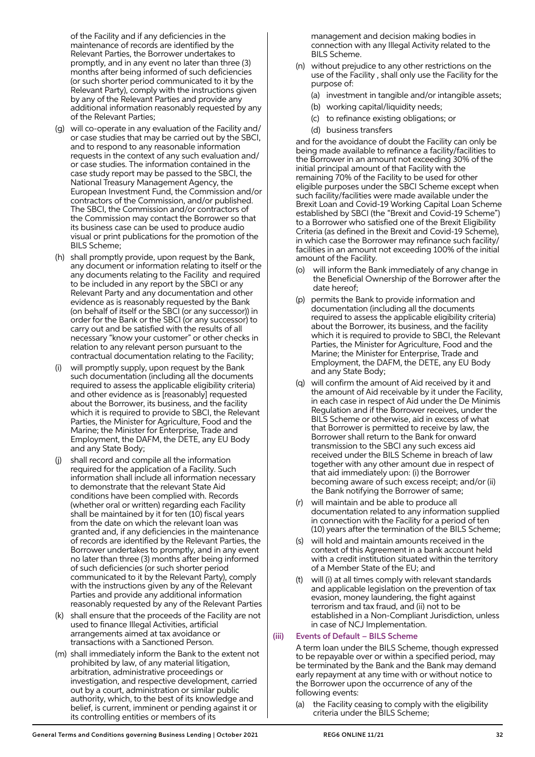of the Facility and if any deficiencies in the maintenance of records are identified by the Relevant Parties, the Borrower undertakes to promptly, and in any event no later than three (3) months after being informed of such deficiencies (or such shorter period communicated to it by the Relevant Party), comply with the instructions given by any of the Relevant Parties and provide any additional information reasonably requested by any of the Relevant Parties;

- (g) will co-operate in any evaluation of the Facility and/ or case studies that may be carried out by the SBCI, and to respond to any reasonable information requests in the context of any such evaluation and/ or case studies. The information contained in the case study report may be passed to the SBCI, the National Treasury Management Agency, the European Investment Fund, the Commission and/or contractors of the Commission, and/or published. The SBCI, the Commission and/or contractors of the Commission may contact the Borrower so that its business case can be used to produce audio visual or print publications for the promotion of the BILS Scheme;
- (h) shall promptly provide, upon request by the Bank, any document or information relating to itself or the any documents relating to the Facility and required to be included in any report by the SBCI or any Relevant Party and any documentation and other evidence as is reasonably requested by the Bank (on behalf of itself or the SBCI (or any successor)) in order for the Bank or the SBCI (or any successor) to carry out and be satisfied with the results of all necessary "know your customer" or other checks in relation to any relevant person pursuant to the contractual documentation relating to the Facility;
- (i) will promptly supply, upon request by the Bank such documentation (including all the documents required to assess the applicable eligibility criteria) and other evidence as is [reasonably] requested about the Borrower, its business, and the facility which it is required to provide to SBCI, the Relevant Parties, the Minister for Agriculture, Food and the Marine; the Minister for Enterprise, Trade and Employment, the DAFM, the DETE, any EU Body and any State Body;
- shall record and compile all the information required for the application of a Facility. Such information shall include all information necessary to demonstrate that the relevant State Aid conditions have been complied with. Records (whether oral or written) regarding each Facility shall be maintained by it for ten (10) fiscal years from the date on which the relevant loan was granted and, if any deficiencies in the maintenance of records are identified by the Relevant Parties, the Borrower undertakes to promptly, and in any event no later than three (3) months after being informed of such deficiencies (or such shorter period communicated to it by the Relevant Party), comply with the instructions given by any of the Relevant Parties and provide any additional information reasonably requested by any of the Relevant Parties
- (k) shall ensure that the proceeds of the Facility are not used to finance Illegal Activities, artificial arrangements aimed at tax avoidance or transactions with a Sanctioned Person.
- (m) shall immediately inform the Bank to the extent not prohibited by law, of any material litigation, arbitration, administrative proceedings or investigation, and respective development, carried out by a court, administration or similar public authority, which, to the best of its knowledge and belief, is current, imminent or pending against it or its controlling entities or members of its

management and decision making bodies in connection with any Illegal Activity related to the BILS Scheme.

- (n) without prejudice to any other restrictions on the use of the Facility , shall only use the Facility for the purpose of:
	- (a) investment in tangible and/or intangible assets;
	- (b) working capital/liquidity needs;
	- (c) to refinance existing obligations; or
	- (d) business transfers

 and for the avoidance of doubt the Facility can only be being made available to refinance a facility/facilities to the Borrower in an amount not exceeding 30% of the initial principal amount of that Facility with the remaining 70% of the Facility to be used for other eligible purposes under the SBCI Scheme except when such facility/facilities were made available under the Brexit Loan and Covid-19 Working Capital Loan Scheme established by SBCI (the "Brexit and Covid-19 Scheme") to a Borrower who satisfied one of the Brexit Eligibility Criteria (as defined in the Brexit and Covid-19 Scheme), in which case the Borrower may refinance such facility/ facilities in an amount not exceeding 100% of the initial amount of the Facility.

- (o) will inform the Bank immediately of any change in the Beneficial Ownership of the Borrower after the date hereof;
- (p) permits the Bank to provide information and documentation (including all the documents required to assess the applicable eligibility criteria) about the Borrower, its business, and the facility which it is required to provide to SBCI, the Relevant Parties, the Minister for Agriculture, Food and the Marine; the Minister for Enterprise, Trade and Employment, the DAFM, the DETE, any EU Body and any State Body;
- (q) will confirm the amount of Aid received by it and the amount of Aid receivable by it under the Facility, in each case in respect of Aid under the De Minimis Regulation and if the Borrower receives, under the BILS Scheme or otherwise, aid in excess of what that Borrower is permitted to receive by law, the Borrower shall return to the Bank for onward transmission to the SBCI any such excess aid received under the BILS Scheme in breach of law together with any other amount due in respect of that aid immediately upon: (i) the Borrower becoming aware of such excess receipt; and/or (ii) the Bank notifying the Borrower of same;
- (r) will maintain and be able to produce all documentation related to any information supplied in connection with the Facility for a period of ten (10) years after the termination of the BILS Scheme;
- (s) will hold and maintain amounts received in the context of this Agreement in a bank account held with a credit institution situated within the territory of a Member State of the EU; and
- will (i) at all times comply with relevant standards and applicable legislation on the prevention of tax evasion, money laundering, the fight against terrorism and tax fraud, and (ii) not to be established in a Non-Compliant Jurisdiction, unless in case of NCJ Implementation.

## (iii) Events of Default – BILS Scheme

 A term loan under the BILS Scheme, though expressed to be repayable over or within a specified period, may be terminated by the Bank and the Bank may demand early repayment at any time with or without notice to the Borrower upon the occurrence of any of the following events:

 (a) the Facility ceasing to comply with the eligibility criteria under the BILS Scheme;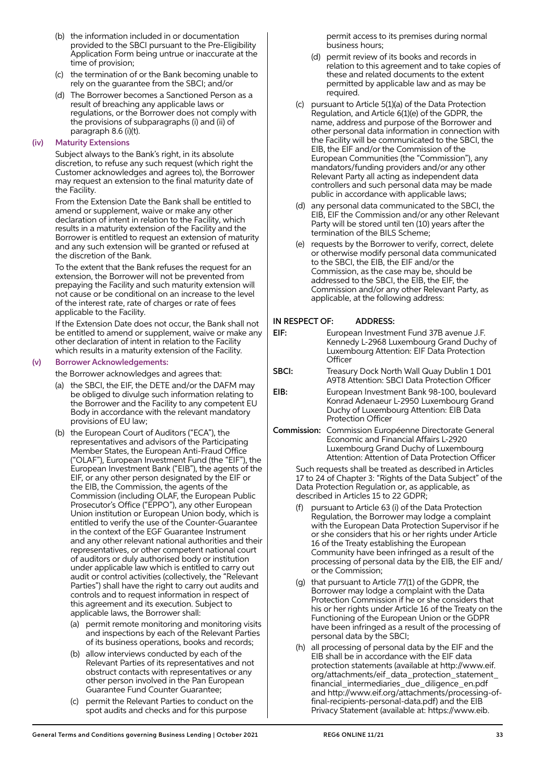- (b) the information included in or documentation provided to the SBCI pursuant to the Pre-Eligibility Application Form being untrue or inaccurate at the time of provision;
- (c) the termination of or the Bank becoming unable to rely on the guarantee from the SBCI; and/or
- (d) The Borrower becomes a Sanctioned Person as a result of breaching any applicable laws or regulations, or the Borrower does not comply with the provisions of subparagraphs (i) and (ii) of paragraph 8.6 (i)(t).

#### (iv) Maturity Extensions

 Subject always to the Bank's right, in its absolute discretion, to refuse any such request (which right the Customer acknowledges and agrees to), the Borrower may request an extension to the final maturity date of the Facility.

 From the Extension Date the Bank shall be entitled to amend or supplement, waive or make any other declaration of intent in relation to the Facility, which results in a maturity extension of the Facility and the Borrower is entitled to request an extension of maturity and any such extension will be granted or refused at the discretion of the Bank.

 To the extent that the Bank refuses the request for an extension, the Borrower will not be prevented from prepaying the Facility and such maturity extension will not cause or be conditional on an increase to the level of the interest rate, rate of charges or rate of fees applicable to the Facility.

 If the Extension Date does not occur, the Bank shall not be entitled to amend or supplement, waive or make any other declaration of intent in relation to the Facility which results in a maturity extension of the Facility.

#### (v) Borrower Acknowledgements:

the Borrower acknowledges and agrees that:

- (a) the SBCI, the EIF, the DETE and/or the DAFM may be obliged to divulge such information relating to the Borrower and the Facility to any competent EU Body in accordance with the relevant mandatory provisions of EU law;
- (b) the European Court of Auditors ("ECA"), the representatives and advisors of the Participating Member States, the European Anti-Fraud Office ("OLAF"), European Investment Fund (the "EIF"), the European Investment Bank ("EIB"), the agents of the EIF, or any other person designated by the EIF or the EIB, the Commission, the agents of the Commission (including OLAF, the European Public Prosecutor's Office ("EPPO"), any other European Union institution or European Union body, which is entitled to verify the use of the Counter-Guarantee in the context of the EGF Guarantee Instrument and any other relevant national authorities and their representatives, or other competent national court of auditors or duly authorised body or institution under applicable law which is entitled to carry out audit or control activities (collectively, the "Relevant Parties") shall have the right to carry out audits and controls and to request information in respect of this agreement and its execution. Subject to applicable laws, the Borrower shall:
	- (a) permit remote monitoring and monitoring visits and inspections by each of the Relevant Parties of its business operations, books and records;
	- (b) allow interviews conducted by each of the Relevant Parties of its representatives and not obstruct contacts with representatives or any other person involved in the Pan European Guarantee Fund Counter Guarantee;
	- (c) permit the Relevant Parties to conduct on the spot audits and checks and for this purpose

permit access to its premises during normal business hours;

- (d) permit review of its books and records in relation to this agreement and to take copies of these and related documents to the extent permitted by applicable law and as may be required.
- (c) pursuant to Article 5(1)(a) of the Data Protection Regulation, and Article 6(1)(e) of the GDPR, the name, address and purpose of the Borrower and other personal data information in connection with the Facility will be communicated to the SBCI, the EIB, the EIF and/or the Commission of the European Communities (the "Commission"), any mandators/funding providers and/or any other Relevant Party all acting as independent data controllers and such personal data may be made public in accordance with applicable laws;
- (d) any personal data communicated to the SBCI, the EIB, EIF the Commission and/or any other Relevant Party will be stored until ten (10) years after the termination of the BILS Scheme;
- (e) requests by the Borrower to verify, correct, delete or otherwise modify personal data communicated to the SBCI, the EIB, the EIF and/or the Commission, as the case may be, should be addressed to the SBCI, the EIB, the EIF, the Commission and/or any other Relevant Party, as applicable, at the following address:

#### IN RESPECT OF: ADDRESS:

- EIF: European Investment Fund 37B avenue J.F. Kennedy L-2968 Luxembourg Grand Duchy of Luxembourg Attention: EIF Data Protection **Officer**
- SBCI: Treasury Dock North Wall Quay Dublin 1 D01 A9T8 Attention: SBCI Data Protection Officer
- EIB: European Investment Bank 98-100, boulevard Konrad Adenaeur L-2950 Luxembourg Grand Duchy of Luxembourg Attention: EIB Data Protection Officer
- Commission: Commission Européenne Directorate General Economic and Financial Affairs L-2920 Luxembourg Grand Duchy of Luxembourg Attention: Attention of Data Protection Officer

 Such requests shall be treated as described in Articles 17 to 24 of Chapter 3: "Rights of the Data Subject" of the Data Protection Regulation or, as applicable, as described in Articles 15 to 22 GDPR;

- (f) pursuant to Article 63 (i) of the Data Protection Regulation, the Borrower may lodge a complaint with the European Data Protection Supervisor if he or she considers that his or her rights under Article 16 of the Treaty establishing the European Community have been infringed as a result of the processing of personal data by the EIB, the EIF and/ or the Commission;
- (g) that pursuant to Article 77(1) of the GDPR, the Borrower may lodge a complaint with the Data Protection Commission if he or she considers that his or her rights under Article 16 of the Treaty on the Functioning of the European Union or the GDPR have been infringed as a result of the processing of personal data by the SBCI;
- (h) all processing of personal data by the EIF and the EIB shall be in accordance with the EIF data protection statements (available at http://www.eif. org/attachments/eif\_data\_protection\_statement\_ financial intermediaries due diligence en.pdf and http://www.eif.org/attachments/processing-offinal-recipients-personal-data.pdf) and the EIB Privacy Statement (available at: https://www.eib.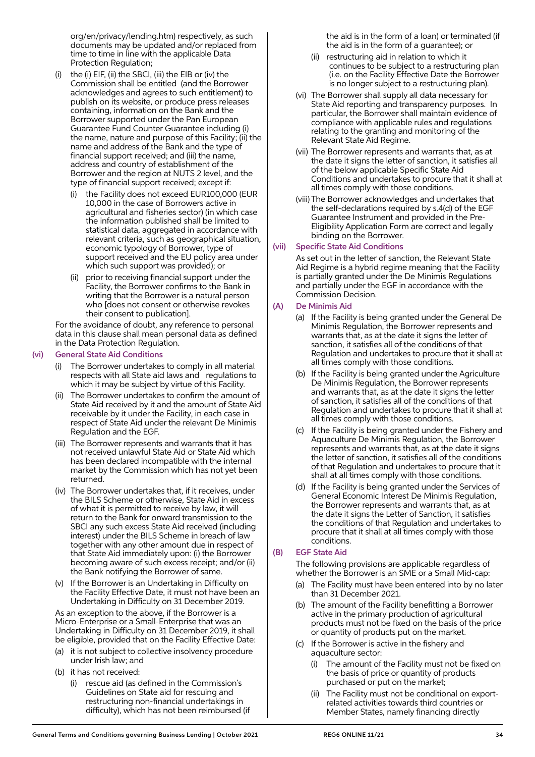org/en/privacy/lending.htm) respectively, as such documents may be updated and/or replaced from time to time in line with the applicable Data Protection Regulation;

- (i) the (i) EIF, (ii) the SBCI, (iii) the EIB or (iv) the Commission shall be entitled (and the Borrower acknowledges and agrees to such entitlement) to publish on its website, or produce press releases containing, information on the Bank and the Borrower supported under the Pan European Guarantee Fund Counter Guarantee including (i) the name, nature and purpose of this Facility; (ii) the name and address of the Bank and the type of financial support received; and (iii) the name, address and country of establishment of the Borrower and the region at NUTS 2 level, and the type of financial support received; except if:
	- (i) the Facility does not exceed EUR100,000 (EUR 10,000 in the case of Borrowers active in agricultural and fisheries sector) (in which case the information published shall be limited to statistical data, aggregated in accordance with relevant criteria, such as geographical situation, economic typology of Borrower, type of support received and the EU policy area under which such support was provided); or
	- (ii) prior to receiving financial support under the Facility, the Borrower confirms to the Bank in writing that the Borrower is a natural person who [does not consent or otherwise revokes their consent to publication].

 For the avoidance of doubt, any reference to personal data in this clause shall mean personal data as defined in the Data Protection Regulation.

#### (vi) General State Aid Conditions

- (i) The Borrower undertakes to comply in all material respects with all State aid laws and regulations to which it may be subject by virtue of this Facility.
- (ii) The Borrower undertakes to confirm the amount of State Aid received by it and the amount of State Aid receivable by it under the Facility, in each case in respect of State Aid under the relevant De Minimis Regulation and the EGF.
- (iii) The Borrower represents and warrants that it has not received unlawful State Aid or State Aid which has been declared incompatible with the internal market by the Commission which has not yet been returned.
- (iv) The Borrower undertakes that, if it receives, under the BILS Scheme or otherwise, State Aid in excess of what it is permitted to receive by law, it will return to the Bank for onward transmission to the SBCI any such excess State Aid received (including interest) under the BILS Scheme in breach of law together with any other amount due in respect of that State Aid immediately upon: (i) the Borrower becoming aware of such excess receipt; and/or (ii) the Bank notifying the Borrower of same.
- (v) If the Borrower is an Undertaking in Difficulty on the Facility Effective Date, it must not have been an Undertaking in Difficulty on 31 December 2019.

 As an exception to the above, if the Borrower is a Micro-Enterprise or a Small-Enterprise that was an Undertaking in Difficulty on 31 December 2019, it shall be eligible, provided that on the Facility Effective Date:

- (a) it is not subject to collective insolvency procedure under Irish law; and
- (b) it has not received:
	- (i) rescue aid (as defined in the Commission's Guidelines on State aid for rescuing and restructuring non-financial undertakings in difficulty), which has not been reimbursed (if

the aid is in the form of a loan) or terminated (if the aid is in the form of a guarantee); or

- (ii) restructuring aid in relation to which it continues to be subject to a restructuring plan (i.e. on the Facility Effective Date the Borrower is no longer subject to a restructuring plan).
- (vi) The Borrower shall supply all data necessary for State Aid reporting and transparency purposes. In particular, the Borrower shall maintain evidence of compliance with applicable rules and regulations relating to the granting and monitoring of the Relevant State Aid Regime.
- (vii) The Borrower represents and warrants that, as at the date it signs the letter of sanction, it satisfies all of the below applicable Specific State Aid Conditions and undertakes to procure that it shall at all times comply with those conditions.
- (viii) The Borrower acknowledges and undertakes that the self-declarations required by s.4(d) of the EGF Guarantee Instrument and provided in the Pre-Eligibility Application Form are correct and legally binding on the Borrower.

#### (vii) Specific State Aid Conditions

 As set out in the letter of sanction, the Relevant State Aid Regime is a hybrid regime meaning that the Facility is partially granted under the De Minimis Regulations and partially under the EGF in accordance with the Commission Decision.

## (A) De Minimis Aid

- (a) If the Facility is being granted under the General De Minimis Regulation, the Borrower represents and warrants that, as at the date it signs the letter of sanction, it satisfies all of the conditions of that Regulation and undertakes to procure that it shall at all times comply with those conditions.
- (b) If the Facility is being granted under the Agriculture De Minimis Regulation, the Borrower represents and warrants that, as at the date it signs the letter of sanction, it satisfies all of the conditions of that Regulation and undertakes to procure that it shall at all times comply with those conditions.
- (c) If the Facility is being granted under the Fishery and Aquaculture De Minimis Regulation, the Borrower represents and warrants that, as at the date it signs the letter of sanction, it satisfies all of the conditions of that Regulation and undertakes to procure that it shall at all times comply with those conditions.
- (d) If the Facility is being granted under the Services of General Economic Interest De Minimis Regulation, the Borrower represents and warrants that, as at the date it signs the Letter of Sanction, it satisfies the conditions of that Regulation and undertakes to procure that it shall at all times comply with those conditions.

## (B) EGF State Aid

 The following provisions are applicable regardless of whether the Borrower is an SME or a Small Mid-cap:

- (a) The Facility must have been entered into by no later than 31 December 2021.
- (b) The amount of the Facility benefitting a Borrower active in the primary production of agricultural products must not be fixed on the basis of the price or quantity of products put on the market.
- (c) If the Borrower is active in the fishery and aquaculture sector:
	- The amount of the Facility must not be fixed on the basis of price or quantity of products purchased or put on the market;
	- The Facility must not be conditional on exportrelated activities towards third countries or Member States, namely financing directly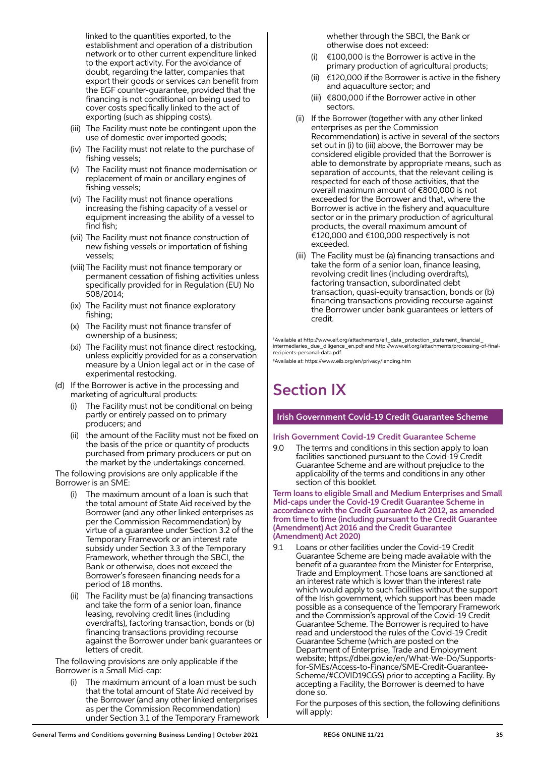linked to the quantities exported, to the establishment and operation of a distribution network or to other current expenditure linked to the export activity. For the avoidance of doubt, regarding the latter, companies that export their goods or services can benefit from the EGF counter-guarantee, provided that the financing is not conditional on being used to cover costs specifically linked to the act of exporting (such as shipping costs).

- (iii) The Facility must note be contingent upon the use of domestic over imported goods;
- (iv) The Facility must not relate to the purchase of fishing vessels;
- (v) The Facility must not finance modernisation or replacement of main or ancillary engines of fishing vessels;
- (vi) The Facility must not finance operations increasing the fishing capacity of a vessel or equipment increasing the ability of a vessel to find fish;
- (vii) The Facility must not finance construction of new fishing vessels or importation of fishing vessels;
- (viii) The Facility must not finance temporary or permanent cessation of fishing activities unless specifically provided for in Regulation (EU) No 508/2014;
- (ix) The Facility must not finance exploratory fishing;
- (x) The Facility must not finance transfer of ownership of a business;
- (xi) The Facility must not finance direct restocking, unless explicitly provided for as a conservation measure by a Union legal act or in the case of experimental restocking.
- (d) If the Borrower is active in the processing and marketing of agricultural products:
	- The Facility must not be conditional on being partly or entirely passed on to primary producers; and
	- (ii) the amount of the Facility must not be fixed on the basis of the price or quantity of products purchased from primary producers or put on the market by the undertakings concerned.

 The following provisions are only applicable if the Borrower is an SME:

- (i) The maximum amount of a loan is such that the total amount of State Aid received by the Borrower (and any other linked enterprises as per the Commission Recommendation) by virtue of a guarantee under Section 3.2 of the Temporary Framework or an interest rate subsidy under Section 3.3 of the Temporary Framework, whether through the SBCI, the Bank or otherwise, does not exceed the Borrower's foreseen financing needs for a period of 18 months.
- (ii) The Facility must be (a) financing transactions and take the form of a senior loan, finance leasing, revolving credit lines (including overdrafts), factoring transaction, bonds or (b) financing transactions providing recourse against the Borrower under bank guarantees or letters of credit.

 The following provisions are only applicable if the Borrower is a Small Mid-cap:

The maximum amount of a loan must be such that the total amount of State Aid received by the Borrower (and any other linked enterprises as per the Commission Recommendation) under Section 3.1 of the Temporary Framework whether through the SBCI, the Bank or otherwise does not exceed:

- (i)  $\epsilon$ 100,000 is the Borrower is active in the primary production of agricultural products;
- (ii)  $\epsilon$ 120,000 if the Borrower is active in the fishery and aquaculture sector; and
- (iii) €800,000 if the Borrower active in other sectors.
- (ii) If the Borrower (together with any other linked enterprises as per the Commission Recommendation) is active in several of the sectors set out in (i) to (iii) above, the Borrower may be considered eligible provided that the Borrower is able to demonstrate by appropriate means, such as separation of accounts, that the relevant ceiling is respected for each of those activities, that the overall maximum amount of €800,000 is not exceeded for the Borrower and that, where the Borrower is active in the fishery and aquaculture sector or in the primary production of agricultural products, the overall maximum amount of €120,000 and €100,000 respectively is not exceeded.
- (iii) The Facility must be (a) financing transactions and take the form of a senior loan, finance leasing, revolving credit lines (including overdrafts), factoring transaction, subordinated debt transaction, quasi-equity transaction, bonds or (b) financing transactions providing recourse against the Borrower under bank guarantees or letters of credit.

† Available at http://www.eif.org/attachments/eif\_data\_protection\_statement\_financial\_ intermediaries\_due\_diligence\_en.pdf and http://www.eif.org/attachments/processing-of-finalrecipients-personal-data.pdf

‡ Available at: https://www.eib.org/en/privacy/lending.htm

# Section IX

## Irish Government Covid-19 Credit Guarantee Scheme

## Irish Government Covid-19 Credit Guarantee Scheme

9.0 The terms and conditions in this section apply to loan facilities sanctioned pursuant to the Covid-19 Credit Guarantee Scheme and are without prejudice to the applicability of the terms and conditions in any other section of this booklet.

Term loans to eligible Small and Medium Enterprises and Small Mid-caps under the Covid-19 Credit Guarantee Scheme in accordance with the Credit Guarantee Act 2012, as amended from time to time (including pursuant to the Credit Guarantee (Amendment) Act 2016 and the Credit Guarantee (Amendment) Act 2020)

9.1 Loans or other facilities under the Covid-19 Credit Guarantee Scheme are being made available with the benefit of a guarantee from the Minister for Enterprise, Trade and Employment. Those loans are sanctioned at an interest rate which is lower than the interest rate which would apply to such facilities without the support of the Irish government, which support has been made possible as a consequence of the Temporary Framework and the Commission's approval of the Covid-19 Credit Guarantee Scheme. The Borrower is required to have read and understood the rules of the Covid-19 Credit Guarantee Scheme (which are posted on the Department of Enterprise, Trade and Employment website; https://dbei.gov.ie/en/What-We-Do/Supportsfor-SMEs/Access-to-Finance/SME-Credit-Guarantee-Scheme/#COVID19CGS) prior to accepting a Facility. By accepting a Facility, the Borrower is deemed to have done so.

 For the purposes of this section, the following definitions will apply: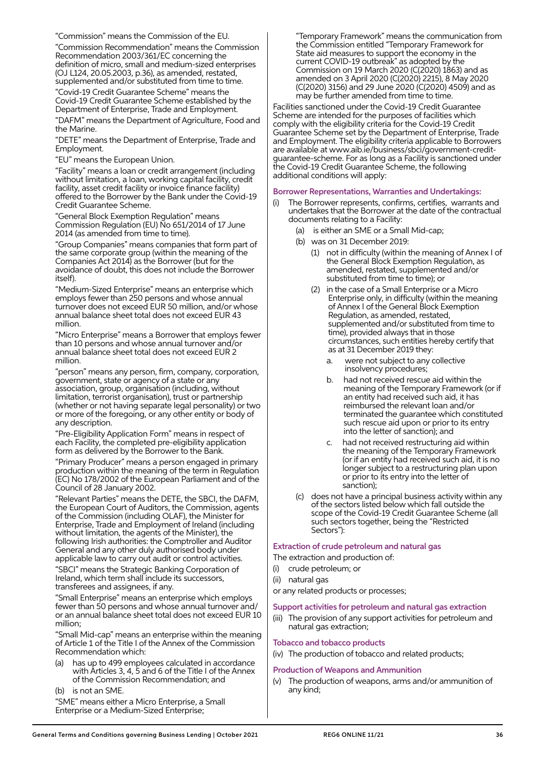"Commission" means the Commission of the EU.

 "Commission Recommendation" means the Commission Recommendation 2003/361/EC concerning the definition of micro, small and medium-sized enterprises (OJ L124, 20.05.2003, p.36), as amended, restated, supplemented and/or substituted from time to time.

 "Covid-19 Credit Guarantee Scheme" means the Covid-19 Credit Guarantee Scheme established by the Department of Enterprise, Trade and Employment.

 "DAFM" means the Department of Agriculture, Food and the Marine.

 "DETE" means the Department of Enterprise, Trade and Employment.

"EU" means the European Union.

 "Facility" means a loan or credit arrangement (including without limitation, a loan, working capital facility, credit facility, asset credit facility or invoice finance facility) offered to the Borrower by the Bank under the Covid-19 Credit Guarantee Scheme.

 "General Block Exemption Regulation" means Commission Regulation (EU) No 651/2014 of 17 June 2014 (as amended from time to time).

 "Group Companies" means companies that form part of the same corporate group (within the meaning of the Companies Act 2014) as the Borrower (but for the avoidance of doubt, this does not include the Borrower itself).

 "Medium-Sized Enterprise" means an enterprise which employs fewer than 250 persons and whose annual turnover does not exceed EUR 50 million, and/or whose annual balance sheet total does not exceed EUR 43 million.

 "Micro Enterprise" means a Borrower that employs fewer than 10 persons and whose annual turnover and/or annual balance sheet total does not exceed EUR 2 million.

 "person" means any person, firm, company, corporation, government, state or agency of a state or any association, group, organisation (including, without limitation, terrorist organisation), trust or partnership (whether or not having separate legal personality) or two or more of the foregoing, or any other entity or body of any description.

 "Pre-Eligibility Application Form" means in respect of each Facility, the completed pre-eligibility application form as delivered by the Borrower to the Bank.

 "Primary Producer" means a person engaged in primary production within the meaning of the term in Regulation (EC) No 178/2002 of the European Parliament and of the Council of 28 January 2002.

 "Relevant Parties" means the DETE, the SBCI, the DAFM, the European Court of Auditors, the Commission, agents of the Commission (including OLAF), the Minister for Enterprise, Trade and Employment of Ireland (including without limitation, the agents of the Minister), the following Irish authorities: the Comptroller and Auditor General and any other duly authorised body under applicable law to carry out audit or control activities. "SBCI" means the Strategic Banking Corporation of Ireland, which term shall include its successors,

transferees and assignees, if any.

 "Small Enterprise" means an enterprise which employs fewer than 50 persons and whose annual turnover and/ or an annual balance sheet total does not exceed EUR 10 million;

 "Small Mid-cap" means an enterprise within the meaning of Article 1 of the Title I of the Annex of the Commission Recommendation which:

has up to 499 employees calculated in accordance with Articles 3, 4, 5 and 6 of the Title I of the Annex of the Commission Recommendation; and

(b) is not an SME.

 "SME" means either a Micro Enterprise, a Small Enterprise or a Medium-Sized Enterprise;

 "Temporary Framework" means the communication from the Commission entitled "Temporary Framework for State aid measures to support the economy in the current COVID-19 outbreak" as adopted by the Commission on 19 March 2020 (C(2020) 1863) and as amended on 3 April 2020 (C(2020) 2215), 8 May 2020 (C(2020) 3156) and 29 June 2020 (C(2020) 4509) and as may be further amended from time to time.

Facilities sanctioned under the Covid-19 Credit Guarantee Scheme are intended for the purposes of facilities which comply with the eligibility criteria for the Covid-19 Credit Guarantee Scheme set by the Department of Enterprise, Trade and Employment. The eligibility criteria applicable to Borrowers are available at www.aib.ie/business/sbci/government-creditguarantee-scheme. For as long as a Facility is sanctioned under the Covid-19 Credit Guarantee Scheme, the following additional conditions will apply:

#### Borrower Representations, Warranties and Undertakings:

- The Borrower represents, confirms, certifies, warrants and undertakes that the Borrower at the date of the contractual documents relating to a Facility:
	- (a) is either an SME or a Small Mid-cap;
	- (b) was on 31 December 2019:
		- (1) not in difficulty (within the meaning of Annex I of the General Block Exemption Regulation, as amended, restated, supplemented and/or substituted from time to time); or
		- (2) in the case of a Small Enterprise or a Micro Enterprise only, in difficulty (within the meaning of Annex I of the General Block Exemption Regulation, as amended, restated, supplemented and/or substituted from time to time), provided always that in those circumstances, such entities hereby certify that as at 31 December 2019 they:
			- a. were not subject to any collective insolvency procedures;
			- b. had not received rescue aid within the meaning of the Temporary Framework (or if an entity had received such aid, it has reimbursed the relevant loan and/or terminated the guarantee which constituted such rescue aid upon or prior to its entry into the letter of sanction); and
			- c. had not received restructuring aid within the meaning of the Temporary Framework (or if an entity had received such aid, it is no longer subject to a restructuring plan upon or prior to its entry into the letter of sanction);
	- (c) does not have a principal business activity within any of the sectors listed below which fall outside the scope of the Covid-19 Credit Guarantee Scheme (all such sectors together, being the "Restricted Sectors"):

## Extraction of crude petroleum and natural gas

The extraction and production of:

- crude petroleum; or
- (ii) natural gas
- or any related products or processes;

#### Support activities for petroleum and natural gas extraction

(iii) The provision of any support activities for petroleum and natural gas extraction;

## Tobacco and tobacco products

(iv) The production of tobacco and related products;

## Production of Weapons and Ammunition

(v) The production of weapons, arms and/or ammunition of any kind;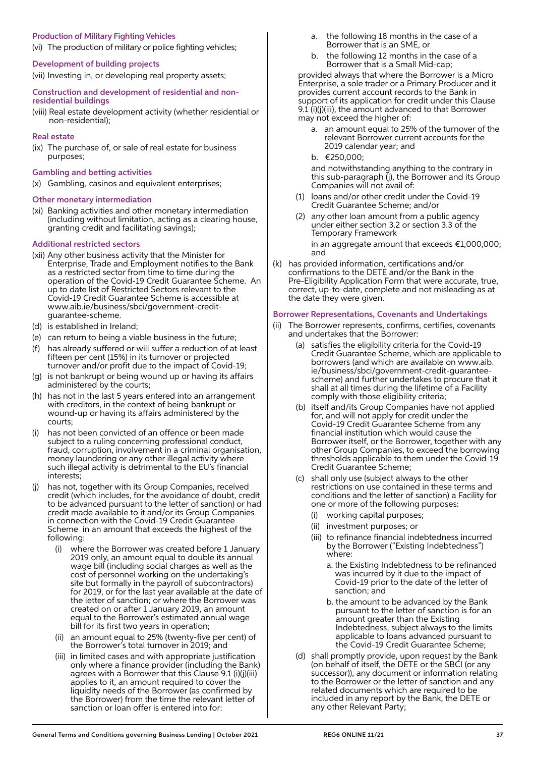## Production of Military Fighting Vehicles

(vi) The production of military or police fighting vehicles;

#### Development of building projects

(vii) Investing in, or developing real property assets;

#### Construction and development of residential and nonresidential buildings

(viii) Real estate development activity (whether residential or non-residential);

## Real estate

- (ix) The purchase of, or sale of real estate for business purposes;
- Gambling and betting activities
- (x) Gambling, casinos and equivalent enterprises;

#### Other monetary intermediation

(xi) Banking activities and other monetary intermediation (including without limitation, acting as a clearing house, granting credit and facilitating savings);

#### Additional restricted sectors

- (xii) Any other business activity that the Minister for Enterprise, Trade and Employment notifies to the Bank as a restricted sector from time to time during the operation of the Covid-19 Credit Guarantee Scheme. An up to date list of Restricted Sectors relevant to the Covid-19 Credit Guarantee Scheme is accessible at www.aib.ie/business/sbci/government-creditguarantee-scheme.
- (d) is established in Ireland;
- (e) can return to being a viable business in the future;
- (f) has already suffered or will suffer a reduction of at least fifteen per cent (15%) in its turnover or projected turnover and/or profit due to the impact of Covid-19;
- (g) is not bankrupt or being wound up or having its affairs administered by the courts;
- (h) has not in the last 5 years entered into an arrangement with creditors, in the context of being bankrupt or wound-up or having its affairs administered by the courts;
- (i) has not been convicted of an offence or been made subject to a ruling concerning professional conduct, fraud, corruption, involvement in a criminal organisation, money laundering or any other illegal activity where such illegal activity is detrimental to the EU's financial interests;
- (j) has not, together with its Group Companies, received credit (which includes, for the avoidance of doubt, credit to be advanced pursuant to the letter of sanction) or had credit made available to it and/or its Group Companies in connection with the Covid-19 Credit Guarantee Scheme in an amount that exceeds the highest of the following:
	- where the Borrower was created before 1 January 2019 only, an amount equal to double its annual wage bill (including social charges as well as the cost of personnel working on the undertaking's site but formally in the payroll of subcontractors) for 2019, or for the last year available at the date of the letter of sanction; or where the Borrower was created on or after 1 January 2019, an amount equal to the Borrower's estimated annual wage bill for its first two years in operation;
	- (ii) an amount equal to 25% (twenty-five per cent) of the Borrower's total turnover in 2019; and
	- (iii) in limited cases and with appropriate justification only where a finance provider (including the Bank) agrees with a Borrower that this Clause 9.1 (i)(j)(iii) applies to it, an amount required to cover the liquidity needs of the Borrower (as confirmed by the Borrower) from the time the relevant letter of sanction or loan offer is entered into for:
- a. the following 18 months in the case of a Borrower that is an SME, or
- b. the following 12 months in the case of a Borrower that is a Small Mid-cap;

 provided always that where the Borrower is a Micro Enterprise, a sole trader or a Primary Producer and it provides current account records to the Bank in support of its application for credit under this Clause 9.1 (i)(j)(iii), the amount advanced to that Borrower may not exceed the higher of:

- a. an amount equal to 25% of the turnover of the relevant Borrower current accounts for the 2019 calendar year; and
- b. €250,000;

 and notwithstanding anything to the contrary in this sub-paragraph (j), the Borrower and its Group Companies will not avail of:

- (1) loans and/or other credit under the Covid-19 Credit Guarantee Scheme; and/or
- (2) any other loan amount from a public agency under either section 3.2 or section 3.3 of the Temporary Framework

 in an aggregate amount that exceeds €1,000,000; and

(k) has provided information, certifications and/or confirmations to the DETE and/or the Bank in the Pre-Eligibility Application Form that were accurate, true, correct, up-to-date, complete and not misleading as at the date they were given.

#### Borrower Representations, Covenants and Undertakings

- (ii) The Borrower represents, confirms, certifies, covenants and undertakes that the Borrower:
	- (a) satisfies the eligibility criteria for the Covid-19 Credit Guarantee Scheme, which are applicable to borrowers (and which are available on www.aib. ie/business/sbci/government-credit-guaranteescheme) and further undertakes to procure that it shall at all times during the lifetime of a Facility comply with those eligibility criteria;
	- (b) itself and/its Group Companies have not applied for, and will not apply for credit under the Covid-19 Credit Guarantee Scheme from any financial institution which would cause the Borrower itself, or the Borrower, together with any other Group Companies, to exceed the borrowing thresholds applicable to them under the Covid-19 Credit Guarantee Scheme;
	- (c) shall only use (subject always to the other restrictions on use contained in these terms and conditions and the letter of sanction) a Facility for one or more of the following purposes:
		- (i) working capital purposes;
		- (ii) investment purposes; or
		- (iii) to refinance financial indebtedness incurred by the Borrower ("Existing Indebtedness") where:
			- a. the Existing Indebtedness to be refinanced was incurred by it due to the impact of Covid-19 prior to the date of the letter of sanction; and
			- b. the amount to be advanced by the Bank pursuant to the letter of sanction is for an amount greater than the Existing Indebtedness, subject always to the limits applicable to loans advanced pursuant to the Covid-19 Credit Guarantee Scheme;
	- (d) shall promptly provide, upon request by the Bank (on behalf of itself, the DETE or the SBCI (or any successor)), any document or information relating to the Borrower or the letter of sanction and any related documents which are required to be included in any report by the Bank, the DETE or any other Relevant Party;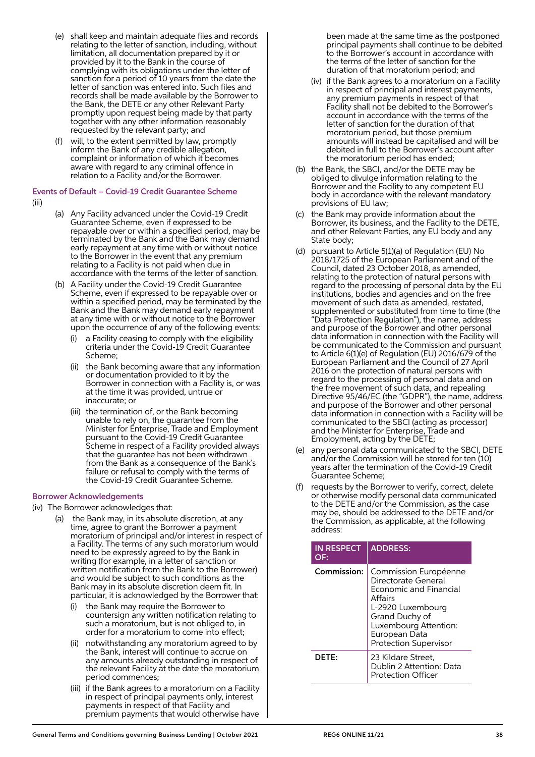- (e) shall keep and maintain adequate files and records relating to the letter of sanction, including, without limitation, all documentation prepared by it or provided by it to the Bank in the course of complying with its obligations under the letter of sanction for a period of 10 years from the date the letter of sanction was entered into. Such files and records shall be made available by the Borrower to the Bank, the DETE or any other Relevant Party promptly upon request being made by that party together with any other information reasonably requested by the relevant party; and
- (f) will, to the extent permitted by law, promptly inform the Bank of any credible allegation, complaint or information of which it becomes aware with regard to any criminal offence in relation to a Facility and/or the Borrower.

Events of Default – Covid-19 Credit Guarantee Scheme (iii)

- (a) Any Facility advanced under the Covid-19 Credit Guarantee Scheme, even if expressed to be repayable over or within a specified period, may be terminated by the Bank and the Bank may demand early repayment at any time with or without notice to the Borrower in the event that any premium relating to a Facility is not paid when due in accordance with the terms of the letter of sanction.
- (b) A Facility under the Covid-19 Credit Guarantee Scheme, even if expressed to be repayable over or within a specified period, may be terminated by the Bank and the Bank may demand early repayment at any time with or without notice to the Borrower upon the occurrence of any of the following events:
	- a Facility ceasing to comply with the eligibility criteria under the Covid-19 Credit Guarantee Scheme;
	- (ii) the Bank becoming aware that any information or documentation provided to it by the Borrower in connection with a Facility is, or was at the time it was provided, untrue or inaccurate; or
	- (iii) the termination of, or the Bank becoming unable to rely on, the guarantee from the Minister for Enterprise, Trade and Employment pursuant to the Covid-19 Credit Guarantee Scheme in respect of a Facility provided always that the guarantee has not been withdrawn from the Bank as a consequence of the Bank's failure or refusal to comply with the terms of the Covid-19 Credit Guarantee Scheme.

## Borrower Acknowledgements

(iv) The Borrower acknowledges that:

- the Bank may, in its absolute discretion, at any time, agree to grant the Borrower a payment moratorium of principal and/or interest in respect of a Facility. The terms of any such moratorium would need to be expressly agreed to by the Bank in writing (for example, in a letter of sanction or written notification from the Bank to the Borrower) and would be subject to such conditions as the Bank may in its absolute discretion deem fit. In particular, it is acknowledged by the Borrower that:
	- the Bank may require the Borrower to countersign any written notification relating to such a moratorium, but is not obliged to, in order for a moratorium to come into effect;
	- (ii) notwithstanding any moratorium agreed to by the Bank, interest will continue to accrue on any amounts already outstanding in respect of the relevant Facility at the date the moratorium period commences;
	- (iii) if the Bank agrees to a moratorium on a Facility in respect of principal payments only, interest payments in respect of that Facility and premium payments that would otherwise have

been made at the same time as the postponed principal payments shall continue to be debited to the Borrower's account in accordance with the terms of the letter of sanction for the duration of that moratorium period; and

- (iv) if the Bank agrees to a moratorium on a Facility in respect of principal and interest payments, any premium payments in respect of that Facility shall not be debited to the Borrower's account in accordance with the terms of the letter of sanction for the duration of that moratorium period, but those premium amounts will instead be capitalised and will be debited in full to the Borrower's account after the moratorium period has ended;
- (b) the Bank, the SBCI, and/or the DETE may be obliged to divulge information relating to the Borrower and the Facility to any competent EU body in accordance with the relevant mandatory provisions of EU law;
- the Bank may provide information about the Borrower, its business, and the Facility to the DETE, and other Relevant Parties, any EU body and any State body;
- (d) pursuant to Article 5(1)(a) of Regulation (EU) No 2018/1725 of the European Parliament and of the Council, dated 23 October 2018, as amended, relating to the protection of natural persons with regard to the processing of personal data by the EU institutions, bodies and agencies and on the free movement of such data as amended, restated, supplemented or substituted from time to time (the "Data Protection Regulation"), the name, address and purpose of the Borrower and other personal data information in connection with the Facility will be communicated to the Commission and pursuant to Article 6(1)(e) of Regulation (EU) 2016/679 of the European Parliament and the Council of 27 April 2016 on the protection of natural persons with regard to the processing of personal data and on the free movement of such data, and repealing Directive 95/46/EC (the "GDPR"), the name, address and purpose of the Borrower and other personal data information in connection with a Facility will be communicated to the SBCI (acting as processor) and the Minister for Enterprise, Trade and Employment, acting by the DETE;
- (e) any personal data communicated to the SBCI, DETE and/or the Commission will be stored for ten (10) years after the termination of the Covid-19 Credit Guarantee Scheme;
- (f) requests by the Borrower to verify, correct, delete or otherwise modify personal data communicated to the DETE and/or the Commission, as the case may be, should be addressed to the DETE and/or the Commission, as applicable, at the following address:

| <b>IN RESPECT</b><br>OF: | <b>ADDRESS:</b>                                                                                                                                                                                           |
|--------------------------|-----------------------------------------------------------------------------------------------------------------------------------------------------------------------------------------------------------|
| Commission:              | Commission Européenne<br>Directorate General<br><b>Economic and Financial</b><br>Affairs<br>L-2920 Luxembourg<br>Grand Duchy of<br>Luxembourg Attention:<br>European Data<br><b>Protection Supervisor</b> |
| <b>DFTF:</b>             | 23 Kildare Street.<br>Dublin 2 Attention: Data<br><b>Protection Officer</b>                                                                                                                               |